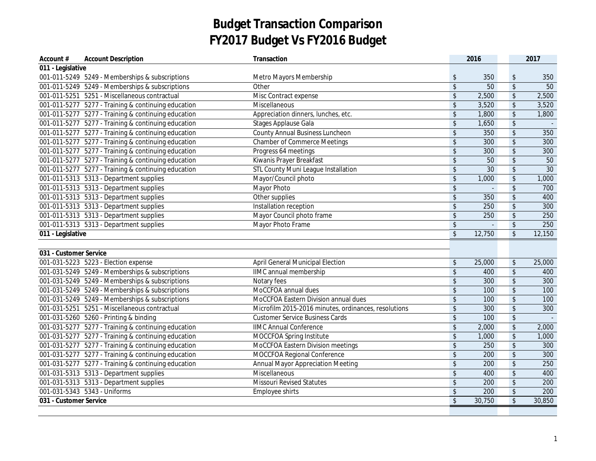| Account #              | <b>Account Description</b>                          | Transaction                                          |                          | 2016   |                            | 2017            |
|------------------------|-----------------------------------------------------|------------------------------------------------------|--------------------------|--------|----------------------------|-----------------|
| 011 - Legislative      |                                                     |                                                      |                          |        |                            |                 |
|                        | 001-011-5249 5249 - Memberships & subscriptions     | Metro Mayors Membership                              | \$                       | 350    | $\boldsymbol{\hat{\phi}}$  | 350             |
|                        | 001-011-5249 5249 - Memberships & subscriptions     | Other                                                | \$                       | 50     | $\overline{\mathcal{L}}$   | 50              |
|                        | 001-011-5251 5251 - Miscellaneous contractual       | Misc Contract expense                                | \$                       | 2,500  | $\sqrt[6]{\frac{1}{2}}$    | 2,500           |
|                        | 001-011-5277 5277 - Training & continuing education | Miscellaneous                                        | \$                       | 3,520  | $\frac{1}{2}$              | 3,520           |
|                        | 001-011-5277 5277 - Training & continuing education | Appreciation dinners, lunches, etc.                  | \$                       | 1,800  | $\frac{1}{2}$              | 1,800           |
|                        | 001-011-5277 5277 - Training & continuing education | <b>Stages Applause Gala</b>                          | \$                       | 1,650  | $\boldsymbol{\mathsf{\$}}$ | $\sim$          |
|                        | 001-011-5277 5277 - Training & continuing education | County Annual Business Luncheon                      | \$                       | 350    | $\frac{1}{2}$              | 350             |
|                        | 001-011-5277 5277 - Training & continuing education | <b>Chamber of Commerce Meetings</b>                  | \$                       | 300    | $\sqrt[6]{\frac{1}{2}}$    | 300             |
|                        | 001-011-5277 5277 - Training & continuing education | Progress 64 meetings                                 | \$                       | 300    | $\sqrt[6]{\frac{1}{2}}$    | 300             |
|                        | 001-011-5277 5277 - Training & continuing education | Kiwanis Prayer Breakfast                             | \$                       | 50     | $\sqrt[6]{\frac{1}{2}}$    | 50              |
|                        | 001-011-5277 5277 - Training & continuing education | <b>STL County Muni League Installation</b>           | \$                       | 30     | $\boldsymbol{\mathsf{\$}}$ | $\overline{30}$ |
|                        | 001-011-5313  5313 - Department supplies            | Mayor/Council photo                                  | \$                       | 1,000  | $\boldsymbol{\mathsf{\$}}$ | 1,000           |
|                        | 001-011-5313  5313 - Department supplies            | Mayor Photo                                          | \$                       |        | $\sqrt[6]{\frac{1}{2}}$    | 700             |
|                        | 001-011-5313 5313 - Department supplies             | Other supplies                                       | \$                       | 350    | $\sqrt{2}$                 | 400             |
|                        | 001-011-5313  5313 - Department supplies            | Installation reception                               | \$                       | 250    | $\sqrt[6]{\frac{1}{2}}$    | 300             |
|                        | 001-011-5313  5313 - Department supplies            | Mayor Council photo frame                            | \$                       | 250    | $\overline{\$}$            | 250             |
|                        | 001-011-5313  5313 - Department supplies            | Mayor Photo Frame                                    | \$                       |        | $\boldsymbol{\mathsf{\$}}$ | 250             |
| 011 - Legislative      |                                                     |                                                      | $\overline{\mathcal{S}}$ | 12,750 | $\overline{\mathcal{S}}$   | 12,150          |
|                        |                                                     |                                                      |                          |        |                            |                 |
| 031 - Customer Service |                                                     |                                                      |                          |        |                            |                 |
|                        | 001-031-5223 5223 - Election expense                | April General Municipal Election                     | \$                       | 25,000 | $\boldsymbol{\$}$          | 25,000          |
|                        | 001-031-5249 5249 - Memberships & subscriptions     | IIMC annual membership                               | \$                       | 400    | $\sqrt[6]{\frac{1}{2}}$    | 400             |
|                        | 001-031-5249 5249 - Memberships & subscriptions     | Notary fees                                          | \$                       | 300    | $$\mathbb{S}$$             | 300             |
|                        | 001-031-5249 5249 - Memberships & subscriptions     | MoCCFOA annual dues                                  | \$                       | 100    | $\sqrt[6]{\frac{1}{2}}$    | 100             |
|                        | 001-031-5249 5249 - Memberships & subscriptions     | MoCCFOA Eastern Division annual dues                 | \$                       | 100    | $\sqrt[6]{\frac{1}{2}}$    | 100             |
|                        | 001-031-5251 5251 - Miscellaneous contractual       | Microfilm 2015-2016 minutes, ordinances, resolutions | \$                       | 300    | $\sqrt[6]{\frac{1}{2}}$    | 300             |
|                        | 001-031-5260 5260 - Printing & binding              | <b>Customer Service Business Cards</b>               | \$                       | 100    | $\boldsymbol{\mathsf{\$}}$ |                 |
|                        | 001-031-5277 5277 - Training & continuing education | <b>IIMC Annual Conference</b>                        | \$                       | 2,000  | $\boldsymbol{\mathsf{\$}}$ | 2,000           |
|                        | 001-031-5277 5277 - Training & continuing education | MOCCFOA Spring Institute                             | \$                       | 1,000  | $\frac{1}{2}$              | 1,000           |
|                        | 001-031-5277 5277 - Training & continuing education | MoCCFOA Eastern Division meetings                    | \$                       | 250    | $\frac{1}{2}$              | 300             |
|                        | 001-031-5277 5277 - Training & continuing education | MOCCFOA Regional Conference                          | \$                       | 200    | $\sqrt{2}$                 | 300             |
|                        | 001-031-5277 5277 - Training & continuing education | <b>Annual Mayor Appreciation Meeting</b>             | \$                       | 200    | $\sqrt[6]{\frac{1}{2}}$    | 250             |
|                        | 001-031-5313  5313 - Department supplies            | Miscellaneous                                        | \$                       | 400    | $\sqrt{2}$                 | 400             |
|                        | 001-031-5313  5313 - Department supplies            | <b>Missouri Revised Statutes</b>                     | \$                       | 200    | $\sqrt{2}$                 | 200             |
|                        | 001-031-5343  5343 - Uniforms                       | Employee shirts                                      | \$                       | 200    | $\sqrt[6]{\frac{1}{2}}$    | 200             |
| 031 - Customer Service |                                                     |                                                      | $\sqrt{2}$               | 30,750 | $\sqrt{2}$                 | 30,850          |
|                        |                                                     |                                                      |                          |        |                            |                 |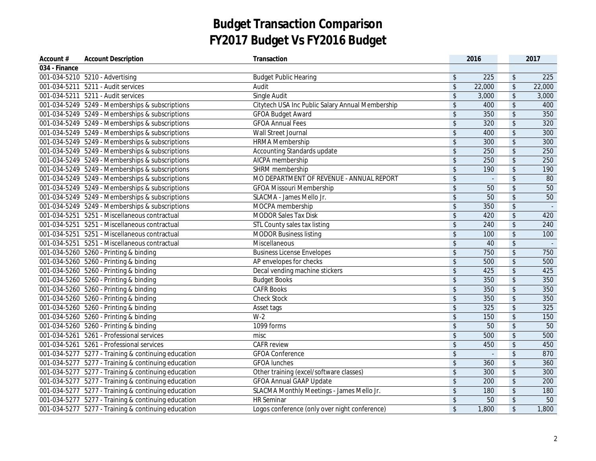| Account #     | <b>Account Description</b>                          | Transaction                                      |                         | 2016   |                            | 2017   |
|---------------|-----------------------------------------------------|--------------------------------------------------|-------------------------|--------|----------------------------|--------|
| 034 - Finance |                                                     |                                                  |                         |        |                            |        |
|               | 001-034-5210 5210 - Advertising                     | <b>Budget Public Hearing</b>                     | $\sqrt[6]{\frac{1}{2}}$ | 225    | $\sqrt[6]{\frac{1}{2}}$    | 225    |
|               | 001-034-5211  5211 - Audit services                 | Audit                                            | $\sqrt{2}$              | 22,000 | $\sqrt[6]{\frac{1}{2}}$    | 22,000 |
|               | 001-034-5211  5211 - Audit services                 | Single Audit                                     | \$                      | 3,000  | $\sqrt[6]{\frac{1}{2}}$    | 3,000  |
|               | 001-034-5249 5249 - Memberships & subscriptions     | Citytech USA Inc Public Salary Annual Membership | \$                      | 400    | $\sqrt[6]{\frac{1}{2}}$    | 400    |
|               | 001-034-5249 5249 - Memberships & subscriptions     | <b>GFOA Budget Award</b>                         | $\sqrt{2}$              | 350    | $\sqrt{2}$                 | 350    |
|               | 001-034-5249 5249 - Memberships & subscriptions     | <b>GFOA Annual Fees</b>                          | \$                      | 320    | $\frac{1}{2}$              | 320    |
|               | 001-034-5249 5249 - Memberships & subscriptions     | Wall Street Journal                              | \$                      | 400    | $\boldsymbol{\mathsf{\$}}$ | 300    |
|               | 001-034-5249 5249 - Memberships & subscriptions     | <b>HRMA Membership</b>                           | $\sqrt{2}$              | 300    | $\boldsymbol{\mathsf{\$}}$ | 300    |
|               | 001-034-5249 5249 - Memberships & subscriptions     | Accounting Standards update                      | $\sqrt{2}$              | 250    | $\sqrt{2}$                 | 250    |
|               | 001-034-5249 5249 - Memberships & subscriptions     | AICPA membership                                 | \$                      | 250    | $\sqrt{2}$                 | 250    |
|               | 001-034-5249 5249 - Memberships & subscriptions     | SHRM membership                                  | \$                      | 190    | $\boldsymbol{\mathsf{\$}}$ | 190    |
|               | 001-034-5249 5249 - Memberships & subscriptions     | MO DEPARTMENT OF REVENUE - ANNUAL REPORT         | \$                      | $\sim$ | $\sqrt[6]{\frac{1}{2}}$    | 80     |
|               | 001-034-5249 5249 - Memberships & subscriptions     | <b>GFOA Missouri Membership</b>                  | \$                      | 50     | $\boldsymbol{\mathsf{\$}}$ | 50     |
|               | 001-034-5249 5249 - Memberships & subscriptions     | SLACMA - James Mello Jr.                         | \$                      | 50     | \$                         | 50     |
|               | 001-034-5249 5249 - Memberships & subscriptions     | MOCPA membership                                 | \$                      | 350    | \$                         |        |
|               | 001-034-5251 5251 - Miscellaneous contractual       | <b>MODOR Sales Tax Disk</b>                      | \$                      | 420    | $\overline{\mathcal{L}}$   | 420    |
|               | 001-034-5251 5251 - Miscellaneous contractual       | STL County sales tax listing                     | \$                      | 240    | $\sqrt[6]{\frac{1}{2}}$    | 240    |
|               | 001-034-5251 5251 - Miscellaneous contractual       | <b>MODOR Business listing</b>                    | \$                      | 100    | $\updownarrow$             | 100    |
|               | 001-034-5251 5251 - Miscellaneous contractual       | Miscellaneous                                    | \$                      | 40     | $\updownarrow$             |        |
|               | 001-034-5260 5260 - Printing & binding              | <b>Business License Envelopes</b>                | \$                      | 750    | $\sqrt[6]{\frac{1}{2}}$    | 750    |
|               | 001-034-5260 5260 - Printing & binding              | AP envelopes for checks                          | \$                      | 500    | $\sqrt[6]{\frac{1}{2}}$    | 500    |
|               | 001-034-5260 5260 - Printing & binding              | Decal vending machine stickers                   | \$                      | 425    | $\boldsymbol{\mathsf{\$}}$ | 425    |
|               | 001-034-5260 5260 - Printing & binding              | <b>Budget Books</b>                              | \$                      | 350    | $\frac{1}{2}$              | 350    |
|               | 001-034-5260 5260 - Printing & binding              | <b>CAFR Books</b>                                | \$                      | 350    | $\sqrt[6]{\frac{1}{2}}$    | 350    |
|               | 001-034-5260 5260 - Printing & binding              | <b>Check Stock</b>                               | \$                      | 350    | $\sqrt[6]{\frac{1}{2}}$    | 350    |
|               | 001-034-5260 5260 - Printing & binding              | Asset tags                                       | \$                      | 325    | \$                         | 325    |
|               | 001-034-5260 5260 - Printing & binding              | $W-2$                                            | \$                      | 150    | $\sqrt[6]{\frac{1}{2}}$    | 150    |
|               | 001-034-5260 5260 - Printing & binding              | 1099 forms                                       | \$                      | 50     | $\sqrt{2}$                 | 50     |
|               | 001-034-5261 5261 - Professional services           | misc                                             | \$                      | 500    | $\sqrt[6]{\frac{1}{2}}$    | 500    |
|               | 001-034-5261 5261 - Professional services           | <b>CAFR</b> review                               | \$                      | 450    | $\boldsymbol{\mathsf{S}}$  | 450    |
|               | 001-034-5277 5277 - Training & continuing education | <b>GFOA Conference</b>                           | \$                      |        | \$                         | 870    |
|               | 001-034-5277 5277 - Training & continuing education | <b>GFOA lunches</b>                              | \$                      | 360    | \$                         | 360    |
|               | 001-034-5277 5277 - Training & continuing education | Other training (excel/software classes)          | \$                      | 300    | $\frac{1}{2}$              | 300    |
|               | 001-034-5277 5277 - Training & continuing education | <b>GFOA Annual GAAP Update</b>                   | \$                      | 200    | $\sqrt[6]{\frac{1}{2}}$    | 200    |
|               | 001-034-5277 5277 - Training & continuing education | SLACMA Monthly Meetings - James Mello Jr.        | \$                      | 180    | \$                         | 180    |
|               | 001-034-5277 5277 - Training & continuing education | <b>HR</b> Seminar                                | \$                      | 50     | $\updownarrow$             | 50     |
|               | 001-034-5277 5277 - Training & continuing education | Logos conference (only over night conference)    | $\sqrt{2}$              | 1,800  | $\sqrt{2}$                 | 1,800  |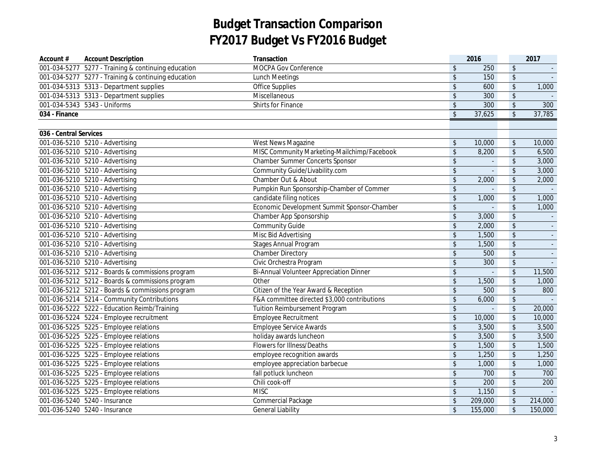| Account #              | <b>Account Description</b>                          | Transaction                                    |                            | 2016           |                            | 2017    |
|------------------------|-----------------------------------------------------|------------------------------------------------|----------------------------|----------------|----------------------------|---------|
|                        | 001-034-5277 5277 - Training & continuing education | MOCPA Gov Conference                           | $\sqrt[6]{2}$              | 250            | $\sqrt[6]{\frac{1}{2}}$    |         |
|                        | 001-034-5277 5277 - Training & continuing education | <b>Lunch Meetings</b>                          | $\sqrt[6]{\frac{1}{2}}$    | 150            | $\updownarrow$             |         |
|                        | 001-034-5313  5313 - Department supplies            | <b>Office Supplies</b>                         | $\sqrt[6]{\frac{1}{2}}$    | 600            | \$                         | 1,000   |
|                        | 001-034-5313 5313 - Department supplies             | Miscellaneous                                  | $\sqrt{2}$                 | 300            | \$                         |         |
|                        | 001-034-5343  5343 - Uniforms                       | Shirts for Finance                             | $\sqrt[6]{\frac{1}{2}}$    | 300            | $\sqrt{2}$                 | 300     |
| 034 - Finance          |                                                     |                                                | $\overline{\mathcal{S}}$   | 37,625         | $\overline{\mathcal{S}}$   | 37,785  |
|                        |                                                     |                                                |                            |                |                            |         |
| 036 - Central Services |                                                     |                                                |                            |                |                            |         |
|                        | 001-036-5210 5210 - Advertising                     | West News Magazine                             | $\boldsymbol{\$}$          | 10,000         | $\boldsymbol{\mathsf{\$}}$ | 10,000  |
|                        | 001-036-5210 5210 - Advertising                     | MISC Community Marketing-Mailchimp/Facebook    | $\boldsymbol{\hat{\zeta}}$ | 8,200          | $\boldsymbol{\mathsf{\$}}$ | 6,500   |
|                        | 001-036-5210 5210 - Advertising                     | <b>Chamber Summer Concerts Sponsor</b>         | \$                         |                | $\boldsymbol{\mathsf{\$}}$ | 3,000   |
|                        | 001-036-5210 5210 - Advertising                     | Community Guide/Livability.com                 | $\sqrt[6]{\frac{1}{2}}$    | $\overline{a}$ | $\sqrt{2}$                 | 3,000   |
|                        | 001-036-5210 5210 - Advertising                     | Chamber Out & About                            | \$                         | 2,000          | \$                         | 2,000   |
|                        | 001-036-5210 5210 - Advertising                     | Pumpkin Run Sponsorship-Chamber of Commer      | $\sqrt[6]{\frac{1}{2}}$    | $\mathbf{r}$   | $\sqrt[6]{\frac{1}{2}}$    |         |
|                        | 001-036-5210 5210 - Advertising                     | candidate filing notices                       | $\sqrt[6]{\frac{1}{2}}$    | 1,000          | \$                         | 1,000   |
|                        | 001-036-5210 5210 - Advertising                     | Economic Development Summit Sponsor-Chamber    | \$                         |                | $\sqrt{2}$                 | 1,000   |
|                        | 001-036-5210 5210 - Advertising                     | Chamber App Sponsorship                        | $\sqrt[6]{\frac{1}{2}}$    | 3,000          | $\sqrt{2}$                 |         |
|                        | 001-036-5210 5210 - Advertising                     | <b>Community Guide</b>                         | $\sqrt[6]{\frac{1}{2}}$    | 2,000          | \$                         |         |
|                        | 001-036-5210 5210 - Advertising                     | Misc Bid Advertising                           | $\sqrt[6]{\frac{1}{2}}$    | 1,500          | $\sqrt{2}$                 |         |
|                        | 001-036-5210 5210 - Advertising                     | <b>Stages Annual Program</b>                   | $\sqrt[6]{\frac{1}{2}}$    | 1,500          | $\sqrt{2}$                 | $\sim$  |
|                        | 001-036-5210 5210 - Advertising                     | <b>Chamber Directory</b>                       | \$                         | 500            | $\sqrt[6]{\frac{1}{2}}$    |         |
|                        | 001-036-5210 5210 - Advertising                     | Civic Orchestra Program                        | \$                         | 300            | $\sqrt[6]{\frac{1}{2}}$    |         |
|                        | 001-036-5212 5212 - Boards & commissions program    | <b>Bi-Annual Volunteer Appreciation Dinner</b> | $\sqrt[6]{\frac{1}{2}}$    |                | $\sqrt[6]{\frac{1}{2}}$    | 11,500  |
|                        | 001-036-5212 5212 - Boards & commissions program    | Other                                          | $\boldsymbol{\hat{\zeta}}$ | 1,500          | $\sqrt[6]{\frac{1}{2}}$    | 1,000   |
|                        | 001-036-5212 5212 - Boards & commissions program    | Citizen of the Year Award & Reception          | $\sqrt{2}$                 | 500            | $\sqrt[6]{\frac{1}{2}}$    | 800     |
|                        | 001-036-5214 5214 - Community Contributions         | F&A committee directed \$3,000 contributions   | $\sqrt[6]{\frac{1}{2}}$    | 6,000          | $$\mathbb{S}$$             |         |
|                        | 001-036-5222 5222 - Education Reimb/Training        | Tuition Reimbursement Program                  | $\boldsymbol{\hat{\zeta}}$ |                | $\boldsymbol{\mathsf{\$}}$ | 20,000  |
|                        | 001-036-5224 5224 - Employee recruitment            | Employee Recruitment                           | $\sqrt[6]{\frac{1}{2}}$    | 10,000         | $\sqrt{2}$                 | 10,000  |
|                        | 001-036-5225 5225 - Employee relations              | <b>Employee Service Awards</b>                 | $\sqrt[6]{\frac{1}{2}}$    | 3,500          | $\sqrt{2}$                 | 3,500   |
|                        | 001-036-5225 5225 - Employee relations              | holiday awards luncheon                        | $\sqrt[6]{\frac{1}{2}}$    | 3,500          | $\sqrt{2}$                 | 3,500   |
|                        | 001-036-5225 5225 - Employee relations              | Flowers for Illness/Deaths                     | $\sqrt{2}$                 | 1,500          | $\boldsymbol{\mathsf{\$}}$ | 1,500   |
|                        | 001-036-5225 5225 - Employee relations              | employee recognition awards                    | \$                         | 1,250          | $\sqrt[6]{\frac{1}{2}}$    | 1,250   |
|                        | 001-036-5225 5225 - Employee relations              | employee appreciation barbecue                 | $\sqrt{2}$                 | 1,000          | $\sqrt[6]{\frac{1}{2}}$    | 1,000   |
|                        | 001-036-5225 5225 - Employee relations              | fall potluck luncheon                          | $\sqrt[6]{2}$              | 700            | $\sqrt{2}$                 | 700     |
|                        | 001-036-5225 5225 - Employee relations              | Chili cook-off                                 | $\sqrt[6]{\frac{1}{2}}$    | 200            | $\sqrt{2}$                 | 200     |
|                        | 001-036-5225  5225 - Employee relations             | <b>MISC</b>                                    | $\sqrt{2}$                 | 1,150          | $\sqrt[6]{\frac{1}{2}}$    |         |
|                        | 001-036-5240 5240 - Insurance                       | <b>Commercial Package</b>                      | $\sqrt[6]{\frac{1}{2}}$    | 209,000        | $\updownarrow$             | 214,000 |
|                        | 001-036-5240 5240 - Insurance                       | <b>General Liability</b>                       | $\sqrt[6]{}$               | 155,000        | $\sqrt[6]{\frac{1}{2}}$    | 150,000 |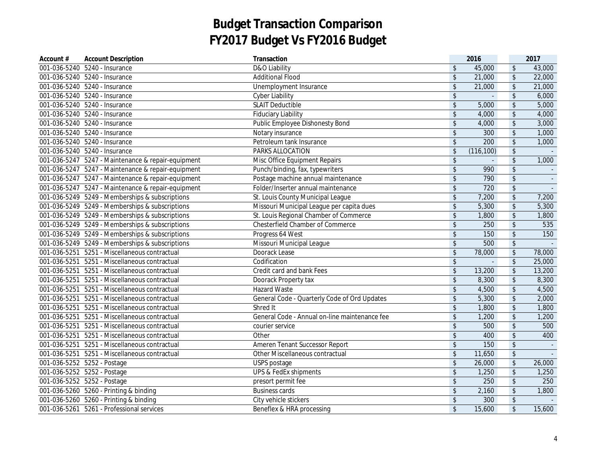| Account #    | <b>Account Description</b>                         | Transaction                                   |                         | 2016         |                         | 2017   |
|--------------|----------------------------------------------------|-----------------------------------------------|-------------------------|--------------|-------------------------|--------|
|              | 001-036-5240 5240 - Insurance                      | D&O Liability                                 | $\mathfrak{L}$          | 45,000       | \$                      | 43,000 |
|              | 001-036-5240 5240 - Insurance                      | <b>Additional Flood</b>                       | $\mathsf{\$}$           | 21,000       | $\sqrt[6]{\frac{1}{2}}$ | 22,000 |
|              | 001-036-5240 5240 - Insurance                      | Unemployment Insurance                        | \$                      | 21,000       | $\sqrt[6]{\frac{1}{2}}$ | 21,000 |
|              | 001-036-5240 5240 - Insurance                      | <b>Cyber Liability</b>                        | \$                      | $\Box$       | $\sqrt[6]{\frac{1}{2}}$ | 6,000  |
|              | 001-036-5240 5240 - Insurance                      | <b>SLAIT Deductible</b>                       | $\sqrt[6]{\frac{1}{2}}$ | 5,000        | $\sqrt[6]{\frac{1}{2}}$ | 5,000  |
|              | 001-036-5240 5240 - Insurance                      | <b>Fiduciary Liability</b>                    | \$                      | 4,000        | $\sqrt[6]{\frac{1}{2}}$ | 4,000  |
|              | 001-036-5240 5240 - Insurance                      | Public Employee Dishonesty Bond               | $\frac{1}{2}$           | 4,000        | $\sqrt[6]{\frac{1}{2}}$ | 3,000  |
|              | 001-036-5240 5240 - Insurance                      | Notary insurance                              | $\sqrt[6]{\frac{1}{2}}$ | 300          | $\sqrt[6]{\frac{1}{2}}$ | 1,000  |
|              | 001-036-5240 5240 - Insurance                      | Petroleum tank Insurance                      | $\sqrt[6]{\frac{1}{2}}$ | 200          | $\sqrt[6]{\frac{1}{2}}$ | 1,000  |
|              | 001-036-5240 5240 - Insurance                      | PARKS ALLOCATION                              | \$                      | (116, 100)   | $\sqrt[6]{\frac{1}{2}}$ |        |
|              | 001-036-5247 5247 - Maintenance & repair-equipment | Misc Office Equipment Repairs                 | $\sqrt[6]{\frac{1}{2}}$ | $\mathbf{r}$ | $\sqrt[6]{\frac{1}{2}}$ | 1,000  |
|              | 001-036-5247 5247 - Maintenance & repair-equipment | Punch/binding, fax, typewriters               | $\sqrt{2}$              | 990          | $\sqrt[6]{\frac{1}{2}}$ |        |
|              | 001-036-5247 5247 - Maintenance & repair-equipment | Postage machine annual maintenance            | $\frac{1}{2}$           | 790          | $\sqrt[6]{\frac{1}{2}}$ |        |
|              | 001-036-5247 5247 - Maintenance & repair-equipment | Folder/Inserter annual maintenance            | $\sqrt[6]{\frac{1}{2}}$ | 720          | $\sqrt[6]{\frac{1}{2}}$ |        |
|              | 001-036-5249 5249 - Memberships & subscriptions    | St. Louis County Municipal League             | \$                      | 7,200        | $\sqrt[6]{\frac{1}{2}}$ | 7,200  |
|              | 001-036-5249 5249 - Memberships & subscriptions    | Missouri Municipal League per capita dues     | $\sqrt[6]{2}$           | 5,300        | $\sqrt[6]{\frac{1}{2}}$ | 5,300  |
|              | 001-036-5249 5249 - Memberships & subscriptions    | St. Louis Regional Chamber of Commerce        | \$                      | 1,800        | $\sqrt[6]{\frac{1}{2}}$ | 1,800  |
|              | 001-036-5249 5249 - Memberships & subscriptions    | Chesterfield Chamber of Commerce              | \$                      | 250          | $\sqrt[6]{\frac{1}{2}}$ | 535    |
|              | 001-036-5249 5249 - Memberships & subscriptions    | Progress 64 West                              | \$                      | 150          | \$                      | 150    |
|              | 001-036-5249 5249 - Memberships & subscriptions    | Missouri Municipal League                     | $\sqrt{2}$              | 500          | $\sqrt[6]{\frac{1}{2}}$ |        |
|              | 001-036-5251 5251 - Miscellaneous contractual      | Doorack Lease                                 | $\sqrt{2}$              | 78,000       | $\sqrt[6]{\frac{1}{2}}$ | 78,000 |
|              | 001-036-5251 5251 - Miscellaneous contractual      | Codification                                  | $\sqrt{2}$              | $\omega$     | $\sqrt[6]{\frac{1}{2}}$ | 25,000 |
|              | 001-036-5251 5251 - Miscellaneous contractual      | Credit card and bank Fees                     | $\sqrt[6]{\frac{1}{2}}$ | 13,200       | $\sqrt[6]{\frac{1}{2}}$ | 13,200 |
|              | 001-036-5251 5251 - Miscellaneous contractual      | Doorack Property tax                          | $\sqrt[6]{\frac{1}{2}}$ | 8,300        | $\sqrt[6]{\frac{1}{2}}$ | 8,300  |
|              | 001-036-5251 5251 - Miscellaneous contractual      | Hazard Waste                                  | $\frac{1}{2}$           | 4,500        | $\sqrt[6]{\frac{1}{2}}$ | 4,500  |
| 001-036-5251 | 5251 - Miscellaneous contractual                   | General Code - Quarterly Code of Ord Updates  | $\sqrt[6]{\frac{1}{2}}$ | 5,300        | $\sqrt[6]{\frac{1}{2}}$ | 2,000  |
| 001-036-5251 | 5251 - Miscellaneous contractual                   | Shred It                                      | \$                      | 1,800        | $\sqrt[6]{\frac{1}{2}}$ | 1,800  |
| 001-036-5251 | 5251 - Miscellaneous contractual                   | General Code - Annual on-line maintenance fee | $\sqrt[6]{\frac{1}{2}}$ | 1,200        | $\sqrt[6]{\frac{1}{2}}$ | 1,200  |
| 001-036-5251 | 5251 - Miscellaneous contractual                   | courier service                               | $\sqrt[6]{\frac{1}{2}}$ | 500          | $\sqrt[6]{\frac{1}{2}}$ | 500    |
| 001-036-5251 | 5251 - Miscellaneous contractual                   | Other                                         | \$                      | 400          | $\sqrt[6]{\frac{1}{2}}$ | 400    |
| 001-036-5251 | 5251 - Miscellaneous contractual                   | Ameren Tenant Successor Report                | \$                      | 150          | $\sqrt[6]{\frac{1}{2}}$ |        |
| 001-036-5251 | 5251 - Miscellaneous contractual                   | Other Miscellaneous contractual               | $\sqrt[6]{\frac{1}{2}}$ | 11,650       | $\sqrt[6]{\frac{1}{2}}$ |        |
|              | 001-036-5252 5252 - Postage                        | USPS postage                                  | \$                      | 26,000       | $\sqrt[6]{\frac{1}{2}}$ | 26,000 |
|              | 001-036-5252 5252 - Postage                        | UPS & FedEx shipments                         | $\sqrt[6]{\frac{1}{2}}$ | 1,250        | $\sqrt[6]{\frac{1}{2}}$ | 1,250  |
|              | 001-036-5252 5252 - Postage                        | presort permit fee                            | $\sqrt[6]{\frac{1}{2}}$ | 250          | $\sqrt[6]{\frac{1}{2}}$ | 250    |
|              | 001-036-5260 5260 - Printing & binding             | <b>Business cards</b>                         | \$                      | 2,160        | $\sqrt[6]{\frac{1}{2}}$ | 1,800  |
|              | 001-036-5260 5260 - Printing & binding             | City vehicle stickers                         | \$                      | 300          | $\sqrt[6]{\frac{1}{2}}$ |        |
|              | 001-036-5261 5261 - Professional services          | Beneflex & HRA processing                     | \$                      | 15,600       | $\sqrt[6]{\frac{1}{2}}$ | 15,600 |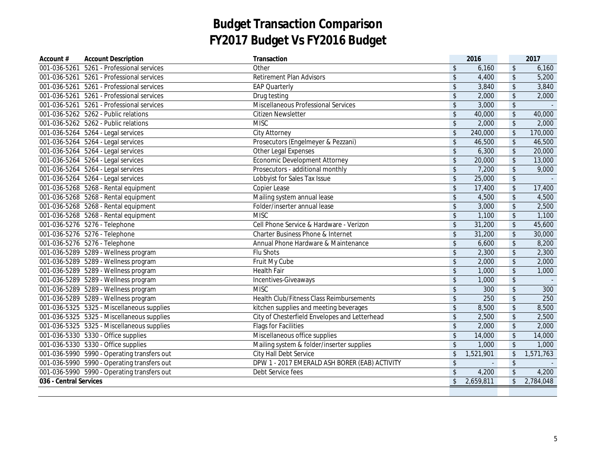| Account #              | <b>Account Description</b>                  | Transaction                                     |                         | 2016           |                         | 2017      |
|------------------------|---------------------------------------------|-------------------------------------------------|-------------------------|----------------|-------------------------|-----------|
|                        | 001-036-5261 5261 - Professional services   | Other                                           | \$                      | 6,160          | $\sqrt{2}$              | 6,160     |
|                        | 001-036-5261 5261 - Professional services   | <b>Retirement Plan Advisors</b>                 | $\sqrt[6]{\frac{1}{2}}$ | 4,400          | $\sqrt{2}$              | 5,200     |
|                        | 001-036-5261 5261 - Professional services   | <b>EAP Quarterly</b>                            | $\mathsf{\$}$           | 3,840          | $\sqrt{2}$              | 3,840     |
|                        | 001-036-5261 5261 - Professional services   | Drug testing                                    | $\sqrt[6]{\frac{1}{2}}$ | 2,000          | $\sqrt{2}$              | 2,000     |
|                        | 001-036-5261 5261 - Professional services   | Miscellaneous Professional Services             | \$                      | 3,000          | $\sqrt[6]{\frac{1}{2}}$ |           |
|                        | 001-036-5262  5262 - Public relations       | <b>Citizen Newsletter</b>                       | $\sqrt[6]{\frac{1}{2}}$ | 40,000         | $\sqrt[6]{\frac{1}{2}}$ | 40,000    |
|                        | 001-036-5262  5262 - Public relations       | <b>MISC</b>                                     | $\sqrt[6]{\frac{1}{2}}$ | 2,000          | $\sqrt[6]{\frac{1}{2}}$ | 2,000     |
|                        | 001-036-5264 5264 - Legal services          | <b>City Attorney</b>                            | $\mathfrak{L}$          | 240,000        | $\sqrt{2}$              | 170,000   |
|                        | 001-036-5264 5264 - Legal services          | Prosecutors (Engelmeyer & Pezzani)              | \$                      | 46,500         | $\updownarrow$          | 46,500    |
|                        | 001-036-5264 5264 - Legal services          | Other Legal Expenses                            | \$                      | 6,300          | $\boldsymbol{\$}$       | 20,000    |
|                        | 001-036-5264 5264 - Legal services          | <b>Economic Development Attorney</b>            | $\frac{1}{2}$           | 20,000         | $\sqrt[6]{\frac{1}{2}}$ | 13,000    |
|                        | 001-036-5264 5264 - Legal services          | Prosecutors - additional monthly                | \$                      | 7,200          | $\sqrt{2}$              | 9,000     |
|                        | 001-036-5264 5264 - Legal services          | Lobbyist for Sales Tax Issue                    | $\sqrt[6]{\frac{1}{2}}$ | 25,000         | $\sqrt{2}$              |           |
|                        | 001-036-5268 5268 - Rental equipment        | Copier Lease                                    | $\sqrt[6]{\frac{1}{2}}$ | 17,400         | $\sqrt{2}$              | 17,400    |
|                        | 001-036-5268 5268 - Rental equipment        | Mailing system annual lease                     | $\sqrt[6]{\frac{1}{2}}$ | 4,500          | $\sqrt{2}$              | 4,500     |
|                        | 001-036-5268 5268 - Rental equipment        | Folder/inserter annual lease                    | \$                      | 3,000          | $\sqrt{2}$              | 2,500     |
|                        | 001-036-5268 5268 - Rental equipment        | <b>MISC</b>                                     | \$                      | 1,100          | $\sqrt{2}$              | 1,100     |
|                        | 001-036-5276 5276 - Telephone               | Cell Phone Service & Hardware - Verizon         | $\sqrt[6]{\frac{1}{2}}$ | 31,200         | $\sqrt{2}$              | 45,600    |
|                        | 001-036-5276 5276 - Telephone               | Charter Business Phone & Internet               | \$                      | 31,200         | $\sqrt{2}$              | 30,000    |
|                        | 001-036-5276 5276 - Telephone               | Annual Phone Hardware & Maintenance             | $\frac{1}{2}$           | 6,600          | $\sqrt[6]{\frac{1}{2}}$ | 8,200     |
|                        | 001-036-5289 5289 - Wellness program        | Flu Shots                                       | \$                      | 2,300          | $\sqrt[6]{\frac{1}{2}}$ | 2,300     |
|                        | 001-036-5289 5289 - Wellness program        | Fruit My Cube                                   | \$                      | 2,000          | $\sqrt[6]{\frac{1}{2}}$ | 2,000     |
|                        | 001-036-5289 5289 - Wellness program        | <b>Health Fair</b>                              | $\sqrt[6]{\frac{1}{2}}$ | 1,000          | $\sqrt[6]{\frac{1}{2}}$ | 1,000     |
|                        | 001-036-5289 5289 - Wellness program        | Incentives-Giveaways                            | $\sqrt[6]{\frac{1}{2}}$ | 1,000          | $\sqrt{2}$              |           |
|                        | 001-036-5289 5289 - Wellness program        | <b>MISC</b>                                     | \$                      | 300            | $\sqrt{2}$              | 300       |
|                        | 001-036-5289 5289 - Wellness program        | <b>Health Club/Fitness Class Reimbursements</b> | $\sqrt[6]{\frac{1}{2}}$ | 250            | $\sqrt{2}$              | 250       |
|                        | 001-036-5325 5325 - Miscellaneous supplies  | kitchen supplies and meeting beverages          | $\sqrt{2}$              | 8,500          | $\sqrt{2}$              | 8,500     |
|                        | 001-036-5325 5325 - Miscellaneous supplies  | City of Chesterfield Envelopes and Letterhead   | $\sqrt[6]{\frac{1}{2}}$ | 2,500          | $\sqrt{2}$              | 2,500     |
|                        | 001-036-5325 5325 - Miscellaneous supplies  | <b>Flags for Facilities</b>                     | $\sqrt[6]{\frac{1}{2}}$ | 2,000          | $\sqrt{2}$              | 2,000     |
|                        | 001-036-5330  5330 - Office supplies        | Miscellaneous office supplies                   | $\sqrt[6]{}$            | 14,000         | $\sqrt{2}$              | 14,000    |
|                        | 001-036-5330  5330 - Office supplies        | Mailing system & folder/inserter supplies       | \$                      | 1,000          | $\sqrt[6]{}$            | 1,000     |
|                        | 001-036-5990 5990 - Operating transfers out | City Hall Debt Service                          | \$                      | 1,521,901      | $\sqrt[6]{\frac{1}{2}}$ | 1,571,763 |
|                        | 001-036-5990 5990 - Operating transfers out | DPW 1 - 2017 EMERALD ASH BORER (EAB) ACTIVITY   | $\frac{1}{2}$           | $\blacksquare$ | $\sqrt[6]{\frac{1}{2}}$ |           |
|                        | 001-036-5990 5990 - Operating transfers out | Debt Service fees                               | $\mathsf{\$}$           | 4,200          | $\sqrt{2}$              | 4,200     |
| 036 - Central Services |                                             |                                                 | $\mathsf{\$}$           | 2,659,811      | $\sqrt{2}$              | 2,784,048 |
|                        |                                             |                                                 |                         |                |                         |           |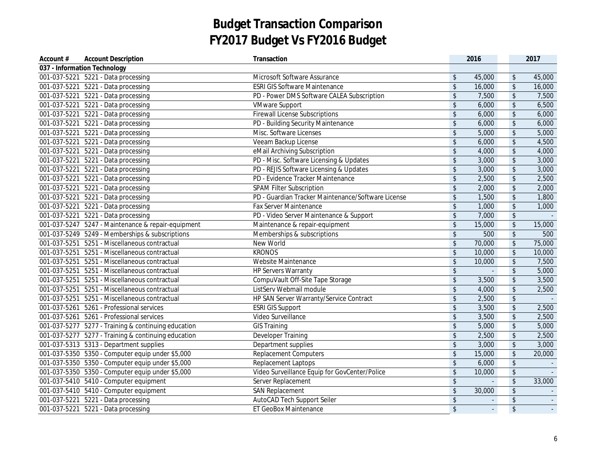| Account #    | <b>Account Description</b>                          | Transaction                                        |                            | 2016         |                            | 2017   |
|--------------|-----------------------------------------------------|----------------------------------------------------|----------------------------|--------------|----------------------------|--------|
|              | 037 - Information Technology                        |                                                    |                            |              |                            |        |
|              | 001-037-5221 5221 - Data processing                 | Microsoft Software Assurance                       | \$                         | 45,000       | \$                         | 45,000 |
|              | 001-037-5221 5221 - Data processing                 | <b>ESRI GIS Software Maintenance</b>               | \$                         | 16,000       | \$                         | 16,000 |
|              | 001-037-5221 5221 - Data processing                 | PD - Power DMS Software CALEA Subscription         | $\boldsymbol{\hat{\zeta}}$ | 7,500        | $\boldsymbol{\mathsf{\$}}$ | 7,500  |
| 001-037-5221 | 5221 - Data processing                              | <b>VMware Support</b>                              | $\boldsymbol{\hat{\zeta}}$ | 6,000        | $\sqrt{2}$                 | 6,500  |
| 001-037-5221 | 5221 - Data processing                              | <b>Firewall License Subscriptions</b>              | $\boldsymbol{\hat{\zeta}}$ | 6,000        | $\sqrt{2}$                 | 6,000  |
|              | 001-037-5221 5221 - Data processing                 | PD - Building Security Maintenance                 | $\frac{1}{2}$              | 6,000        | $\sqrt[6]{\frac{1}{2}}$    | 6,000  |
| 001-037-5221 | 5221 - Data processing                              | Misc. Software Licenses                            | \$                         | 5,000        | \$                         | 5,000  |
|              | 001-037-5221 5221 - Data processing                 | Veeam Backup License                               | \$                         | 6,000        | \$                         | 4,500  |
| 001-037-5221 | 5221 - Data processing                              | eMail Archiving Subscription                       | \$                         | 4,000        | \$                         | 4,000  |
| 001-037-5221 | 5221 - Data processing                              | PD - Misc. Software Licensing & Updates            | $\sqrt[6]{\frac{1}{2}}$    | 3,000        | $\sqrt{2}$                 | 3,000  |
|              | 001-037-5221 5221 - Data processing                 | PD - REJIS Software Licensing & Updates            | $\boldsymbol{\hat{\zeta}}$ | 3,000        | $\sqrt{2}$                 | 3,000  |
|              | 001-037-5221 5221 - Data processing                 | PD - Evidence Tracker Maintenance                  | \$                         | 2,500        | \$                         | 2,500  |
|              | 001-037-5221 5221 - Data processing                 | <b>SPAM Filter Subscription</b>                    | \$                         | 2,000        | \$                         | 2,000  |
|              | 001-037-5221 5221 - Data processing                 | PD - Guardian Tracker Maintenance/Software License | $\sqrt[6]{\frac{1}{2}}$    | 1,500        | \$                         | 1,800  |
| 001-037-5221 | 5221 - Data processing                              | Fax Server Maintenance                             | $\sqrt[6]{\frac{1}{2}}$    | 1,000        | $\boldsymbol{\mathsf{\$}}$ | 1,000  |
|              | 001-037-5221 5221 - Data processing                 | PD - Video Server Maintenance & Support            | $\overline{\mathcal{L}}$   | 7,000        | $\overline{\mathcal{L}}$   |        |
|              | 001-037-5247 5247 - Maintenance & repair-equipment  | Maintenance & repair-equipment                     | $\boldsymbol{\hat{\zeta}}$ | 15,000       | $\frac{1}{2}$              | 15,000 |
|              | 001-037-5249 5249 - Memberships & subscriptions     | Memberships & subscriptions                        | \$                         | 500          | $\frac{1}{2}$              | 500    |
|              | 001-037-5251 5251 - Miscellaneous contractual       | New World                                          | \$                         | 70,000       | $$\mathbb{S}$$             | 75,000 |
|              | 001-037-5251 5251 - Miscellaneous contractual       | <b>KRONOS</b>                                      | $\boldsymbol{\hat{\zeta}}$ | 10,000       | $\sqrt[6]{\frac{1}{2}}$    | 10,000 |
|              | 001-037-5251 5251 - Miscellaneous contractual       | Website Maintenance                                | $\sqrt[6]{\frac{1}{2}}$    | 10,000       | $\sqrt[6]{2}$              | 7,500  |
|              | 001-037-5251 5251 - Miscellaneous contractual       | <b>HP Servers Warranty</b>                         | \$                         | $\sim$       | \$                         | 5,000  |
|              | 001-037-5251 5251 - Miscellaneous contractual       | CompuVault Off-Site Tape Storage                   | $\boldsymbol{\hat{\zeta}}$ | 3,500        | $\sqrt[6]{\frac{1}{2}}$    | 3,500  |
|              | 001-037-5251 5251 - Miscellaneous contractual       | ListServ Webmail module                            | $\boldsymbol{\hat{\zeta}}$ | 4,000        | \$                         | 2,500  |
|              | 001-037-5251 5251 - Miscellaneous contractual       | HP SAN Server Warranty/Service Contract            | $\frac{1}{2}$              | 2,500        | \$                         |        |
|              | 001-037-5261 5261 - Professional services           | <b>ESRI GIS Support</b>                            | $\boldsymbol{\hat{\zeta}}$ | 3,500        | $\sqrt[6]{\frac{1}{2}}$    | 2,500  |
|              | 001-037-5261 5261 - Professional services           | Video Surveillance                                 | $\boldsymbol{\hat{\zeta}}$ | 3,500        | $\sqrt{2}$                 | 2,500  |
|              | 001-037-5277 5277 - Training & continuing education | <b>GIS Training</b>                                | \$                         | 5,000        | $\sqrt[6]{\frac{1}{2}}$    | 5,000  |
|              | 001-037-5277 5277 - Training & continuing education | Developer Training                                 | $\sqrt[6]{\frac{1}{2}}$    | 2,500        | $\sqrt[6]{\frac{1}{2}}$    | 2,500  |
|              | 001-037-5313  5313 - Department supplies            | Department supplies                                | \$                         | 3,000        | $\sqrt[6]{\frac{1}{2}}$    | 3,000  |
|              | 001-037-5350 5350 - Computer equip under \$5,000    | <b>Replacement Computers</b>                       | $\sqrt[6]{\frac{1}{2}}$    | 15,000       | $\sqrt[6]{\frac{1}{2}}$    | 20,000 |
|              | 001-037-5350 5350 - Computer equip under \$5,000    | Replacement Laptops                                | \$                         | 6,000        | \$                         |        |
|              | 001-037-5350 5350 - Computer equip under \$5,000    | Video Surveillance Equip for GovCenter/Police      | $\boldsymbol{\hat{\zeta}}$ | 10,000       | \$                         |        |
|              | 001-037-5410  5410 - Computer equipment             | Server Replacement                                 | $\boldsymbol{\hat{\zeta}}$ | $\mathbf{r}$ | \$                         | 33,000 |
|              | 001-037-5410  5410 - Computer equipment             | <b>SAN Replacement</b>                             | \$                         | 30,000       | \$                         |        |
|              | 001-037-5221 5221 - Data processing                 | AutoCAD Tech Support Seiler                        | \$                         |              | \$                         |        |
|              | 001-037-5221 5221 - Data processing                 | ET GeoBox Maintenance                              | $\sqrt[6]{\frac{1}{2}}$    | ÷.           | \$                         | $\sim$ |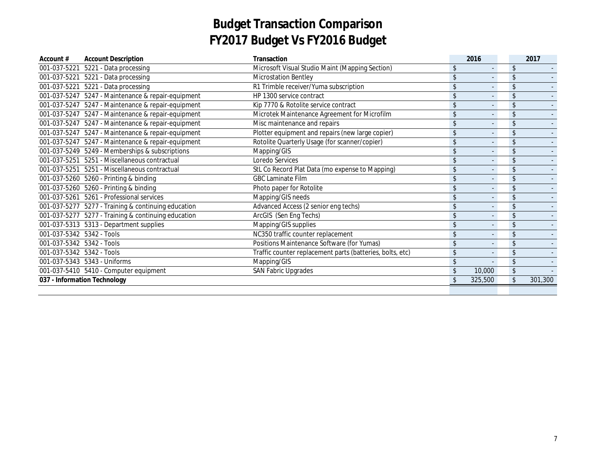| Account #                 | <b>Account Description</b>                          | Transaction                                               |                | 2016    |                | 2017    |
|---------------------------|-----------------------------------------------------|-----------------------------------------------------------|----------------|---------|----------------|---------|
| 001-037-5221              | 5221 - Data processing                              | Microsoft Visual Studio Maint (Mapping Section)           | \$.            |         | \$             |         |
| 001-037-5221              | 5221 - Data processing                              | <b>Microstation Bentley</b>                               |                |         | \$             |         |
| 001-037-5221              | 5221 - Data processing                              | R1 Trimble receiver/Yuma subscription                     |                |         | \$             |         |
| 001-037-5247              | 5247 - Maintenance & repair-equipment               | HP 1300 service contract                                  | \$             |         | \$             |         |
| 001-037-5247              | 5247 - Maintenance & repair-equipment               | Kip 7770 & Rotolite service contract                      |                |         | \$             |         |
| 001-037-5247              | 5247 - Maintenance & repair-equipment               | Microtek Maintenance Agreement for Microfilm              |                |         | $\mathsf{\$}$  |         |
| 001-037-5247              | 5247 - Maintenance & repair-equipment               | Misc maintenance and repairs                              |                |         | \$             |         |
| 001-037-5247              | 5247 - Maintenance & repair-equipment               | Plotter equipment and repairs (new large copier)          | \$             |         | \$             |         |
| 001-037-5247              | 5247 - Maintenance & repair-equipment               | Rotolite Quarterly Usage (for scanner/copier)             |                |         | \$             |         |
|                           | 001-037-5249 5249 - Memberships & subscriptions     | Mapping/GIS                                               |                |         | \$             |         |
| 001-037-5251              | 5251 - Miscellaneous contractual                    | Loredo Services                                           |                |         | $\mathfrak{L}$ |         |
| 001-037-5251              | 5251 - Miscellaneous contractual                    | StL Co Record Plat Data (mo expense to Mapping)           | \$             |         | \$             |         |
|                           | 001-037-5260 5260 - Printing & binding              | <b>GBC Laminate Film</b>                                  | $\mathfrak{L}$ |         | \$             |         |
|                           | 001-037-5260 5260 - Printing & binding              | Photo paper for Rotolite                                  |                |         | \$             |         |
| 001-037-5261              | 5261 - Professional services                        | Mapping/GIS needs                                         |                |         | $\mathsf{\$}$  |         |
|                           | 001-037-5277 5277 - Training & continuing education | Advanced Access (2 senior eng techs)                      |                |         | \$             |         |
| 001-037-5277              | 5277 - Training & continuing education              | ArcGIS (Sen Eng Techs)                                    |                |         | \$             |         |
|                           | 001-037-5313  5313 - Department supplies            | Mapping/GIS supplies                                      |                |         | $\mathfrak{L}$ |         |
| 001-037-5342 5342 - Tools |                                                     | NC350 traffic counter replacement                         |                |         | \$             |         |
| 001-037-5342 5342 - Tools |                                                     | Positions Maintenance Software (for Yumas)                |                |         | $\mathfrak{L}$ |         |
| 001-037-5342 5342 - Tools |                                                     | Traffic counter replacement parts (batteries, bolts, etc) | \$             |         | \$             |         |
|                           | 001-037-5343  5343 - Uniforms                       | Mapping/GIS                                               | \$             |         | \$             |         |
|                           | 001-037-5410  5410 - Computer equipment             | <b>SAN Fabric Upgrades</b>                                | \$             | 10,000  | \$             |         |
|                           | 037 - Information Technology                        |                                                           |                | 325,500 | \$             | 301,300 |
|                           |                                                     |                                                           |                |         |                |         |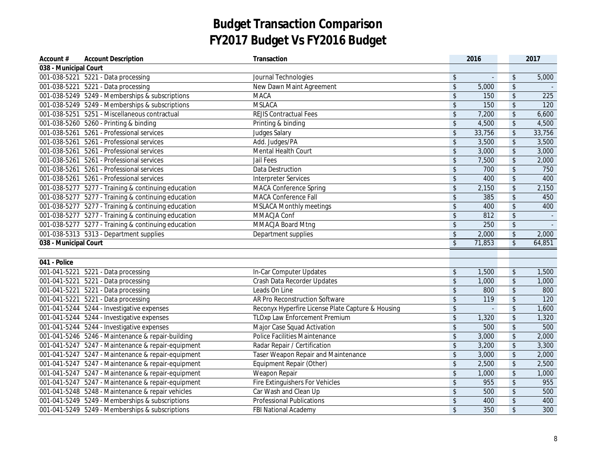| Account #             | <b>Account Description</b>                          | Transaction                                       |                            | 2016   |                         | 2017   |
|-----------------------|-----------------------------------------------------|---------------------------------------------------|----------------------------|--------|-------------------------|--------|
| 038 - Municipal Court |                                                     |                                                   |                            |        |                         |        |
|                       | 001-038-5221 5221 - Data processing                 | Journal Technologies                              | \$                         |        | $\boldsymbol{\$}$       | 5,000  |
|                       | 001-038-5221 5221 - Data processing                 | New Dawn Maint Agreement                          | $\frac{1}{2}$              | 5,000  | \$                      |        |
|                       | 001-038-5249 5249 - Memberships & subscriptions     | <b>MACA</b>                                       | $\boldsymbol{\hat{\zeta}}$ | 150    | $\sqrt[6]{\frac{1}{2}}$ | 225    |
|                       | 001-038-5249 5249 - Memberships & subscriptions     | <b>MSLACA</b>                                     | \$                         | 150    | $\frac{1}{2}$           | 120    |
|                       | 001-038-5251 5251 - Miscellaneous contractual       | <b>REJIS Contractual Fees</b>                     | $\boldsymbol{\hat{\zeta}}$ | 7,200  | $\sqrt[6]{\frac{1}{2}}$ | 6,600  |
|                       | 001-038-5260 5260 - Printing & binding              | Printing & binding                                | \$                         | 4,500  | $\frac{1}{2}$           | 4,500  |
|                       | 001-038-5261 5261 - Professional services           | <b>Judges Salary</b>                              | $\boldsymbol{\hat{\zeta}}$ | 33,756 | $\frac{1}{2}$           | 33,756 |
|                       | 001-038-5261 5261 - Professional services           | Add. Judges/PA                                    | $\sqrt[6]{\frac{1}{2}}$    | 3,500  | \$                      | 3,500  |
|                       | 001-038-5261 5261 - Professional services           | Mental Health Court                               | $\boldsymbol{\hat{\zeta}}$ | 3,000  | \$                      | 3,000  |
|                       | 001-038-5261 5261 - Professional services           | Jail Fees                                         | $\boldsymbol{\hat{\zeta}}$ | 7,500  | \$                      | 2,000  |
|                       | 001-038-5261 5261 - Professional services           | Data Destruction                                  | $\boldsymbol{\hat{\zeta}}$ | 700    | $\sqrt[6]{\frac{1}{2}}$ | 750    |
|                       | 001-038-5261 5261 - Professional services           | <b>Interpreter Services</b>                       | \$                         | 400    | \$                      | 400    |
|                       | 001-038-5277 5277 - Training & continuing education | <b>MACA Conference Spring</b>                     | $\boldsymbol{\hat{\zeta}}$ | 2,150  | $\frac{1}{2}$           | 2,150  |
|                       | 001-038-5277 5277 - Training & continuing education | <b>MACA Conference Fall</b>                       | \$                         | 385    | $\sqrt{2}$              | 450    |
|                       | 001-038-5277 5277 - Training & continuing education | <b>MSLACA Monthly meetings</b>                    | \$                         | 400    | \$                      | 400    |
|                       | 001-038-5277 5277 - Training & continuing education | MMACJA Conf                                       | \$                         | 812    | \$                      | $\sim$ |
|                       | 001-038-5277 5277 - Training & continuing education | MMACJA Board Mtng                                 | $\sqrt[6]{\frac{1}{2}}$    | 250    | \$                      |        |
|                       | 001-038-5313  5313 - Department supplies            | Department supplies                               | $\boldsymbol{\$}$          | 2,000  | $\boldsymbol{\$}$       | 2,000  |
| 038 - Municipal Court |                                                     |                                                   | $\sqrt[6]{\frac{1}{2}}$    | 71,853 | $\sqrt[6]{\frac{1}{2}}$ | 64,851 |
|                       |                                                     |                                                   |                            |        |                         |        |
| 041 - Police          |                                                     |                                                   |                            |        |                         |        |
|                       | 001-041-5221 5221 - Data processing                 | In-Car Computer Updates                           | \$                         | 1,500  | \$                      | 1,500  |
|                       | 001-041-5221 5221 - Data processing                 | Crash Data Recorder Updates                       | $\boldsymbol{\hat{\zeta}}$ | 1,000  | $\sqrt[6]{\frac{1}{2}}$ | 1,000  |
|                       | 001-041-5221 5221 - Data processing                 | Leads On Line                                     | \$                         | 800    | $\sqrt[6]{\frac{1}{2}}$ | 800    |
|                       | 001-041-5221 5221 - Data processing                 | AR Pro Reconstruction Software                    | $\boldsymbol{\mathsf{\$}}$ | 119    | $\boldsymbol{\$}$       | 120    |
|                       | 001-041-5244 5244 - Investigative expenses          | Reconyx Hyperfire License Plate Capture & Housing | $\frac{1}{2}$              |        | \$                      | 1,600  |
|                       | 001-041-5244 5244 - Investigative expenses          | <b>TLOxp Law Enforcement Premium</b>              | $\boldsymbol{\hat{\zeta}}$ | 1,320  | \$                      | 1,320  |
|                       | 001-041-5244 5244 - Investigative expenses          | Major Case Squad Activation                       | $\boldsymbol{\hat{\zeta}}$ | 500    | \$                      | 500    |
|                       | 001-041-5246 5246 - Maintenance & repair-building   | Police Facilities Maintenance                     | $\boldsymbol{\$}$          | 3,000  | $\boldsymbol{\$}$       | 2,000  |
|                       | 001-041-5247 5247 - Maintenance & repair-equipment  | Radar Repair / Certification                      | \$                         | 3,200  | \$                      | 3,300  |
|                       | 001-041-5247 5247 - Maintenance & repair-equipment  | <b>Taser Weapon Repair and Maintenance</b>        | $\boldsymbol{\hat{\zeta}}$ | 3,000  | \$                      | 2,000  |
|                       | 001-041-5247 5247 - Maintenance & repair-equipment  | Equipment Repair (Other)                          | \$                         | 2,500  | \$                      | 2,500  |
|                       | 001-041-5247 5247 - Maintenance & repair-equipment  | Weapon Repair                                     | $\sqrt[6]{\frac{1}{2}}$    | 1,000  | \$                      | 1,000  |
|                       | 001-041-5247 5247 - Maintenance & repair-equipment  | <b>Fire Extinguishers For Vehicles</b>            | $\boldsymbol{\hat{\zeta}}$ | 955    | $\,$                    | 955    |
|                       | 001-041-5248 5248 - Maintenance & repair vehicles   | Car Wash and Clean Up                             | $\boldsymbol{\hat{\zeta}}$ | 500    | \$                      | 500    |
|                       | 001-041-5249 5249 - Memberships & subscriptions     | <b>Professional Publications</b>                  | $\boldsymbol{\hat{\zeta}}$ | 400    | \$                      | 400    |
|                       | 001-041-5249 5249 - Memberships & subscriptions     | <b>FBI National Academy</b>                       | $\sqrt[6]{\frac{1}{2}}$    | 350    | \$                      | 300    |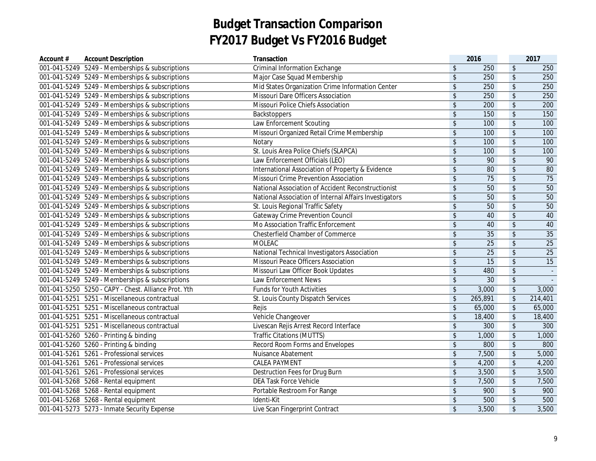| Account #    | <b>Account Description</b>                            | Transaction                                            |                            | 2016            |                            | 2017            |
|--------------|-------------------------------------------------------|--------------------------------------------------------|----------------------------|-----------------|----------------------------|-----------------|
|              | 001-041-5249 5249 - Memberships & subscriptions       | <b>Criminal Information Exchange</b>                   | \$                         | 250             | $\sqrt[6]{\frac{1}{2}}$    | 250             |
|              | 001-041-5249 5249 - Memberships & subscriptions       | Major Case Squad Membership                            | $\boldsymbol{\hat{\zeta}}$ | 250             | $\sqrt[6]{\frac{1}{2}}$    | 250             |
|              | 001-041-5249 5249 - Memberships & subscriptions       | Mid States Organization Crime Information Center       | $\sqrt[6]{\frac{1}{2}}$    | 250             | $\sqrt[6]{\frac{1}{2}}$    | 250             |
|              | 001-041-5249 5249 - Memberships & subscriptions       | Missouri Dare Officers Association                     | $\frac{1}{2}$              | 250             | \$                         | 250             |
|              | 001-041-5249 5249 - Memberships & subscriptions       | <b>Missouri Police Chiefs Association</b>              | $\sqrt[6]{\frac{1}{2}}$    | 200             | $\sqrt{2}$                 | 200             |
|              | 001-041-5249 5249 - Memberships & subscriptions       | Backstoppers                                           | $\frac{1}{2}$              | 150             | $\sqrt[6]{\frac{1}{2}}$    | 150             |
|              | 001-041-5249 5249 - Memberships & subscriptions       | Law Enforcement Scouting                               | $\sqrt[6]{\frac{1}{2}}$    | 100             | $\sqrt[6]{\frac{1}{2}}$    | 100             |
|              | 001-041-5249 5249 - Memberships & subscriptions       | Missouri Organized Retail Crime Membership             | $\sqrt[6]{\frac{1}{2}}$    | 100             | \$                         | 100             |
|              | 001-041-5249 5249 - Memberships & subscriptions       | Notary                                                 | $\sqrt[6]{\frac{1}{2}}$    | 100             | \$                         | 100             |
|              | 001-041-5249 5249 - Memberships & subscriptions       | St. Louis Area Police Chiefs (SLAPCA)                  | $\sqrt[6]{\frac{1}{2}}$    | 100             | \$                         | 100             |
|              | 001-041-5249 5249 - Memberships & subscriptions       | Law Enforcement Officials (LEO)                        | $\sqrt[6]{\frac{1}{2}}$    | 90              | \$                         | 90              |
|              | 001-041-5249 5249 - Memberships & subscriptions       | International Association of Property & Evidence       | $\boldsymbol{\mathsf{\$}}$ | 80              | $\,$                       | 80              |
|              | 001-041-5249 5249 - Memberships & subscriptions       | Missouri Crime Prevention Association                  | \$                         | $\overline{75}$ | $\sqrt{2}$                 | 75              |
|              | 001-041-5249 5249 - Memberships & subscriptions       | National Association of Accident Reconstructionist     | $\boldsymbol{\mathsf{\$}}$ | 50              | $\,$                       | 50              |
|              | 001-041-5249 5249 - Memberships & subscriptions       | National Association of Internal Affairs Investigators | $\boldsymbol{\mathsf{\$}}$ | 50              | $\sqrt{2}$                 | 50              |
|              | 001-041-5249 5249 - Memberships & subscriptions       | St. Louis Regional Traffic Safety                      | $\boldsymbol{\mathsf{\$}}$ | 50              | $\sqrt{2}$                 | 50              |
|              | 001-041-5249 5249 - Memberships & subscriptions       | <b>Gateway Crime Prevention Council</b>                | $\boldsymbol{\mathsf{\$}}$ | 40              | $\sqrt{2}$                 | 40              |
|              | 001-041-5249 5249 - Memberships & subscriptions       | Mo Association Traffic Enforcement                     | $\boldsymbol{\mathsf{\$}}$ | 40              | $\updownarrow$             | 40              |
|              | 001-041-5249 5249 - Memberships & subscriptions       | Chesterfield Chamber of Commerce                       | \$                         | $\overline{35}$ | $\,$                       | 35              |
|              | 001-041-5249 5249 - Memberships & subscriptions       | <b>MOLEAC</b>                                          | $\frac{1}{2}$              | $\overline{25}$ | $\sqrt[6]{\frac{1}{2}}$    | $\overline{25}$ |
|              | 001-041-5249 5249 - Memberships & subscriptions       | National Technical Investigators Association           | $\sqrt[6]{\frac{1}{2}}$    | 25              | $\sqrt[6]{\frac{1}{2}}$    | $\overline{25}$ |
|              | 001-041-5249 5249 - Memberships & subscriptions       | Missouri Peace Officers Association                    | $\frac{1}{2}$              | $\overline{15}$ | \$                         | $\overline{15}$ |
|              | 001-041-5249 5249 - Memberships & subscriptions       | Missouri Law Officer Book Updates                      | $\sqrt[6]{\frac{1}{2}}$    | 480             | $\,$                       | $\sim$          |
|              | 001-041-5249 5249 - Memberships & subscriptions       | Law Enforcement News                                   | \$                         | $\overline{30}$ | \$                         |                 |
|              | 001-041-5250  5250 - CAPY - Chest. Alliance Prot. Yth | <b>Funds for Youth Activities</b>                      | $\sqrt[6]{\frac{1}{2}}$    | 3,000           | $\updownarrow$             | 3,000           |
|              | 001-041-5251 5251 - Miscellaneous contractual         | St. Louis County Dispatch Services                     | $\sqrt[6]{\frac{1}{2}}$    | 265,891         | $\sqrt{2}$                 | 214,401         |
|              | 001-041-5251 5251 - Miscellaneous contractual         | Rejis                                                  | $\sqrt[6]{\frac{1}{2}}$    | 65,000          | $\boldsymbol{\mathsf{\$}}$ | 65,000          |
| 001-041-5251 | 5251 - Miscellaneous contractual                      | Vehicle Changeover                                     | $\sqrt[6]{\frac{1}{2}}$    | 18,400          | $\overline{\mathcal{L}}$   | 18,400          |
|              | 001-041-5251 5251 - Miscellaneous contractual         | Livescan Rejis Arrest Record Interface                 | $$\mathfrak{s}$$           | 300             | $\boldsymbol{\mathsf{\$}}$ | 300             |
|              | 001-041-5260 5260 - Printing & binding                | <b>Traffic Citations (MUTTS)</b>                       | $\boldsymbol{\hat{\zeta}}$ | 1,000           | $\updownarrow$             | 1,000           |
|              | 001-041-5260 5260 - Printing & binding                | Record Room Forms and Envelopes                        | $\boldsymbol{\hat{\zeta}}$ | 800             | \$                         | 800             |
| 001-041-5261 | 5261 - Professional services                          | Nuisance Abatement                                     | $\sqrt[6]{\frac{1}{2}}$    | 7,500           | $\sqrt[6]{\frac{1}{2}}$    | 5,000           |
| 001-041-5261 | 5261 - Professional services                          | <b>CALEA PAYMENT</b>                                   | \$                         | 4,200           | $\sqrt[6]{\frac{1}{2}}$    | 4,200           |
|              | 001-041-5261 5261 - Professional services             | Destruction Fees for Drug Burn                         | $\sqrt[6]{\frac{1}{2}}$    | 3,500           | $\boldsymbol{\mathsf{\$}}$ | 3,500           |
|              | 001-041-5268 5268 - Rental equipment                  | <b>DEA Task Force Vehicle</b>                          | $\frac{1}{2}$              | 7,500           | $\,$                       | 7,500           |
|              | 001-041-5268 5268 - Rental equipment                  | Portable Restroom For Range                            | \$                         | 900             | $\frac{1}{2}$              | 900             |
|              | 001-041-5268 5268 - Rental equipment                  | Identi-Kit                                             | $\frac{1}{2}$              | 500             | $\sqrt[6]{\frac{1}{2}}$    | 500             |
|              | 001-041-5273 5273 - Inmate Security Expense           | Live Scan Fingerprint Contract                         | $\sqrt[6]{\frac{1}{2}}$    | 3,500           | $\sqrt[6]{\frac{1}{2}}$    | 3,500           |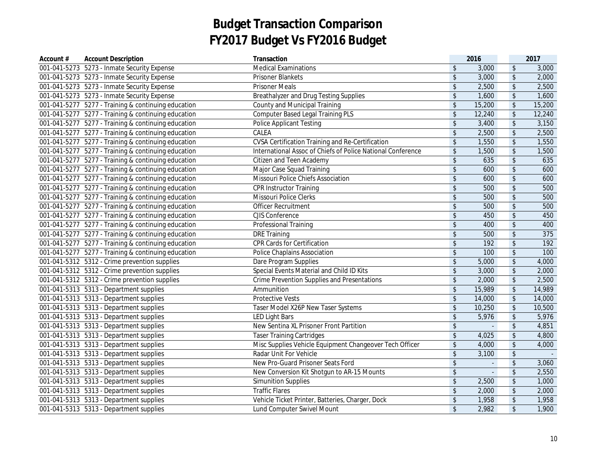| Account # | <b>Account Description</b>                          | Transaction                                                 |                            | 2016           |                         | 2017   |
|-----------|-----------------------------------------------------|-------------------------------------------------------------|----------------------------|----------------|-------------------------|--------|
|           | 001-041-5273  5273 - Inmate Security Expense        | <b>Medical Examinations</b>                                 | $\sqrt{2}$                 | 3,000          | $\sqrt[6]{}$            | 3,000  |
|           | 001-041-5273 5273 - Inmate Security Expense         | <b>Prisoner Blankets</b>                                    | $\mathsf{\$}$              | 3,000          | $\sqrt[6]{\frac{1}{2}}$ | 2,000  |
|           | 001-041-5273 5273 - Inmate Security Expense         | <b>Prisoner Meals</b>                                       | $\sqrt[6]{\frac{1}{2}}$    | 2,500          | $\sqrt[6]{\frac{1}{2}}$ | 2,500  |
|           | 001-041-5273 5273 - Inmate Security Expense         | Breathalyzer and Drug Testing Supplies                      | $\sqrt[6]{\frac{1}{2}}$    | 1,600          | $\sqrt[6]{\frac{1}{2}}$ | 1,600  |
|           | 001-041-5277 5277 - Training & continuing education | <b>County and Municipal Training</b>                        | $\sqrt[6]{\frac{1}{2}}$    | 15,200         | $\sqrt[6]{}$            | 15,200 |
|           | 001-041-5277 5277 - Training & continuing education | <b>Computer Based Legal Training PLS</b>                    | $\sqrt[6]{\frac{1}{2}}$    | 12,240         | $\sqrt[6]{\frac{1}{2}}$ | 12,240 |
|           | 001-041-5277 5277 - Training & continuing education | <b>Police Applicant Testing</b>                             | $\sqrt[6]{2}$              | 3,400          | $\sqrt[6]{}$            | 3,150  |
|           | 001-041-5277 5277 - Training & continuing education | CALEA                                                       | $\mathfrak{S}$             | 2,500          | $\sqrt[6]{}$            | 2,500  |
|           | 001-041-5277 5277 - Training & continuing education | CVSA Certification Training and Re-Certification            | $\sqrt[6]{2}$              | 1,550          | $\sqrt[6]{}$            | 1,550  |
|           | 001-041-5277 5277 - Training & continuing education | International Assoc of Chiefs of Police National Conference | $\sqrt[6]{2}$              | 1,500          | $\sqrt[6]{}$            | 1,500  |
|           | 001-041-5277 5277 - Training & continuing education | Citizen and Teen Academy                                    | $\sqrt{2}$                 | 635            | $\sqrt[6]{}$            | 635    |
|           | 001-041-5277 5277 - Training & continuing education | Major Case Squad Training                                   | $\sqrt{2}$                 | 600            | $\sqrt[6]{\frac{1}{2}}$ | 600    |
|           | 001-041-5277 5277 - Training & continuing education | Missouri Police Chiefs Association                          | $\sqrt[6]{2}$              | 600            | $\sqrt[6]{\frac{1}{2}}$ | 600    |
|           | 001-041-5277 5277 - Training & continuing education | <b>CPR Instructor Training</b>                              | $\sqrt{2}$                 | 500            | $\sqrt[6]{}$            | 500    |
|           | 001-041-5277 5277 - Training & continuing education | Missouri Police Clerks                                      | $\sqrt{2}$                 | 500            | $\sqrt[6]{}$            | 500    |
|           | 001-041-5277 5277 - Training & continuing education | Officer Recruitment                                         | $\sqrt[6]{2}$              | 500            | $\sqrt[6]{}$            | 500    |
|           | 001-041-5277 5277 - Training & continuing education | CJIS Conference                                             | $\sqrt[6]{\frac{1}{2}}$    | 450            | $\sqrt[6]{}$            | 450    |
|           | 001-041-5277 5277 - Training & continuing education | Professional Training                                       | $\boldsymbol{\mathsf{\$}}$ | 400            | $\sqrt[6]{\frac{1}{2}}$ | 400    |
|           | 001-041-5277 5277 - Training & continuing education | <b>DRE Training</b>                                         | $\sqrt[6]{2}$              | 500            | $\sqrt[6]{}$            | 375    |
|           | 001-041-5277 5277 - Training & continuing education | CPR Cards for Certification                                 | $\sqrt[6]{\frac{1}{2}}$    | 192            | $\sqrt[6]{\frac{1}{2}}$ | 192    |
|           | 001-041-5277 5277 - Training & continuing education | <b>Police Chaplains Association</b>                         | $\sqrt[6]{\frac{1}{2}}$    | 100            | $\sqrt[6]{\frac{1}{2}}$ | 100    |
|           | 001-041-5312 5312 - Crime prevention supplies       | Dare Program Supplies                                       | $\sqrt[6]{\frac{1}{2}}$    | 5,000          | $\sqrt[6]{\frac{1}{2}}$ | 4,000  |
|           | 001-041-5312 5312 - Crime prevention supplies       | Special Events Material and Child ID Kits                   | $\sqrt[6]{\frac{1}{2}}$    | 3,000          | $\sqrt[6]{}$            | 2,000  |
|           | 001-041-5312 5312 - Crime prevention supplies       | Crime Prevention Supplies and Presentations                 | $\sqrt[6]{\frac{1}{2}}$    | 2,000          | $\sqrt[6]{}$            | 2,500  |
|           | 001-041-5313  5313 - Department supplies            | Ammunition                                                  | $\sqrt[6]{\frac{1}{2}}$    | 15,989         | $\sqrt[6]{\frac{1}{2}}$ | 14,989 |
|           | 001-041-5313  5313 - Department supplies            | <b>Protective Vests</b>                                     | $\sqrt[6]{\frac{1}{2}}$    | 14,000         | $\sqrt[6]{}$            | 14,000 |
|           | 001-041-5313  5313 - Department supplies            | Taser Model X26P New Taser Systems                          | $\boldsymbol{\mathsf{\$}}$ | 10,250         | $\sqrt[6]{\frac{1}{2}}$ | 10,500 |
|           | 001-041-5313  5313 - Department supplies            | <b>LED Light Bars</b>                                       | $\sqrt[6]{\frac{1}{2}}$    | 5,976          | $\sqrt[6]{}$            | 5,976  |
|           | 001-041-5313  5313 - Department supplies            | New Sentina XL Prisoner Front Partition                     | $\sqrt[6]{\frac{1}{2}}$    | $\overline{a}$ | $\sqrt[6]{}$            | 4,851  |
|           | 001-041-5313  5313 - Department supplies            | <b>Taser Training Cartridges</b>                            | $\sqrt[6]{\frac{1}{2}}$    | 4,025          | $\sqrt[6]{}$            | 4,800  |
|           | 001-041-5313    5313 - Department supplies          | Misc Supplies Vehicle Equipment Changeover Tech Officer     | \$                         | 4,000          | $\sqrt[6]{\frac{1}{2}}$ | 4,000  |
|           | 001-041-5313  5313 - Department supplies            | Radar Unit For Vehicle                                      | $\sqrt{2}$                 | 3,100          | $\sqrt[6]{\frac{1}{2}}$ |        |
|           | 001-041-5313  5313 - Department supplies            | New Pro-Guard Prisoner Seats Ford                           | $\sqrt{2}$                 | ä,             | $\sqrt[6]{}$            | 3,060  |
|           | 001-041-5313  5313 - Department supplies            | New Conversion Kit Shotgun to AR-15 Mounts                  | $\sqrt{2}$                 | $\overline{a}$ | $\sqrt{2}$              | 2,550  |
|           | 001-041-5313  5313 - Department supplies            | <b>Simunition Supplies</b>                                  | $\sqrt[6]{\frac{1}{2}}$    | 2,500          | $\sqrt[6]{\frac{1}{2}}$ | 1,000  |
|           | 001-041-5313  5313 - Department supplies            | <b>Traffic Flares</b>                                       | $\sqrt[6]{\frac{1}{2}}$    | 2,000          | $\sqrt[6]{\frac{1}{2}}$ | 2,000  |
|           | 001-041-5313  5313 - Department supplies            | Vehicle Ticket Printer, Batteries, Charger, Dock            | $$\mathfrak{s}$$           | 1,958          | $\sqrt[6]{\frac{1}{2}}$ | 1,958  |
|           | 001-041-5313 5313 - Department supplies             | Lund Computer Swivel Mount                                  | $\sqrt{2}$                 | 2,982          | $\sqrt{2}$              | 1,900  |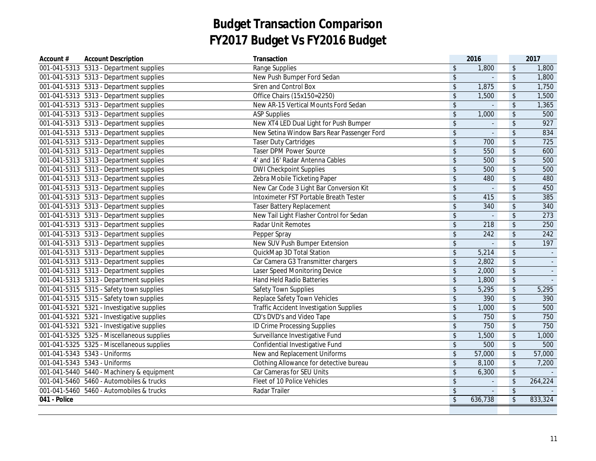| Account #    | <b>Account Description</b>                 | Transaction                                    |                            | 2016           |                            | 2017     |
|--------------|--------------------------------------------|------------------------------------------------|----------------------------|----------------|----------------------------|----------|
|              | 001-041-5313  5313 - Department supplies   | <b>Range Supplies</b>                          | \$                         | 1,800          | $\boldsymbol{\mathsf{\$}}$ | 1,800    |
|              | 001-041-5313  5313 - Department supplies   | New Push Bumper Ford Sedan                     | $\sqrt[6]{\frac{1}{2}}$    |                | $\sqrt[6]{\frac{1}{2}}$    | 1,800    |
|              | 001-041-5313  5313 - Department supplies   | Siren and Control Box                          | $\sqrt[6]{\frac{1}{2}}$    | 1,875          | $\updownarrow$             | 1,750    |
|              | 001-041-5313  5313 - Department supplies   | Office Chairs (15x150=2250)                    | $\sqrt[6]{\frac{1}{2}}$    | 1,500          | $$\mathbb{S}$$             | 1,500    |
|              | 001-041-5313  5313 - Department supplies   | New AR-15 Vertical Mounts Ford Sedan           | $\sqrt{2}$                 | $\Box$         | $\sqrt[6]{}$               | 1,365    |
|              | 001-041-5313  5313 - Department supplies   | <b>ASP Supplies</b>                            | $\,$                       | 1,000          | $\updownarrow$             | 500      |
|              | 001-041-5313  5313 - Department supplies   | New XT4 LED Dual Light for Push Bumper         | $\sqrt[6]{\frac{1}{2}}$    | ÷.             | $\sqrt[6]{\frac{1}{2}}$    | 927      |
|              | 001-041-5313  5313 - Department supplies   | New Setina Window Bars Rear Passenger Ford     | $\,$                       | L.             | $\sqrt[6]{\frac{1}{2}}$    | 834      |
|              | 001-041-5313  5313 - Department supplies   | <b>Taser Duty Cartridges</b>                   | $\,$                       | 700            | $\updownarrow$             | 725      |
|              | 001-041-5313  5313 - Department supplies   | <b>Taser DPM Power Source</b>                  | $\boldsymbol{\hat{\zeta}}$ | 550            | $\sqrt[6]{\frac{1}{2}}$    | 600      |
|              | 001-041-5313 5313 - Department supplies    | 4' and 16' Radar Antenna Cables                | $\frac{1}{2}$              | 500            | $\sqrt[6]{\frac{1}{2}}$    | 500      |
|              | 001-041-5313  5313 - Department supplies   | <b>DWI Checkpoint Supplies</b>                 | \$                         | 500            | $\sqrt[6]{\frac{1}{2}}$    | 500      |
|              | 001-041-5313  5313 - Department supplies   | Zebra Mobile Ticketing Paper                   | $\frac{1}{2}$              | 480            | $\sqrt[6]{\frac{1}{2}}$    | 480      |
|              | 001-041-5313  5313 - Department supplies   | New Car Code 3 Light Bar Conversion Kit        | $\boldsymbol{\hat{\zeta}}$ | $\mathbf{r}$   | \$                         | 450      |
|              | 001-041-5313  5313 - Department supplies   | Intoximeter FST Portable Breath Tester         | $\sqrt[6]{\frac{1}{2}}$    | 415            | $\sqrt[6]{\frac{1}{2}}$    | 385      |
|              | 001-041-5313  5313 - Department supplies   | <b>Taser Battery Replacement</b>               | \$                         | 340            | $\,$                       | 340      |
|              | 001-041-5313  5313 - Department supplies   | New Tail Light Flasher Control for Sedan       | $\overline{\mathcal{L}}$   | $\mathbf{r}$   | $\overline{\mathcal{L}}$   | 273      |
|              | 001-041-5313  5313 - Department supplies   | <b>Radar Unit Remotes</b>                      | $\sqrt[6]{\frac{1}{2}}$    | 218            | $\sqrt[6]{\frac{1}{2}}$    | 250      |
|              | 001-041-5313  5313 - Department supplies   | Pepper Spray                                   | $\sqrt[6]{\frac{1}{2}}$    | 242            | $\sqrt[6]{\frac{1}{2}}$    | 242      |
|              | 001-041-5313  5313 - Department supplies   | New SUV Push Bumper Extension                  | $\sqrt[6]{\frac{1}{2}}$    | $\Box$         | $\sqrt{2}$                 | 197      |
|              | 001-041-5313  5313 - Department supplies   | QuickMap 3D Total Station                      | $\sqrt[6]{\frac{1}{2}}$    | 5,214          | \$                         | $\omega$ |
|              | 001-041-5313  5313 - Department supplies   | Car Camera G3 Transmitter chargers             | $\,$                       | 2,802          | \$                         |          |
|              | 001-041-5313  5313 - Department supplies   | Laser Speed Monitoring Device                  | $\sqrt[6]{\frac{1}{2}}$    | 2,000          | \$                         | $\sim$   |
|              | 001-041-5313  5313 - Department supplies   | <b>Hand Held Radio Batteries</b>               | $\,$                       | 1,800          | $\updownarrow$             | $\sim$   |
|              | 001-041-5315  5315 - Safety town supplies  | Safety Town Supplies                           | \$                         | 5,295          | $\boldsymbol{\$}$          | 5,295    |
|              | 001-041-5315  5315 - Safety town supplies  | Replace Safety Town Vehicles                   | $\boldsymbol{\hat{\zeta}}$ | 390            | $\sqrt[6]{\frac{1}{2}}$    | 390      |
|              | 001-041-5321 5321 - Investigative supplies | <b>Traffic Accident Investigation Supplies</b> | $\boldsymbol{\hat{\zeta}}$ | 1,000          | $\sqrt[6]{\frac{1}{2}}$    | 500      |
|              | 001-041-5321 5321 - Investigative supplies | CD's DVD's and Video Tape                      | $\sqrt[6]{\frac{1}{2}}$    | 750            | $\updownarrow$             | 750      |
|              | 001-041-5321 5321 - Investigative supplies | <b>ID Crime Processing Supplies</b>            | $\sqrt[6]{\frac{1}{2}}$    | 750            | $\sqrt[6]{\frac{1}{2}}$    | 750      |
|              | 001-041-5325 5325 - Miscellaneous supplies | Surveillance Investigative Fund                | $\boldsymbol{\hat{\zeta}}$ | 1,500          | $\updownarrow$             | 1,000    |
|              | 001-041-5325 5325 - Miscellaneous supplies | Confidential Investigative Fund                | $\sqrt[6]{\frac{1}{2}}$    | 500            | $\sqrt[6]{\frac{1}{2}}$    | 500      |
|              | 001-041-5343  5343 - Uniforms              | New and Replacement Uniforms                   | $\,$                       | 57,000         | $$\mathbb{S}$$             | 57,000   |
|              | 001-041-5343  5343 - Uniforms              | Clothing Allowance for detective bureau        | $\sqrt[6]{\frac{1}{2}}$    | 8,100          | $\sqrt[6]{\frac{1}{2}}$    | 7,200    |
|              | 001-041-5440 5440 - Machinery & equipment  | Car Cameras for SEU Units                      | $\boldsymbol{\hat{\zeta}}$ | 6,300          | $\sqrt[6]{\frac{1}{2}}$    |          |
|              | 001-041-5460  5460 - Automobiles & trucks  | Fleet of 10 Police Vehicles                    | $\boldsymbol{\hat{\zeta}}$ |                | $\,$                       | 264,224  |
|              | 001-041-5460  5460 - Automobiles & trucks  | Radar Trailer                                  | $\sqrt[6]{\frac{1}{2}}$    | $\overline{a}$ | $\overline{\mathcal{L}}$   |          |
| 041 - Police |                                            |                                                | $\sqrt{2}$                 | 636,738        | $\overline{\mathcal{S}}$   | 833,324  |
|              |                                            |                                                |                            |                |                            |          |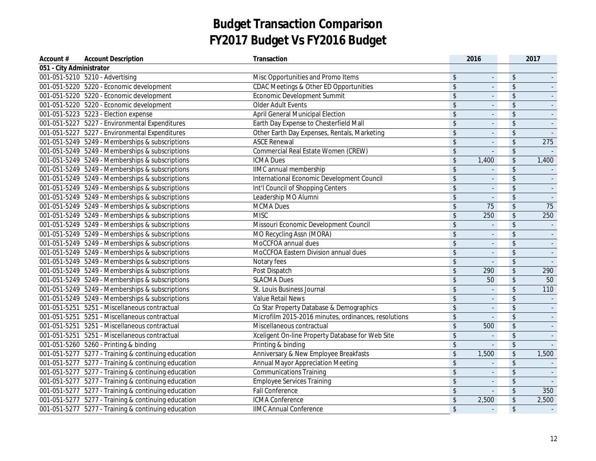| Account #                | <b>Account Description</b>                          | Transaction                                          |                            | 2016                     |                         | 2017   |
|--------------------------|-----------------------------------------------------|------------------------------------------------------|----------------------------|--------------------------|-------------------------|--------|
| 051 - City Administrator |                                                     |                                                      |                            |                          |                         |        |
|                          | 001-051-5210 5210 - Advertising                     | Misc Opportunities and Promo Items                   | \$                         | $\blacksquare$           | $\sqrt[6]{\frac{1}{2}}$ |        |
|                          | 001-051-5220 5220 - Economic development            | CDAC Meetings & Other ED Opportunities               | $\frac{1}{2}$              | $\blacksquare$           | \$                      |        |
|                          | 001-051-5220 5220 - Economic development            | <b>Economic Development Summit</b>                   | $\frac{1}{2}$              | $\blacksquare$           | $\sqrt{2}$              |        |
|                          | 001-051-5220 5220 - Economic development            | <b>Older Adult Events</b>                            | $\frac{1}{2}$              | $\overline{\phantom{a}}$ | \$                      |        |
|                          | 001-051-5223  5223 - Election expense               | <b>April General Municipal Election</b>              | $\frac{1}{2}$              | $\Box$                   | \$                      |        |
|                          | 001-051-5227 5227 - Environmental Expenditures      | Earth Day Expense to Chesterfield Mall               | $\boldsymbol{\mathsf{\$}}$ | $\mathbf{r}$             | \$                      |        |
|                          | 001-051-5227 5227 - Environmental Expenditures      | Other Earth Day Expenses, Rentals, Marketing         | $\boldsymbol{\hat{\zeta}}$ | $\blacksquare$           | \$                      |        |
|                          | 001-051-5249 5249 - Memberships & subscriptions     | <b>ASCE Renewal</b>                                  | $\frac{1}{2}$              | $\overline{\phantom{a}}$ | $\sqrt{2}$              | 275    |
|                          | 001-051-5249 5249 - Memberships & subscriptions     | Commercial Real Estate Women (CREW)                  | $\frac{1}{2}$              | $\Box$                   | $\frac{1}{2}$           |        |
|                          | 001-051-5249 5249 - Memberships & subscriptions     | <b>ICMA Dues</b>                                     | $\boldsymbol{\hat{\zeta}}$ | 1,400                    | $\sqrt[6]{}$            | 1,400  |
|                          | 001-051-5249 5249 - Memberships & subscriptions     | IIMC annual membership                               | \$                         | $\blacksquare$           | \$                      |        |
|                          | 001-051-5249 5249 - Memberships & subscriptions     | International Economic Development Council           | $\boldsymbol{\hat{\zeta}}$ | $\Box$                   | \$                      |        |
|                          | 001-051-5249 5249 - Memberships & subscriptions     | Int'l Council of Shopping Centers                    | $\sqrt[6]{\frac{1}{2}}$    | $\blacksquare$           | \$                      |        |
|                          | 001-051-5249 5249 - Memberships & subscriptions     | Leadership MO Alumni                                 | $\sqrt[6]{\frac{1}{2}}$    |                          | \$                      |        |
|                          | 001-051-5249 5249 - Memberships & subscriptions     | <b>MCMA Dues</b>                                     | $\sqrt[6]{\frac{1}{2}}$    | 75                       | $\sqrt{2}$              | 75     |
|                          | 001-051-5249 5249 - Memberships & subscriptions     | <b>MISC</b>                                          | $\sqrt[6]{\frac{1}{2}}$    | 250                      | \$                      | 250    |
|                          | 001-051-5249 5249 - Memberships & subscriptions     | Missouri Economic Development Council                | $\sqrt[6]{\frac{1}{2}}$    | L.                       | \$                      | $\sim$ |
|                          | 001-051-5249 5249 - Memberships & subscriptions     | MO Recycling Assn (MORA)                             | $\boldsymbol{\hat{\zeta}}$ | $\Box$                   | $\frac{1}{2}$           | $\sim$ |
|                          | 001-051-5249 5249 - Memberships & subscriptions     | MoCCFOA annual dues                                  | \$                         | $\blacksquare$           | $\frac{1}{2}$           |        |
|                          | 001-051-5249 5249 - Memberships & subscriptions     | MoCCFOA Eastern Division annual dues                 | $\sqrt[6]{\frac{1}{2}}$    | $\blacksquare$           | \$                      |        |
|                          | 001-051-5249 5249 - Memberships & subscriptions     | Notary fees                                          | \$                         | $\overline{\phantom{a}}$ | \$                      |        |
|                          | 001-051-5249 5249 - Memberships & subscriptions     | Post Dispatch                                        | \$                         | 290                      | \$                      | 290    |
|                          | 001-051-5249 5249 - Memberships & subscriptions     | <b>SLACMA Dues</b>                                   | $\sqrt[6]{\frac{1}{2}}$    | 50                       | $\sqrt[6]{\frac{1}{2}}$ | 50     |
|                          | 001-051-5249 5249 - Memberships & subscriptions     | St. Louis Business Journal                           | \$                         | $\mathbf{r}$             | \$                      | 110    |
|                          | 001-051-5249 5249 - Memberships & subscriptions     | <b>Value Retail News</b>                             | $\sqrt[6]{\frac{1}{2}}$    | $\blacksquare$           | \$                      |        |
|                          | 001-051-5251 5251 - Miscellaneous contractual       | Co Star Property Database & Demographics             | \$                         | L.                       | \$                      |        |
|                          | 001-051-5251 5251 - Miscellaneous contractual       | Microfilm 2015-2016 minutes, ordinances, resolutions | $$\mathfrak{s}$$           | $\Box$                   | $\sqrt{2}$              |        |
|                          | 001-051-5251 5251 - Miscellaneous contractual       | Miscellaneous contractual                            | $$\mathfrak{s}$$           | 500                      | \$                      |        |
|                          | 001-051-5251 5251 - Miscellaneous contractual       | Xceligent On-line Property Database for Web Site     | $\boldsymbol{\hat{\zeta}}$ | $\omega$                 | \$                      | $\sim$ |
|                          | 001-051-5260 5260 - Printing & binding              | Printing & binding                                   | $$\mathfrak{s}$$           | $\bar{a}$                | $\updownarrow$          |        |
|                          | 001-051-5277 5277 - Training & continuing education | Anniversary & New Employee Breakfasts                | $\boldsymbol{\hat{\zeta}}$ | 1,500                    | $\sqrt{2}$              | 1,500  |
|                          | 001-051-5277 5277 - Training & continuing education | <b>Annual Mayor Appreciation Meeting</b>             | $\sqrt[6]{\frac{1}{2}}$    | $\blacksquare$           | \$                      |        |
|                          | 001-051-5277 5277 - Training & continuing education | <b>Communications Training</b>                       | $\frac{1}{2}$              | $\overline{\phantom{a}}$ | \$                      |        |
|                          | 001-051-5277 5277 - Training & continuing education | <b>Employee Services Training</b>                    | $\frac{1}{2}$              | $\blacksquare$           | \$                      |        |
|                          | 001-051-5277 5277 - Training & continuing education | <b>Fall Conference</b>                               | $\sqrt[6]{\frac{1}{2}}$    | L.                       | \$                      | 350    |
|                          | 001-051-5277 5277 - Training & continuing education | ICMA Conference                                      | \$                         | 2,500                    | \$                      | 2,500  |
|                          | 001-051-5277 5277 - Training & continuing education | <b>IIMC Annual Conference</b>                        | $\sqrt[6]{\frac{1}{2}}$    | $\blacksquare$           | \$                      |        |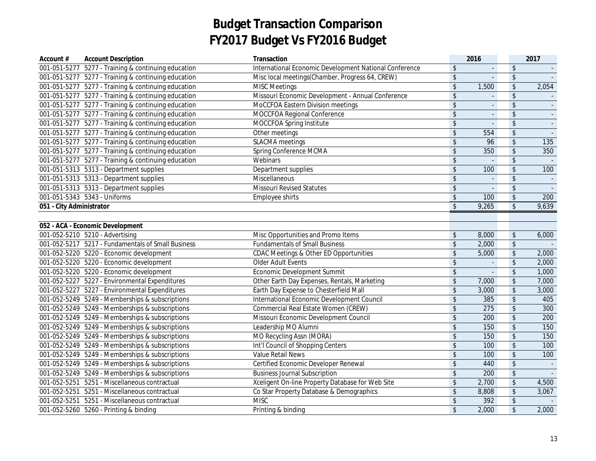| Account #                | <b>Account Description</b>                          | Transaction                                            |                            | 2016           |                            | 2017     |
|--------------------------|-----------------------------------------------------|--------------------------------------------------------|----------------------------|----------------|----------------------------|----------|
|                          | 001-051-5277 5277 - Training & continuing education | International Economic Development National Conference | \$                         | $\mathbf{r}$   | $\boldsymbol{\mathsf{\$}}$ |          |
|                          | 001-051-5277 5277 - Training & continuing education | Misc local meetings(Chamber, Progress 64, CREW)        | $\sqrt[6]{\frac{1}{2}}$    | $\mathbf{r}$   | $\sqrt[6]{}$               |          |
|                          | 001-051-5277 5277 - Training & continuing education | <b>MISC Meetings</b>                                   | $\sqrt[6]{\frac{1}{2}}$    | 1,500          | $\boldsymbol{\mathsf{\$}}$ | 2,054    |
|                          | 001-051-5277 5277 - Training & continuing education | Missouri Economic Development - Annual Conference      | $\boldsymbol{\hat{\zeta}}$ | $\Box$         | \$                         |          |
|                          | 001-051-5277 5277 - Training & continuing education | MoCCFOA Eastern Division meetings                      | $\boldsymbol{\hat{\zeta}}$ | $\Box$         | \$                         |          |
|                          | 001-051-5277 5277 - Training & continuing education | MOCCFOA Regional Conference                            | $\boldsymbol{\mathsf{\$}}$ | $\Box$         | \$                         | $\omega$ |
|                          | 001-051-5277 5277 - Training & continuing education | MOCCFOA Spring Institute                               | $\boldsymbol{\$}$          | $\overline{a}$ | \$                         |          |
|                          | 001-051-5277 5277 - Training & continuing education | Other meetings                                         | $\boldsymbol{\hat{\zeta}}$ | 554            | \$                         |          |
|                          | 001-051-5277 5277 - Training & continuing education | <b>SLACMA</b> meetings                                 | $\boldsymbol{\hat{\zeta}}$ | 96             | \$                         | 135      |
|                          | 001-051-5277 5277 - Training & continuing education | Spring Conference MCMA                                 | \$                         | 350            | \$                         | 350      |
|                          | 001-051-5277 5277 - Training & continuing education | Webinars                                               | $\boldsymbol{\hat{\zeta}}$ | $\mathbf{r}$   | \$                         |          |
|                          | 001-051-5313 5313 - Department supplies             | Department supplies                                    | $\boldsymbol{\hat{\zeta}}$ | 100            | $\frac{1}{2}$              | 100      |
|                          | 001-051-5313  5313 - Department supplies            | Miscellaneous                                          | \$                         | $\bar{a}$      | $\sqrt[6]{\frac{1}{2}}$    |          |
|                          | 001-051-5313  5313 - Department supplies            | <b>Missouri Revised Statutes</b>                       | $\sqrt[6]{\frac{1}{2}}$    |                | $\sqrt{2}$                 |          |
|                          | 001-051-5343  5343 - Uniforms                       | Employee shirts                                        | $\,$                       | 100            | $\updownarrow$             | 200      |
| 051 - City Administrator |                                                     |                                                        | $\overline{\$}$            | 9,265          | $\sqrt{2}$                 | 9,639    |
|                          |                                                     |                                                        |                            |                |                            |          |
|                          | 052 - ACA - Economic Development                    |                                                        |                            |                |                            |          |
|                          | 001-052-5210 5210 - Advertising                     | Misc Opportunities and Promo Items                     | \$                         | 8,000          | $\sqrt[6]{\frac{1}{2}}$    | 6,000    |
|                          | 001-052-5217 5217 - Fundamentals of Small Business  | <b>Fundamentals of Small Business</b>                  | \$                         | 2,000          | $\,$                       |          |
|                          | 001-052-5220 5220 - Economic development            | CDAC Meetings & Other ED Opportunities                 | $\mathsf{\$}$              | 5,000          | $\updownarrow$             | 2,000    |
|                          | 001-052-5220 5220 - Economic development            | Older Adult Events                                     | \$                         |                | $$\mathbb{S}$$             | 2,000    |
|                          | 001-052-5220 5220 - Economic development            | Economic Development Summit                            | $\frac{1}{2}$              | $\mathbf{r}$   | $\sqrt[6]{}$               | 1,000    |
|                          | 001-052-5227 5227 - Environmental Expenditures      | Other Earth Day Expenses, Rentals, Marketing           | $\,$                       | 7,000          | $\boldsymbol{\mathsf{\$}}$ | 7,000    |
|                          | 001-052-5227 5227 - Environmental Expenditures      | Earth Day Expense to Chesterfield Mall                 | \$                         | 3,000          | $\frac{1}{2}$              | 3,000    |
|                          | 001-052-5249 5249 - Memberships & subscriptions     | International Economic Development Council             | $\boldsymbol{\hat{\zeta}}$ | 385            | $\sqrt[6]{\frac{1}{2}}$    | 405      |
|                          | 001-052-5249 5249 - Memberships & subscriptions     | Commercial Real Estate Women (CREW)                    | $\sqrt[6]{\frac{1}{2}}$    | 275            | $\sqrt[6]{\frac{1}{2}}$    | 300      |
|                          | 001-052-5249 5249 - Memberships & subscriptions     | Missouri Economic Development Council                  | $\,$                       | 200            | \$                         | 200      |
|                          | 001-052-5249 5249 - Memberships & subscriptions     | Leadership MO Alumni                                   | $\,$                       | 150            | $\,$                       | 150      |
|                          | 001-052-5249 5249 - Memberships & subscriptions     | MO Recycling Assn (MORA)                               | $\boldsymbol{\mathsf{\$}}$ | 150            | $\updownarrow$             | 150      |
|                          | 001-052-5249 5249 - Memberships & subscriptions     | Int'l Council of Shopping Centers                      | \$                         | 100            | \$                         | 100      |
|                          | 001-052-5249 5249 - Memberships & subscriptions     | Value Retail News                                      | \$                         | 100            | $\frac{1}{2}$              | 100      |
|                          | 001-052-5249 5249 - Memberships & subscriptions     | Certified Economic Developer Renewal                   | $\sqrt[6]{\frac{1}{2}}$    | 440            | \$                         |          |
|                          | 001-052-5249 5249 - Memberships & subscriptions     | <b>Business Journal Subscription</b>                   | $\boldsymbol{\hat{\zeta}}$ | 200            | $\sqrt[6]{\frac{1}{2}}$    |          |
|                          | 001-052-5251 5251 - Miscellaneous contractual       | Xceligent On-line Property Database for Web Site       | $\sqrt[6]{\frac{1}{2}}$    | 2,700          | $\frac{1}{2}$              | 4,500    |
|                          | 001-052-5251 5251 - Miscellaneous contractual       | Co Star Property Database & Demographics               | $\boldsymbol{\mathsf{\$}}$ | 8,808          | $$\mathbb{S}$$             | 3,067    |
|                          | 001-052-5251 5251 - Miscellaneous contractual       | <b>MISC</b>                                            | $\,$                       | 392            | $$\mathbb{S}$$             |          |
|                          | 001-052-5260 5260 - Printing & binding              | Printing & binding                                     | $\sqrt{2}$                 | 2,000          | $\frac{1}{2}$              | 2,000    |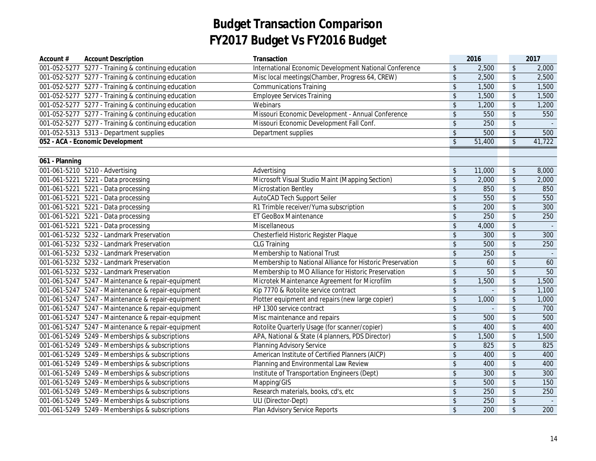| Account #      | <b>Account Description</b>                          | Transaction                                               |                            | 2016   |                            | 2017   |
|----------------|-----------------------------------------------------|-----------------------------------------------------------|----------------------------|--------|----------------------------|--------|
|                | 001-052-5277 5277 - Training & continuing education | International Economic Development National Conference    | $\sqrt[6]{\frac{1}{2}}$    | 2,500  | $\boldsymbol{\mathsf{\$}}$ | 2,000  |
|                | 001-052-5277 5277 - Training & continuing education | Misc local meetings(Chamber, Progress 64, CREW)           | $\sqrt[6]{\frac{1}{2}}$    | 2,500  | $\sqrt[6]{\frac{1}{2}}$    | 2,500  |
|                | 001-052-5277 5277 - Training & continuing education | <b>Communications Training</b>                            | \$                         | 1,500  | $\sqrt[6]{}$               | 1,500  |
|                | 001-052-5277 5277 - Training & continuing education | <b>Employee Services Training</b>                         | $\sqrt[6]{\frac{1}{2}}$    | 1,500  | $\sqrt{2}$                 | 1,500  |
|                | 001-052-5277 5277 - Training & continuing education | Webinars                                                  | $\sqrt{2}$                 | 1,200  | $\sqrt{2}$                 | 1,200  |
|                | 001-052-5277 5277 - Training & continuing education | Missouri Economic Development - Annual Conference         | $$\mathfrak{s}$$           | 550    | $\sqrt{2}$                 | 550    |
|                | 001-052-5277 5277 - Training & continuing education | Missouri Economic Development Fall Conf.                  | $\boldsymbol{\hat{\zeta}}$ | 250    | \$                         |        |
|                | 001-052-5313  5313 - Department supplies            | Department supplies                                       | $\sqrt[6]{\frac{1}{2}}$    | 500    | $\sqrt[6]{\frac{1}{2}}$    | 500    |
|                | 052 - ACA - Economic Development                    |                                                           | $\sqrt{2}$                 | 51,400 | $\overline{\mathcal{S}}$   | 41,722 |
|                |                                                     |                                                           |                            |        |                            |        |
| 061 - Planning |                                                     |                                                           |                            |        |                            |        |
|                | 001-061-5210 5210 - Advertising                     | Advertising                                               | \$                         | 11,000 | $\sqrt[6]{\frac{1}{2}}$    | 8,000  |
|                | 001-061-5221 5221 - Data processing                 | Microsoft Visual Studio Maint (Mapping Section)           | $\frac{1}{2}$              | 2,000  | $\sqrt{2}$                 | 2,000  |
|                | 001-061-5221 5221 - Data processing                 | <b>Microstation Bentley</b>                               | \$                         | 850    | $\frac{1}{2}$              | 850    |
|                | 001-061-5221 5221 - Data processing                 | AutoCAD Tech Support Seiler                               | $\sqrt[6]{\frac{1}{2}}$    | 550    | $\frac{1}{2}$              | 550    |
|                | 001-061-5221 5221 - Data processing                 | R1 Trimble receiver/Yuma subscription                     | $\sqrt[6]{\frac{1}{2}}$    | 200    | $\sqrt{2}$                 | 300    |
|                | 001-061-5221 5221 - Data processing                 | ET GeoBox Maintenance                                     | $\sqrt[6]{\frac{1}{2}}$    | 250    | $\sqrt{2}$                 | 250    |
|                | 001-061-5221 5221 - Data processing                 | Miscellaneous                                             | $\boldsymbol{\hat{\zeta}}$ | 4,000  | \$                         | in a   |
|                | 001-061-5232 5232 - Landmark Preservation           | Chesterfield Historic Register Plaque                     | $$\mathfrak{s}$$           | 300    | $\updownarrow$             | 300    |
|                | 001-061-5232 5232 - Landmark Preservation           | <b>CLG Training</b>                                       | \$                         | 500    | $\frac{1}{2}$              | 250    |
|                | 001-061-5232 5232 - Landmark Preservation           | Membership to National Trust                              | \$                         | 250    | $\sqrt[6]{\frac{1}{2}}$    |        |
|                | 001-061-5232 5232 - Landmark Preservation           | Membership to National Alliance for Historic Preservation | $\sqrt[6]{\frac{1}{2}}$    | 60     | $\sqrt[6]{\frac{1}{2}}$    | 60     |
|                | 001-061-5232 5232 - Landmark Preservation           | Membership to MO Alliance for Historic Preservation       | $\boldsymbol{\hat{\zeta}}$ | 50     | $\sqrt[6]{}$               | 50     |
|                | 001-061-5247 5247 - Maintenance & repair-equipment  | Microtek Maintenance Agreement for Microfilm              | $\boldsymbol{\mathsf{\$}}$ | 1,500  | $\boldsymbol{\mathsf{\$}}$ | 1,500  |
|                | 001-061-5247 5247 - Maintenance & repair-equipment  | Kip 7770 & Rotolite service contract                      | $\boldsymbol{\hat{\zeta}}$ |        | $\sqrt[6]{\frac{1}{2}}$    | 1,100  |
|                | 001-061-5247 5247 - Maintenance & repair-equipment  | Plotter equipment and repairs (new large copier)          | $\frac{1}{2}$              | 1,000  | $\sqrt{2}$                 | 1,000  |
|                | 001-061-5247 5247 - Maintenance & repair-equipment  | HP 1300 service contract                                  | $\boldsymbol{\hat{\zeta}}$ | $\Box$ | \$                         | 700    |
|                | 001-061-5247 5247 - Maintenance & repair-equipment  | Misc maintenance and repairs                              | $\sqrt[6]{\frac{1}{2}}$    | 500    | \$                         | 500    |
|                | 001-061-5247 5247 - Maintenance & repair-equipment  | Rotolite Quarterly Usage (for scanner/copier)             | $\sqrt[6]{\frac{1}{2}}$    | 400    | $\sqrt{2}$                 | 400    |
|                | 001-061-5249 5249 - Memberships & subscriptions     | APA, National & State (4 planners, PDS Director)          | $\boldsymbol{\mathsf{\$}}$ | 1,500  | $\updownarrow$             | 1,500  |
|                | 001-061-5249 5249 - Memberships & subscriptions     | <b>Planning Advisory Service</b>                          | $\boldsymbol{\hat{\zeta}}$ | 825    | \$                         | 825    |
|                | 001-061-5249 5249 - Memberships & subscriptions     | American Institute of Certified Planners (AICP)           | $\boldsymbol{\hat{\zeta}}$ | 400    | $\sqrt[6]{\frac{1}{2}}$    | 400    |
|                | 001-061-5249 5249 - Memberships & subscriptions     | Planning and Environmental Law Review                     | $\sqrt[6]{\frac{1}{2}}$    | 400    | \$                         | 400    |
|                | 001-061-5249 5249 - Memberships & subscriptions     | Institute of Transportation Engineers (Dept)              | $\boldsymbol{\hat{\zeta}}$ | 300    | \$                         | 300    |
|                | 001-061-5249 5249 - Memberships & subscriptions     | Mapping/GIS                                               | $\sqrt[6]{\frac{1}{2}}$    | 500    | \$                         | 150    |
|                | 001-061-5249 5249 - Memberships & subscriptions     | Research materials, books, cd's, etc                      | $\boldsymbol{\mathsf{\$}}$ | 250    | $\,$                       | 250    |
|                | 001-061-5249 5249 - Memberships & subscriptions     | ULI (Director-Dept)                                       | $\sqrt[6]{\frac{1}{2}}$    | 250    | \$                         |        |
|                | 001-061-5249 5249 - Memberships & subscriptions     | Plan Advisory Service Reports                             | $\sqrt[6]{\frac{1}{2}}$    | 200    | \$                         | 200    |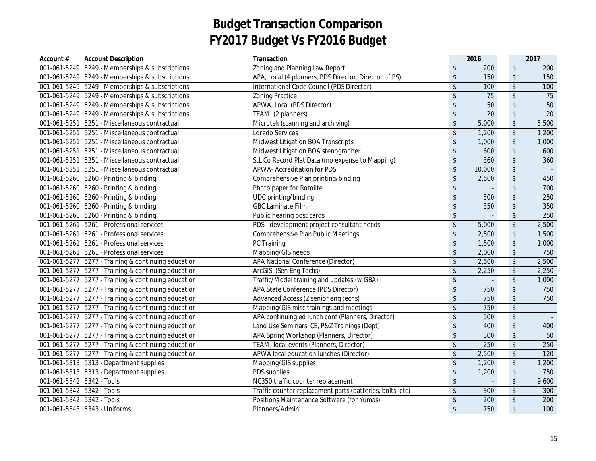| 001-061-5249 5249 - Memberships & subscriptions<br>$\frac{1}{2}$<br>200<br>$\sqrt[6]{}$<br>200<br>$\sqrt[6]{\frac{1}{2}}$<br>001-061-5249 5249 - Memberships & subscriptions<br>APA, Local (4 planners, PDS Director, Director of PS)<br>150<br>$\sqrt{2}$<br>150<br>International Code Council (PDS Director)<br>$\frac{1}{2}$<br>$\sqrt{2}$<br>001-061-5249 5249 - Memberships & subscriptions<br>100<br>100<br>$\sqrt{2}$<br>$\frac{1}{2}$<br>75<br>001-061-5249 5249 - Memberships & subscriptions<br><b>Zoning Practice</b><br>75<br>$\sqrt{2}$<br>$\sqrt{2}$<br>50<br>50<br>001-061-5249 5249 - Memberships & subscriptions<br>APWA, Local (PDS Director)<br>$\sqrt[6]{\frac{1}{2}}$<br>20<br>$\sqrt{2}$<br>20<br>001-061-5249 5249 - Memberships & subscriptions<br>TEAM (2 planners)<br>$\sqrt[6]{\frac{1}{2}}$<br>Microtek (scanning and archiving)<br>5,000<br>$\sqrt{2}$<br>5,500<br>001-061-5251 5251 - Miscellaneous contractual<br>001-061-5251 5251 - Miscellaneous contractual<br>Loredo Services<br>$\frac{1}{2}$<br>$\sqrt{2}$<br>1,200<br>1,200<br>$\sqrt[6]{\frac{1}{2}}$<br>Midwest Litigation BOA Transcripts<br>$\frac{1}{2}$<br>001-061-5251 5251 - Miscellaneous contractual<br>1,000<br>1,000<br>$\sqrt{2}$<br>\$<br>001-061-5251 5251 - Miscellaneous contractual<br>Midwest Litigation BOA stenographer<br>600<br>600<br>$\sqrt[6]{\frac{1}{2}}$<br>$\sqrt{2}$<br>StL Co Record Plat Data (mo expense to Mapping)<br>360<br>360<br>001-061-5251 5251 - Miscellaneous contractual<br>$\sqrt{2}$<br>$\sqrt[6]{\frac{1}{2}}$<br>001-061-5251 5251 - Miscellaneous contractual<br>APWA- Accreditation for PDS<br>10,000<br>$\frac{1}{2}$<br>2,500<br>$\sqrt[6]{\frac{1}{2}}$<br>001-061-5260 5260 - Printing & binding<br>Comprehensive Plan printing/binding<br>450<br>$\sqrt{2}$<br>$\sqrt{2}$<br>001-061-5260 5260 - Printing & binding<br>Photo paper for Rotolite<br>700<br>UDC printing/binding<br>$\sqrt{2}$<br>001-061-5260 5260 - Printing & binding<br>$\sqrt[6]{\frac{1}{2}}$<br>500<br>250<br><b>GBC Laminate Film</b><br>$\sqrt[6]{\frac{1}{2}}$<br>001-061-5260 5260 - Printing & binding<br>$\frac{1}{2}$<br>350<br>350<br>001-061-5260 5260 - Printing & binding<br>$\frac{1}{2}$<br>$\sqrt{2}$<br>250<br>Public hearing post cards<br>$\overline{a}$<br>PDS - development project consultant needs<br>001-061-5261 5261 - Professional services<br>\$<br>$\sqrt[6]{\frac{1}{2}}$<br>2,500<br>5,000<br><b>Comprehensive Plan Public Meetings</b><br>\$<br>$\sqrt{2}$<br>001-061-5261 5261 - Professional services<br>2,500<br>1,500<br>\$<br>$\sqrt{2}$<br>001-061-5261 5261 - Professional services<br>PC Training<br>1,500<br>1,000<br>\$<br>$\sqrt{2}$<br>001-061-5261 5261 - Professional services<br>Mapping/GIS needs<br>2,000<br>750<br>$\,$<br>$\sqrt[6]{\frac{1}{2}}$<br>001-061-5277 5277 - Training & continuing education<br>2,500<br>2,500<br>APA National Conference (Director)<br>$\sqrt[6]{\frac{1}{2}}$<br>$\sqrt[6]{\frac{1}{2}}$<br>001-061-5277 5277 - Training & continuing education<br>ArcGIS (Sen Eng Techs)<br>2,250<br>2,250<br>$\sqrt[6]{\frac{1}{2}}$<br>$\sqrt[6]{\frac{1}{2}}$<br>001-061-5277 5277 - Training & continuing education<br>Traffic/Model training and updates (w GBA)<br>1,000<br>$\sqrt[6]{\frac{1}{2}}$<br>$\sqrt{2}$<br>001-061-5277 5277 - Training & continuing education<br>APA State Conference (PDS Director)<br>750<br>750<br>Advanced Access (2 senior eng techs)<br>$\boldsymbol{\$}$<br>$\sqrt[6]{\frac{1}{2}}$<br>001-061-5277 5277 - Training & continuing education<br>750<br>750<br>$\sqrt[6]{\frac{1}{2}}$<br>$\sqrt[6]{\frac{1}{2}}$<br>Mapping/GIS misc trainings and meetings<br>750<br>001-061-5277 5277 - Training & continuing education<br>$\sim$ $\sim$<br>$\sqrt[6]{\frac{1}{2}}$<br>$\sqrt[6]{\frac{1}{2}}$<br>001-061-5277 5277 - Training & continuing education<br>APA continuing ed lunch conf (Planners, Director)<br>500<br>$\sim$<br>$\frac{1}{2}$<br>400<br>$\sqrt[6]{\frac{1}{2}}$<br>001-061-5277 5277 - Training & continuing education<br>Land Use Seminars, CE, P&Z Trainings (Dept)<br>400<br>$\sqrt[6]{\frac{1}{2}}$<br>$\sqrt[6]{\frac{1}{2}}$<br>50<br>001-061-5277 5277 - Training & continuing education<br>APA Spring Workshop (Planners, Director)<br>300<br>TEAM, local events (Planners, Director)<br>$\sqrt[6]{\frac{1}{2}}$<br>$\sqrt{2}$<br>250<br>250<br>001-061-5277 5277 - Training & continuing education<br>$\sqrt[6]{\frac{1}{2}}$<br>$\sqrt{2}$<br>001-061-5277 5277 - Training & continuing education<br>APWA local education lunches (Director)<br>2,500<br>120<br>$\sqrt[6]{\frac{1}{2}}$<br>$\sqrt{2}$<br>001-061-5313  5313 - Department supplies<br>Mapping/GIS supplies<br>1,200<br>1,200<br>$\sqrt[6]{\frac{1}{2}}$<br>001-061-5313  5313 - Department supplies<br>PDS supplies<br>\$<br>1,200<br>750<br>001-061-5342 5342 - Tools<br>$\sqrt[6]{\frac{1}{2}}$<br>$\sqrt{2}$<br>NC350 traffic counter replacement<br>9,600<br>÷,<br>$\sqrt{2}$<br>001-061-5342 5342 - Tools<br>Traffic counter replacement parts (batteries, bolts, etc)<br>$\frac{1}{2}$<br>300<br>300<br>Positions Maintenance Software (for Yumas)<br>$\sqrt{2}$<br>001-061-5342 5342 - Tools<br>$\frac{1}{2}$<br>200<br>200<br>$\sqrt{2}$<br>$\sqrt{2}$<br>001-061-5343  5343 - Uniforms<br>Planners/Admin<br>750<br>100 | Account $#$ | <b>Account Description</b> | Transaction                    | 2016 | 2017 |
|-----------------------------------------------------------------------------------------------------------------------------------------------------------------------------------------------------------------------------------------------------------------------------------------------------------------------------------------------------------------------------------------------------------------------------------------------------------------------------------------------------------------------------------------------------------------------------------------------------------------------------------------------------------------------------------------------------------------------------------------------------------------------------------------------------------------------------------------------------------------------------------------------------------------------------------------------------------------------------------------------------------------------------------------------------------------------------------------------------------------------------------------------------------------------------------------------------------------------------------------------------------------------------------------------------------------------------------------------------------------------------------------------------------------------------------------------------------------------------------------------------------------------------------------------------------------------------------------------------------------------------------------------------------------------------------------------------------------------------------------------------------------------------------------------------------------------------------------------------------------------------------------------------------------------------------------------------------------------------------------------------------------------------------------------------------------------------------------------------------------------------------------------------------------------------------------------------------------------------------------------------------------------------------------------------------------------------------------------------------------------------------------------------------------------------------------------------------------------------------------------------------------------------------------------------------------------------------------------------------------------------------------------------------------------------------------------------------------------------------------------------------------------------------------------------------------------------------------------------------------------------------------------------------------------------------------------------------------------------------------------------------------------------------------------------------------------------------------------------------------------------------------------------------------------------------------------------------------------------------------------------------------------------------------------------------------------------------------------------------------------------------------------------------------------------------------------------------------------------------------------------------------------------------------------------------------------------------------------------------------------------------------------------------------------------------------------------------------------------------------------------------------------------------------------------------------------------------------------------------------------------------------------------------------------------------------------------------------------------------------------------------------------------------------------------------------------------------------------------------------------------------------------------------------------------------------------------------------------------------------------------------------------------------------------------------------------------------------------------------------------------------------------------------------------------------------------------------------------------------------------------------------------------------------------------------------------------------------------------------------------------------------------------------------------------------------------------------------------------------------------------------------------------------------------------------------------------------------------------------------------------------------------------------------------------------------------------------------------------------------------------------------------------------------------------------------------------------------------------------------------------------------------------------------------------------------------------------------------------------------------------------------------------------------------------------------------------------------------------|-------------|----------------------------|--------------------------------|------|------|
|                                                                                                                                                                                                                                                                                                                                                                                                                                                                                                                                                                                                                                                                                                                                                                                                                                                                                                                                                                                                                                                                                                                                                                                                                                                                                                                                                                                                                                                                                                                                                                                                                                                                                                                                                                                                                                                                                                                                                                                                                                                                                                                                                                                                                                                                                                                                                                                                                                                                                                                                                                                                                                                                                                                                                                                                                                                                                                                                                                                                                                                                                                                                                                                                                                                                                                                                                                                                                                                                                                                                                                                                                                                                                                                                                                                                                                                                                                                                                                                                                                                                                                                                                                                                                                                                                                                                                                                                                                                                                                                                                                                                                                                                                                                                                                                                                                                                                                                                                                                                                                                                                                                                                                                                                                                                                                                                                     |             |                            | Zoning and Planning Law Report |      |      |
|                                                                                                                                                                                                                                                                                                                                                                                                                                                                                                                                                                                                                                                                                                                                                                                                                                                                                                                                                                                                                                                                                                                                                                                                                                                                                                                                                                                                                                                                                                                                                                                                                                                                                                                                                                                                                                                                                                                                                                                                                                                                                                                                                                                                                                                                                                                                                                                                                                                                                                                                                                                                                                                                                                                                                                                                                                                                                                                                                                                                                                                                                                                                                                                                                                                                                                                                                                                                                                                                                                                                                                                                                                                                                                                                                                                                                                                                                                                                                                                                                                                                                                                                                                                                                                                                                                                                                                                                                                                                                                                                                                                                                                                                                                                                                                                                                                                                                                                                                                                                                                                                                                                                                                                                                                                                                                                                                     |             |                            |                                |      |      |
|                                                                                                                                                                                                                                                                                                                                                                                                                                                                                                                                                                                                                                                                                                                                                                                                                                                                                                                                                                                                                                                                                                                                                                                                                                                                                                                                                                                                                                                                                                                                                                                                                                                                                                                                                                                                                                                                                                                                                                                                                                                                                                                                                                                                                                                                                                                                                                                                                                                                                                                                                                                                                                                                                                                                                                                                                                                                                                                                                                                                                                                                                                                                                                                                                                                                                                                                                                                                                                                                                                                                                                                                                                                                                                                                                                                                                                                                                                                                                                                                                                                                                                                                                                                                                                                                                                                                                                                                                                                                                                                                                                                                                                                                                                                                                                                                                                                                                                                                                                                                                                                                                                                                                                                                                                                                                                                                                     |             |                            |                                |      |      |
|                                                                                                                                                                                                                                                                                                                                                                                                                                                                                                                                                                                                                                                                                                                                                                                                                                                                                                                                                                                                                                                                                                                                                                                                                                                                                                                                                                                                                                                                                                                                                                                                                                                                                                                                                                                                                                                                                                                                                                                                                                                                                                                                                                                                                                                                                                                                                                                                                                                                                                                                                                                                                                                                                                                                                                                                                                                                                                                                                                                                                                                                                                                                                                                                                                                                                                                                                                                                                                                                                                                                                                                                                                                                                                                                                                                                                                                                                                                                                                                                                                                                                                                                                                                                                                                                                                                                                                                                                                                                                                                                                                                                                                                                                                                                                                                                                                                                                                                                                                                                                                                                                                                                                                                                                                                                                                                                                     |             |                            |                                |      |      |
|                                                                                                                                                                                                                                                                                                                                                                                                                                                                                                                                                                                                                                                                                                                                                                                                                                                                                                                                                                                                                                                                                                                                                                                                                                                                                                                                                                                                                                                                                                                                                                                                                                                                                                                                                                                                                                                                                                                                                                                                                                                                                                                                                                                                                                                                                                                                                                                                                                                                                                                                                                                                                                                                                                                                                                                                                                                                                                                                                                                                                                                                                                                                                                                                                                                                                                                                                                                                                                                                                                                                                                                                                                                                                                                                                                                                                                                                                                                                                                                                                                                                                                                                                                                                                                                                                                                                                                                                                                                                                                                                                                                                                                                                                                                                                                                                                                                                                                                                                                                                                                                                                                                                                                                                                                                                                                                                                     |             |                            |                                |      |      |
|                                                                                                                                                                                                                                                                                                                                                                                                                                                                                                                                                                                                                                                                                                                                                                                                                                                                                                                                                                                                                                                                                                                                                                                                                                                                                                                                                                                                                                                                                                                                                                                                                                                                                                                                                                                                                                                                                                                                                                                                                                                                                                                                                                                                                                                                                                                                                                                                                                                                                                                                                                                                                                                                                                                                                                                                                                                                                                                                                                                                                                                                                                                                                                                                                                                                                                                                                                                                                                                                                                                                                                                                                                                                                                                                                                                                                                                                                                                                                                                                                                                                                                                                                                                                                                                                                                                                                                                                                                                                                                                                                                                                                                                                                                                                                                                                                                                                                                                                                                                                                                                                                                                                                                                                                                                                                                                                                     |             |                            |                                |      |      |
|                                                                                                                                                                                                                                                                                                                                                                                                                                                                                                                                                                                                                                                                                                                                                                                                                                                                                                                                                                                                                                                                                                                                                                                                                                                                                                                                                                                                                                                                                                                                                                                                                                                                                                                                                                                                                                                                                                                                                                                                                                                                                                                                                                                                                                                                                                                                                                                                                                                                                                                                                                                                                                                                                                                                                                                                                                                                                                                                                                                                                                                                                                                                                                                                                                                                                                                                                                                                                                                                                                                                                                                                                                                                                                                                                                                                                                                                                                                                                                                                                                                                                                                                                                                                                                                                                                                                                                                                                                                                                                                                                                                                                                                                                                                                                                                                                                                                                                                                                                                                                                                                                                                                                                                                                                                                                                                                                     |             |                            |                                |      |      |
|                                                                                                                                                                                                                                                                                                                                                                                                                                                                                                                                                                                                                                                                                                                                                                                                                                                                                                                                                                                                                                                                                                                                                                                                                                                                                                                                                                                                                                                                                                                                                                                                                                                                                                                                                                                                                                                                                                                                                                                                                                                                                                                                                                                                                                                                                                                                                                                                                                                                                                                                                                                                                                                                                                                                                                                                                                                                                                                                                                                                                                                                                                                                                                                                                                                                                                                                                                                                                                                                                                                                                                                                                                                                                                                                                                                                                                                                                                                                                                                                                                                                                                                                                                                                                                                                                                                                                                                                                                                                                                                                                                                                                                                                                                                                                                                                                                                                                                                                                                                                                                                                                                                                                                                                                                                                                                                                                     |             |                            |                                |      |      |
|                                                                                                                                                                                                                                                                                                                                                                                                                                                                                                                                                                                                                                                                                                                                                                                                                                                                                                                                                                                                                                                                                                                                                                                                                                                                                                                                                                                                                                                                                                                                                                                                                                                                                                                                                                                                                                                                                                                                                                                                                                                                                                                                                                                                                                                                                                                                                                                                                                                                                                                                                                                                                                                                                                                                                                                                                                                                                                                                                                                                                                                                                                                                                                                                                                                                                                                                                                                                                                                                                                                                                                                                                                                                                                                                                                                                                                                                                                                                                                                                                                                                                                                                                                                                                                                                                                                                                                                                                                                                                                                                                                                                                                                                                                                                                                                                                                                                                                                                                                                                                                                                                                                                                                                                                                                                                                                                                     |             |                            |                                |      |      |
|                                                                                                                                                                                                                                                                                                                                                                                                                                                                                                                                                                                                                                                                                                                                                                                                                                                                                                                                                                                                                                                                                                                                                                                                                                                                                                                                                                                                                                                                                                                                                                                                                                                                                                                                                                                                                                                                                                                                                                                                                                                                                                                                                                                                                                                                                                                                                                                                                                                                                                                                                                                                                                                                                                                                                                                                                                                                                                                                                                                                                                                                                                                                                                                                                                                                                                                                                                                                                                                                                                                                                                                                                                                                                                                                                                                                                                                                                                                                                                                                                                                                                                                                                                                                                                                                                                                                                                                                                                                                                                                                                                                                                                                                                                                                                                                                                                                                                                                                                                                                                                                                                                                                                                                                                                                                                                                                                     |             |                            |                                |      |      |
|                                                                                                                                                                                                                                                                                                                                                                                                                                                                                                                                                                                                                                                                                                                                                                                                                                                                                                                                                                                                                                                                                                                                                                                                                                                                                                                                                                                                                                                                                                                                                                                                                                                                                                                                                                                                                                                                                                                                                                                                                                                                                                                                                                                                                                                                                                                                                                                                                                                                                                                                                                                                                                                                                                                                                                                                                                                                                                                                                                                                                                                                                                                                                                                                                                                                                                                                                                                                                                                                                                                                                                                                                                                                                                                                                                                                                                                                                                                                                                                                                                                                                                                                                                                                                                                                                                                                                                                                                                                                                                                                                                                                                                                                                                                                                                                                                                                                                                                                                                                                                                                                                                                                                                                                                                                                                                                                                     |             |                            |                                |      |      |
|                                                                                                                                                                                                                                                                                                                                                                                                                                                                                                                                                                                                                                                                                                                                                                                                                                                                                                                                                                                                                                                                                                                                                                                                                                                                                                                                                                                                                                                                                                                                                                                                                                                                                                                                                                                                                                                                                                                                                                                                                                                                                                                                                                                                                                                                                                                                                                                                                                                                                                                                                                                                                                                                                                                                                                                                                                                                                                                                                                                                                                                                                                                                                                                                                                                                                                                                                                                                                                                                                                                                                                                                                                                                                                                                                                                                                                                                                                                                                                                                                                                                                                                                                                                                                                                                                                                                                                                                                                                                                                                                                                                                                                                                                                                                                                                                                                                                                                                                                                                                                                                                                                                                                                                                                                                                                                                                                     |             |                            |                                |      |      |
|                                                                                                                                                                                                                                                                                                                                                                                                                                                                                                                                                                                                                                                                                                                                                                                                                                                                                                                                                                                                                                                                                                                                                                                                                                                                                                                                                                                                                                                                                                                                                                                                                                                                                                                                                                                                                                                                                                                                                                                                                                                                                                                                                                                                                                                                                                                                                                                                                                                                                                                                                                                                                                                                                                                                                                                                                                                                                                                                                                                                                                                                                                                                                                                                                                                                                                                                                                                                                                                                                                                                                                                                                                                                                                                                                                                                                                                                                                                                                                                                                                                                                                                                                                                                                                                                                                                                                                                                                                                                                                                                                                                                                                                                                                                                                                                                                                                                                                                                                                                                                                                                                                                                                                                                                                                                                                                                                     |             |                            |                                |      |      |
|                                                                                                                                                                                                                                                                                                                                                                                                                                                                                                                                                                                                                                                                                                                                                                                                                                                                                                                                                                                                                                                                                                                                                                                                                                                                                                                                                                                                                                                                                                                                                                                                                                                                                                                                                                                                                                                                                                                                                                                                                                                                                                                                                                                                                                                                                                                                                                                                                                                                                                                                                                                                                                                                                                                                                                                                                                                                                                                                                                                                                                                                                                                                                                                                                                                                                                                                                                                                                                                                                                                                                                                                                                                                                                                                                                                                                                                                                                                                                                                                                                                                                                                                                                                                                                                                                                                                                                                                                                                                                                                                                                                                                                                                                                                                                                                                                                                                                                                                                                                                                                                                                                                                                                                                                                                                                                                                                     |             |                            |                                |      |      |
|                                                                                                                                                                                                                                                                                                                                                                                                                                                                                                                                                                                                                                                                                                                                                                                                                                                                                                                                                                                                                                                                                                                                                                                                                                                                                                                                                                                                                                                                                                                                                                                                                                                                                                                                                                                                                                                                                                                                                                                                                                                                                                                                                                                                                                                                                                                                                                                                                                                                                                                                                                                                                                                                                                                                                                                                                                                                                                                                                                                                                                                                                                                                                                                                                                                                                                                                                                                                                                                                                                                                                                                                                                                                                                                                                                                                                                                                                                                                                                                                                                                                                                                                                                                                                                                                                                                                                                                                                                                                                                                                                                                                                                                                                                                                                                                                                                                                                                                                                                                                                                                                                                                                                                                                                                                                                                                                                     |             |                            |                                |      |      |
|                                                                                                                                                                                                                                                                                                                                                                                                                                                                                                                                                                                                                                                                                                                                                                                                                                                                                                                                                                                                                                                                                                                                                                                                                                                                                                                                                                                                                                                                                                                                                                                                                                                                                                                                                                                                                                                                                                                                                                                                                                                                                                                                                                                                                                                                                                                                                                                                                                                                                                                                                                                                                                                                                                                                                                                                                                                                                                                                                                                                                                                                                                                                                                                                                                                                                                                                                                                                                                                                                                                                                                                                                                                                                                                                                                                                                                                                                                                                                                                                                                                                                                                                                                                                                                                                                                                                                                                                                                                                                                                                                                                                                                                                                                                                                                                                                                                                                                                                                                                                                                                                                                                                                                                                                                                                                                                                                     |             |                            |                                |      |      |
|                                                                                                                                                                                                                                                                                                                                                                                                                                                                                                                                                                                                                                                                                                                                                                                                                                                                                                                                                                                                                                                                                                                                                                                                                                                                                                                                                                                                                                                                                                                                                                                                                                                                                                                                                                                                                                                                                                                                                                                                                                                                                                                                                                                                                                                                                                                                                                                                                                                                                                                                                                                                                                                                                                                                                                                                                                                                                                                                                                                                                                                                                                                                                                                                                                                                                                                                                                                                                                                                                                                                                                                                                                                                                                                                                                                                                                                                                                                                                                                                                                                                                                                                                                                                                                                                                                                                                                                                                                                                                                                                                                                                                                                                                                                                                                                                                                                                                                                                                                                                                                                                                                                                                                                                                                                                                                                                                     |             |                            |                                |      |      |
|                                                                                                                                                                                                                                                                                                                                                                                                                                                                                                                                                                                                                                                                                                                                                                                                                                                                                                                                                                                                                                                                                                                                                                                                                                                                                                                                                                                                                                                                                                                                                                                                                                                                                                                                                                                                                                                                                                                                                                                                                                                                                                                                                                                                                                                                                                                                                                                                                                                                                                                                                                                                                                                                                                                                                                                                                                                                                                                                                                                                                                                                                                                                                                                                                                                                                                                                                                                                                                                                                                                                                                                                                                                                                                                                                                                                                                                                                                                                                                                                                                                                                                                                                                                                                                                                                                                                                                                                                                                                                                                                                                                                                                                                                                                                                                                                                                                                                                                                                                                                                                                                                                                                                                                                                                                                                                                                                     |             |                            |                                |      |      |
|                                                                                                                                                                                                                                                                                                                                                                                                                                                                                                                                                                                                                                                                                                                                                                                                                                                                                                                                                                                                                                                                                                                                                                                                                                                                                                                                                                                                                                                                                                                                                                                                                                                                                                                                                                                                                                                                                                                                                                                                                                                                                                                                                                                                                                                                                                                                                                                                                                                                                                                                                                                                                                                                                                                                                                                                                                                                                                                                                                                                                                                                                                                                                                                                                                                                                                                                                                                                                                                                                                                                                                                                                                                                                                                                                                                                                                                                                                                                                                                                                                                                                                                                                                                                                                                                                                                                                                                                                                                                                                                                                                                                                                                                                                                                                                                                                                                                                                                                                                                                                                                                                                                                                                                                                                                                                                                                                     |             |                            |                                |      |      |
|                                                                                                                                                                                                                                                                                                                                                                                                                                                                                                                                                                                                                                                                                                                                                                                                                                                                                                                                                                                                                                                                                                                                                                                                                                                                                                                                                                                                                                                                                                                                                                                                                                                                                                                                                                                                                                                                                                                                                                                                                                                                                                                                                                                                                                                                                                                                                                                                                                                                                                                                                                                                                                                                                                                                                                                                                                                                                                                                                                                                                                                                                                                                                                                                                                                                                                                                                                                                                                                                                                                                                                                                                                                                                                                                                                                                                                                                                                                                                                                                                                                                                                                                                                                                                                                                                                                                                                                                                                                                                                                                                                                                                                                                                                                                                                                                                                                                                                                                                                                                                                                                                                                                                                                                                                                                                                                                                     |             |                            |                                |      |      |
|                                                                                                                                                                                                                                                                                                                                                                                                                                                                                                                                                                                                                                                                                                                                                                                                                                                                                                                                                                                                                                                                                                                                                                                                                                                                                                                                                                                                                                                                                                                                                                                                                                                                                                                                                                                                                                                                                                                                                                                                                                                                                                                                                                                                                                                                                                                                                                                                                                                                                                                                                                                                                                                                                                                                                                                                                                                                                                                                                                                                                                                                                                                                                                                                                                                                                                                                                                                                                                                                                                                                                                                                                                                                                                                                                                                                                                                                                                                                                                                                                                                                                                                                                                                                                                                                                                                                                                                                                                                                                                                                                                                                                                                                                                                                                                                                                                                                                                                                                                                                                                                                                                                                                                                                                                                                                                                                                     |             |                            |                                |      |      |
|                                                                                                                                                                                                                                                                                                                                                                                                                                                                                                                                                                                                                                                                                                                                                                                                                                                                                                                                                                                                                                                                                                                                                                                                                                                                                                                                                                                                                                                                                                                                                                                                                                                                                                                                                                                                                                                                                                                                                                                                                                                                                                                                                                                                                                                                                                                                                                                                                                                                                                                                                                                                                                                                                                                                                                                                                                                                                                                                                                                                                                                                                                                                                                                                                                                                                                                                                                                                                                                                                                                                                                                                                                                                                                                                                                                                                                                                                                                                                                                                                                                                                                                                                                                                                                                                                                                                                                                                                                                                                                                                                                                                                                                                                                                                                                                                                                                                                                                                                                                                                                                                                                                                                                                                                                                                                                                                                     |             |                            |                                |      |      |
|                                                                                                                                                                                                                                                                                                                                                                                                                                                                                                                                                                                                                                                                                                                                                                                                                                                                                                                                                                                                                                                                                                                                                                                                                                                                                                                                                                                                                                                                                                                                                                                                                                                                                                                                                                                                                                                                                                                                                                                                                                                                                                                                                                                                                                                                                                                                                                                                                                                                                                                                                                                                                                                                                                                                                                                                                                                                                                                                                                                                                                                                                                                                                                                                                                                                                                                                                                                                                                                                                                                                                                                                                                                                                                                                                                                                                                                                                                                                                                                                                                                                                                                                                                                                                                                                                                                                                                                                                                                                                                                                                                                                                                                                                                                                                                                                                                                                                                                                                                                                                                                                                                                                                                                                                                                                                                                                                     |             |                            |                                |      |      |
|                                                                                                                                                                                                                                                                                                                                                                                                                                                                                                                                                                                                                                                                                                                                                                                                                                                                                                                                                                                                                                                                                                                                                                                                                                                                                                                                                                                                                                                                                                                                                                                                                                                                                                                                                                                                                                                                                                                                                                                                                                                                                                                                                                                                                                                                                                                                                                                                                                                                                                                                                                                                                                                                                                                                                                                                                                                                                                                                                                                                                                                                                                                                                                                                                                                                                                                                                                                                                                                                                                                                                                                                                                                                                                                                                                                                                                                                                                                                                                                                                                                                                                                                                                                                                                                                                                                                                                                                                                                                                                                                                                                                                                                                                                                                                                                                                                                                                                                                                                                                                                                                                                                                                                                                                                                                                                                                                     |             |                            |                                |      |      |
|                                                                                                                                                                                                                                                                                                                                                                                                                                                                                                                                                                                                                                                                                                                                                                                                                                                                                                                                                                                                                                                                                                                                                                                                                                                                                                                                                                                                                                                                                                                                                                                                                                                                                                                                                                                                                                                                                                                                                                                                                                                                                                                                                                                                                                                                                                                                                                                                                                                                                                                                                                                                                                                                                                                                                                                                                                                                                                                                                                                                                                                                                                                                                                                                                                                                                                                                                                                                                                                                                                                                                                                                                                                                                                                                                                                                                                                                                                                                                                                                                                                                                                                                                                                                                                                                                                                                                                                                                                                                                                                                                                                                                                                                                                                                                                                                                                                                                                                                                                                                                                                                                                                                                                                                                                                                                                                                                     |             |                            |                                |      |      |
|                                                                                                                                                                                                                                                                                                                                                                                                                                                                                                                                                                                                                                                                                                                                                                                                                                                                                                                                                                                                                                                                                                                                                                                                                                                                                                                                                                                                                                                                                                                                                                                                                                                                                                                                                                                                                                                                                                                                                                                                                                                                                                                                                                                                                                                                                                                                                                                                                                                                                                                                                                                                                                                                                                                                                                                                                                                                                                                                                                                                                                                                                                                                                                                                                                                                                                                                                                                                                                                                                                                                                                                                                                                                                                                                                                                                                                                                                                                                                                                                                                                                                                                                                                                                                                                                                                                                                                                                                                                                                                                                                                                                                                                                                                                                                                                                                                                                                                                                                                                                                                                                                                                                                                                                                                                                                                                                                     |             |                            |                                |      |      |
|                                                                                                                                                                                                                                                                                                                                                                                                                                                                                                                                                                                                                                                                                                                                                                                                                                                                                                                                                                                                                                                                                                                                                                                                                                                                                                                                                                                                                                                                                                                                                                                                                                                                                                                                                                                                                                                                                                                                                                                                                                                                                                                                                                                                                                                                                                                                                                                                                                                                                                                                                                                                                                                                                                                                                                                                                                                                                                                                                                                                                                                                                                                                                                                                                                                                                                                                                                                                                                                                                                                                                                                                                                                                                                                                                                                                                                                                                                                                                                                                                                                                                                                                                                                                                                                                                                                                                                                                                                                                                                                                                                                                                                                                                                                                                                                                                                                                                                                                                                                                                                                                                                                                                                                                                                                                                                                                                     |             |                            |                                |      |      |
|                                                                                                                                                                                                                                                                                                                                                                                                                                                                                                                                                                                                                                                                                                                                                                                                                                                                                                                                                                                                                                                                                                                                                                                                                                                                                                                                                                                                                                                                                                                                                                                                                                                                                                                                                                                                                                                                                                                                                                                                                                                                                                                                                                                                                                                                                                                                                                                                                                                                                                                                                                                                                                                                                                                                                                                                                                                                                                                                                                                                                                                                                                                                                                                                                                                                                                                                                                                                                                                                                                                                                                                                                                                                                                                                                                                                                                                                                                                                                                                                                                                                                                                                                                                                                                                                                                                                                                                                                                                                                                                                                                                                                                                                                                                                                                                                                                                                                                                                                                                                                                                                                                                                                                                                                                                                                                                                                     |             |                            |                                |      |      |
|                                                                                                                                                                                                                                                                                                                                                                                                                                                                                                                                                                                                                                                                                                                                                                                                                                                                                                                                                                                                                                                                                                                                                                                                                                                                                                                                                                                                                                                                                                                                                                                                                                                                                                                                                                                                                                                                                                                                                                                                                                                                                                                                                                                                                                                                                                                                                                                                                                                                                                                                                                                                                                                                                                                                                                                                                                                                                                                                                                                                                                                                                                                                                                                                                                                                                                                                                                                                                                                                                                                                                                                                                                                                                                                                                                                                                                                                                                                                                                                                                                                                                                                                                                                                                                                                                                                                                                                                                                                                                                                                                                                                                                                                                                                                                                                                                                                                                                                                                                                                                                                                                                                                                                                                                                                                                                                                                     |             |                            |                                |      |      |
|                                                                                                                                                                                                                                                                                                                                                                                                                                                                                                                                                                                                                                                                                                                                                                                                                                                                                                                                                                                                                                                                                                                                                                                                                                                                                                                                                                                                                                                                                                                                                                                                                                                                                                                                                                                                                                                                                                                                                                                                                                                                                                                                                                                                                                                                                                                                                                                                                                                                                                                                                                                                                                                                                                                                                                                                                                                                                                                                                                                                                                                                                                                                                                                                                                                                                                                                                                                                                                                                                                                                                                                                                                                                                                                                                                                                                                                                                                                                                                                                                                                                                                                                                                                                                                                                                                                                                                                                                                                                                                                                                                                                                                                                                                                                                                                                                                                                                                                                                                                                                                                                                                                                                                                                                                                                                                                                                     |             |                            |                                |      |      |
|                                                                                                                                                                                                                                                                                                                                                                                                                                                                                                                                                                                                                                                                                                                                                                                                                                                                                                                                                                                                                                                                                                                                                                                                                                                                                                                                                                                                                                                                                                                                                                                                                                                                                                                                                                                                                                                                                                                                                                                                                                                                                                                                                                                                                                                                                                                                                                                                                                                                                                                                                                                                                                                                                                                                                                                                                                                                                                                                                                                                                                                                                                                                                                                                                                                                                                                                                                                                                                                                                                                                                                                                                                                                                                                                                                                                                                                                                                                                                                                                                                                                                                                                                                                                                                                                                                                                                                                                                                                                                                                                                                                                                                                                                                                                                                                                                                                                                                                                                                                                                                                                                                                                                                                                                                                                                                                                                     |             |                            |                                |      |      |
|                                                                                                                                                                                                                                                                                                                                                                                                                                                                                                                                                                                                                                                                                                                                                                                                                                                                                                                                                                                                                                                                                                                                                                                                                                                                                                                                                                                                                                                                                                                                                                                                                                                                                                                                                                                                                                                                                                                                                                                                                                                                                                                                                                                                                                                                                                                                                                                                                                                                                                                                                                                                                                                                                                                                                                                                                                                                                                                                                                                                                                                                                                                                                                                                                                                                                                                                                                                                                                                                                                                                                                                                                                                                                                                                                                                                                                                                                                                                                                                                                                                                                                                                                                                                                                                                                                                                                                                                                                                                                                                                                                                                                                                                                                                                                                                                                                                                                                                                                                                                                                                                                                                                                                                                                                                                                                                                                     |             |                            |                                |      |      |
|                                                                                                                                                                                                                                                                                                                                                                                                                                                                                                                                                                                                                                                                                                                                                                                                                                                                                                                                                                                                                                                                                                                                                                                                                                                                                                                                                                                                                                                                                                                                                                                                                                                                                                                                                                                                                                                                                                                                                                                                                                                                                                                                                                                                                                                                                                                                                                                                                                                                                                                                                                                                                                                                                                                                                                                                                                                                                                                                                                                                                                                                                                                                                                                                                                                                                                                                                                                                                                                                                                                                                                                                                                                                                                                                                                                                                                                                                                                                                                                                                                                                                                                                                                                                                                                                                                                                                                                                                                                                                                                                                                                                                                                                                                                                                                                                                                                                                                                                                                                                                                                                                                                                                                                                                                                                                                                                                     |             |                            |                                |      |      |
|                                                                                                                                                                                                                                                                                                                                                                                                                                                                                                                                                                                                                                                                                                                                                                                                                                                                                                                                                                                                                                                                                                                                                                                                                                                                                                                                                                                                                                                                                                                                                                                                                                                                                                                                                                                                                                                                                                                                                                                                                                                                                                                                                                                                                                                                                                                                                                                                                                                                                                                                                                                                                                                                                                                                                                                                                                                                                                                                                                                                                                                                                                                                                                                                                                                                                                                                                                                                                                                                                                                                                                                                                                                                                                                                                                                                                                                                                                                                                                                                                                                                                                                                                                                                                                                                                                                                                                                                                                                                                                                                                                                                                                                                                                                                                                                                                                                                                                                                                                                                                                                                                                                                                                                                                                                                                                                                                     |             |                            |                                |      |      |
|                                                                                                                                                                                                                                                                                                                                                                                                                                                                                                                                                                                                                                                                                                                                                                                                                                                                                                                                                                                                                                                                                                                                                                                                                                                                                                                                                                                                                                                                                                                                                                                                                                                                                                                                                                                                                                                                                                                                                                                                                                                                                                                                                                                                                                                                                                                                                                                                                                                                                                                                                                                                                                                                                                                                                                                                                                                                                                                                                                                                                                                                                                                                                                                                                                                                                                                                                                                                                                                                                                                                                                                                                                                                                                                                                                                                                                                                                                                                                                                                                                                                                                                                                                                                                                                                                                                                                                                                                                                                                                                                                                                                                                                                                                                                                                                                                                                                                                                                                                                                                                                                                                                                                                                                                                                                                                                                                     |             |                            |                                |      |      |
|                                                                                                                                                                                                                                                                                                                                                                                                                                                                                                                                                                                                                                                                                                                                                                                                                                                                                                                                                                                                                                                                                                                                                                                                                                                                                                                                                                                                                                                                                                                                                                                                                                                                                                                                                                                                                                                                                                                                                                                                                                                                                                                                                                                                                                                                                                                                                                                                                                                                                                                                                                                                                                                                                                                                                                                                                                                                                                                                                                                                                                                                                                                                                                                                                                                                                                                                                                                                                                                                                                                                                                                                                                                                                                                                                                                                                                                                                                                                                                                                                                                                                                                                                                                                                                                                                                                                                                                                                                                                                                                                                                                                                                                                                                                                                                                                                                                                                                                                                                                                                                                                                                                                                                                                                                                                                                                                                     |             |                            |                                |      |      |
|                                                                                                                                                                                                                                                                                                                                                                                                                                                                                                                                                                                                                                                                                                                                                                                                                                                                                                                                                                                                                                                                                                                                                                                                                                                                                                                                                                                                                                                                                                                                                                                                                                                                                                                                                                                                                                                                                                                                                                                                                                                                                                                                                                                                                                                                                                                                                                                                                                                                                                                                                                                                                                                                                                                                                                                                                                                                                                                                                                                                                                                                                                                                                                                                                                                                                                                                                                                                                                                                                                                                                                                                                                                                                                                                                                                                                                                                                                                                                                                                                                                                                                                                                                                                                                                                                                                                                                                                                                                                                                                                                                                                                                                                                                                                                                                                                                                                                                                                                                                                                                                                                                                                                                                                                                                                                                                                                     |             |                            |                                |      |      |
|                                                                                                                                                                                                                                                                                                                                                                                                                                                                                                                                                                                                                                                                                                                                                                                                                                                                                                                                                                                                                                                                                                                                                                                                                                                                                                                                                                                                                                                                                                                                                                                                                                                                                                                                                                                                                                                                                                                                                                                                                                                                                                                                                                                                                                                                                                                                                                                                                                                                                                                                                                                                                                                                                                                                                                                                                                                                                                                                                                                                                                                                                                                                                                                                                                                                                                                                                                                                                                                                                                                                                                                                                                                                                                                                                                                                                                                                                                                                                                                                                                                                                                                                                                                                                                                                                                                                                                                                                                                                                                                                                                                                                                                                                                                                                                                                                                                                                                                                                                                                                                                                                                                                                                                                                                                                                                                                                     |             |                            |                                |      |      |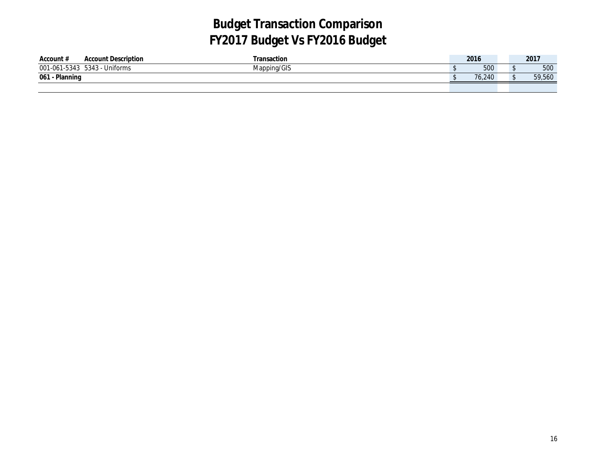| Account:            | <b>Account Description</b> | <sup>-</sup> ransaction | 2016   |      | 2017   |
|---------------------|----------------------------|-------------------------|--------|------|--------|
| 001-061-5343        | 5343 - Uniforms            | Mapping/GIS             | 500    |      | 500    |
| Planning<br>$061 -$ |                            |                         | 76.240 | - 14 | 59,560 |
|                     |                            |                         |        |      |        |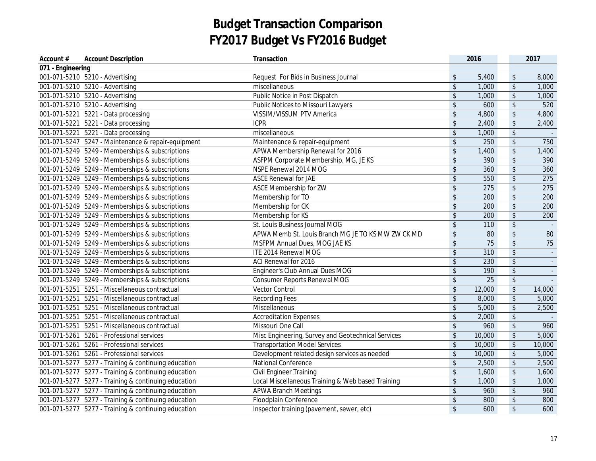| Account #         | <b>Account Description</b>                          | Transaction                                        |                            | 2016            |                            | 2017                     |
|-------------------|-----------------------------------------------------|----------------------------------------------------|----------------------------|-----------------|----------------------------|--------------------------|
| 071 - Engineering |                                                     |                                                    |                            |                 |                            |                          |
|                   | 001-071-5210 5210 - Advertising                     | Request For Bids in Business Journal               | $\frac{1}{2}$              | 5,400           | $\sqrt[6]{\frac{1}{2}}$    | 8,000                    |
|                   | 001-071-5210 5210 - Advertising                     | miscellaneous                                      | $\frac{1}{2}$              | 1,000           | $$\mathbb{S}$$             | 1,000                    |
|                   | 001-071-5210 5210 - Advertising                     | Public Notice in Post Dispatch                     | $\sqrt{2}$                 | 1,000           | $\updownarrow$             | 1,000                    |
|                   | 001-071-5210 5210 - Advertising                     | <b>Public Notices to Missouri Lawyers</b>          | $\boldsymbol{\hat{\zeta}}$ | 600             | $\sqrt{2}$                 | 520                      |
|                   | 001-071-5221 5221 - Data processing                 | VISSIM/VISSUM PTV America                          | $\sqrt[6]{\frac{1}{2}}$    | 4,800           | $\updownarrow$             | 4,800                    |
|                   | 001-071-5221 5221 - Data processing                 | <b>ICPR</b>                                        | $\sqrt[6]{\frac{1}{2}}$    | 2,400           | $\boldsymbol{\mathsf{\$}}$ | 2,400                    |
|                   | 001-071-5221 5221 - Data processing                 | miscellaneous                                      | \$                         | 1,000           | $\frac{1}{2}$              |                          |
|                   | 001-071-5247 5247 - Maintenance & repair-equipment  | Maintenance & repair-equipment                     | \$                         | 250             | $\sqrt[6]{\frac{1}{2}}$    | 750                      |
|                   | 001-071-5249 5249 - Memberships & subscriptions     | APWA Membership Renewal for 2016                   | \$                         | 1,400           | $\sqrt[6]{}$               | 1,400                    |
|                   | 001-071-5249 5249 - Memberships & subscriptions     | ASFPM Corporate Membership, MG, JE KS              | $\sqrt[6]{\frac{1}{2}}$    | 390             | \$                         | 390                      |
|                   | 001-071-5249 5249 - Memberships & subscriptions     | NSPE Renewal 2014 MOG                              | $\sqrt[6]{\frac{1}{2}}$    | 360             | \$                         | 360                      |
|                   | 001-071-5249 5249 - Memberships & subscriptions     | <b>ASCE Renewal for JAE</b>                        | $\sqrt[6]{\frac{1}{2}}$    | 550             | $\sqrt[6]{\frac{1}{2}}$    | 275                      |
|                   | 001-071-5249 5249 - Memberships & subscriptions     | ASCE Membership for ZW                             | $\sqrt[6]{\frac{1}{2}}$    | 275             | \$                         | 275                      |
|                   | 001-071-5249 5249 - Memberships & subscriptions     | Membership for TO                                  | $\sqrt[6]{\frac{1}{2}}$    | 200             | $\sqrt[6]{\frac{1}{2}}$    | 200                      |
|                   | 001-071-5249 5249 - Memberships & subscriptions     | Membership for CK                                  | $\sqrt{2}$                 | 200             | $\sqrt{2}$                 | 200                      |
|                   | 001-071-5249 5249 - Memberships & subscriptions     | Membership for KS                                  | $\sqrt{2}$                 | 200             | $\sqrt{2}$                 | 200                      |
|                   | 001-071-5249 5249 - Memberships & subscriptions     | St. Louis Business Journal MOG                     | $\sqrt[6]{\frac{1}{2}}$    | 110             | $\updownarrow$             | $\sim$ $\sim$            |
|                   | 001-071-5249 5249 - Memberships & subscriptions     | APWA Memb St. Louis Branch MG JE TO KS MW ZW CK MD | \$                         | 80              | $\updownarrow$             | 80                       |
|                   | 001-071-5249 5249 - Memberships & subscriptions     | MSFPM Annual Dues, MOG JAE KS                      | $\boldsymbol{\hat{\zeta}}$ | $\overline{75}$ | $$\mathbb{S}$$             | 75                       |
|                   | 001-071-5249 5249 - Memberships & subscriptions     | ITE 2014 Renewal MOG                               | $\sqrt[6]{\frac{1}{2}}$    | 310             | \$                         | $\overline{\phantom{a}}$ |
|                   | 001-071-5249 5249 - Memberships & subscriptions     | ACI Renewal for 2016                               | $\sqrt[6]{\frac{1}{2}}$    | 230             | $\frac{1}{2}$              |                          |
|                   | 001-071-5249 5249 - Memberships & subscriptions     | Engineer's Club Annual Dues MOG                    | $\sqrt[6]{\frac{1}{2}}$    | 190             | \$                         |                          |
|                   | 001-071-5249 5249 - Memberships & subscriptions     | <b>Consumer Reports Renewal MOG</b>                | $\boldsymbol{\hat{\zeta}}$ | 25              | $\sqrt[6]{\frac{1}{2}}$    |                          |
|                   | 001-071-5251 5251 - Miscellaneous contractual       | Vector Control                                     | $\boldsymbol{\hat{\zeta}}$ | 12,000          | $\sqrt[6]{\frac{1}{2}}$    | 14,000                   |
|                   | 001-071-5251 5251 - Miscellaneous contractual       | <b>Recording Fees</b>                              | $\sqrt[6]{\frac{1}{2}}$    | 8,000           | $\sqrt[6]{\frac{1}{2}}$    | 5,000                    |
|                   | 001-071-5251 5251 - Miscellaneous contractual       | Miscellaneous                                      | $\sqrt[6]{\frac{1}{2}}$    | 5,000           | $\sqrt[6]{\frac{1}{2}}$    | 2,500                    |
|                   | 001-071-5251 5251 - Miscellaneous contractual       | <b>Accreditation Expenses</b>                      | $\sqrt[6]{\frac{1}{2}}$    | 2,000           | $\sqrt{2}$                 |                          |
|                   | 001-071-5251 5251 - Miscellaneous contractual       | Missouri One Call                                  | $\sqrt[6]{\frac{1}{2}}$    | 960             | $\sqrt[6]{\frac{1}{2}}$    | 960                      |
|                   | 001-071-5261 5261 - Professional services           | Misc Engineering, Survey and Geotechnical Services | $\sqrt[6]{\frac{1}{2}}$    | 10,000          | $\sqrt{2}$                 | 5,000                    |
|                   | 001-071-5261 5261 - Professional services           | <b>Transportation Model Services</b>               | \$                         | 10,000          | $\sqrt[6]{\frac{1}{2}}$    | 10,000                   |
|                   | 001-071-5261 5261 - Professional services           | Development related design services as needed      | $\sqrt[6]{\frac{1}{2}}$    | 10,000          | $$\mathbb{S}$$             | 5,000                    |
|                   | 001-071-5277 5277 - Training & continuing education | National Conference                                | $\mathfrak{S}$             | 2,500           | $\sqrt{2}$                 | 2,500                    |
|                   | 001-071-5277 5277 - Training & continuing education | Civil Engineer Training                            | $\sqrt[6]{\frac{1}{2}}$    | 1,600           | $$\mathbb{S}$$             | 1,600                    |
|                   | 001-071-5277 5277 - Training & continuing education | Local Miscellaneous Training & Web based Training  | $\boldsymbol{\hat{\zeta}}$ | 1,000           | $$\mathbb{S}$$             | 1,000                    |
|                   | 001-071-5277 5277 - Training & continuing education | <b>APWA Branch Meetings</b>                        | $\boldsymbol{\hat{\zeta}}$ | 960             | $\sqrt[6]{\frac{1}{2}}$    | 960                      |
|                   | 001-071-5277 5277 - Training & continuing education | Floodplain Conference                              | $\boldsymbol{\hat{\zeta}}$ | 800             | $\sqrt[6]{\frac{1}{2}}$    | 800                      |
|                   | 001-071-5277 5277 - Training & continuing education | Inspector training (pavement, sewer, etc)          | \$                         | 600             | $\sqrt[6]{\frac{1}{2}}$    | 600                      |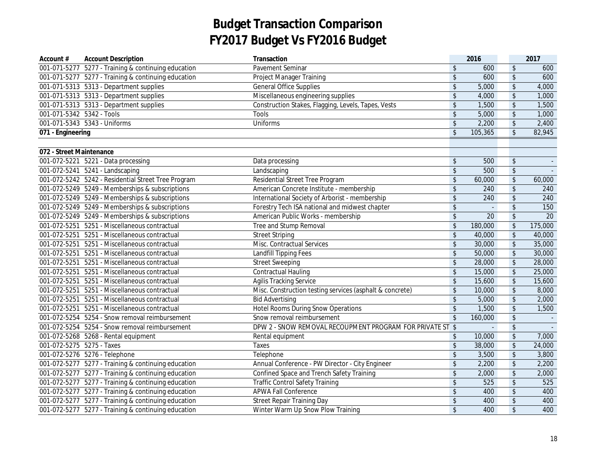| Account #                 | <b>Account Description</b>                          | Transaction                                               |                         | 2016         |                            | 2017    |
|---------------------------|-----------------------------------------------------|-----------------------------------------------------------|-------------------------|--------------|----------------------------|---------|
|                           | 001-071-5277 5277 - Training & continuing education | Pavement Seminar                                          | \$                      | 600          | $\sqrt{2}$                 | 600     |
|                           | 001-071-5277 5277 - Training & continuing education | Project Manager Training                                  | $\frac{1}{2}$           | 600          | $\sqrt[6]{\frac{1}{2}}$    | 600     |
|                           | 001-071-5313  5313 - Department supplies            | <b>General Office Supplies</b>                            | $\sqrt[6]{\frac{1}{2}}$ | 5,000        | $\sqrt[6]{\frac{1}{2}}$    | 4,000   |
|                           | 001-071-5313  5313 - Department supplies            | Miscellaneous engineering supplies                        | $\sqrt[6]{\frac{1}{2}}$ | 4,000        | $\sqrt{2}$                 | 1,000   |
|                           | 001-071-5313  5313 - Department supplies            | Construction Stakes, Flagging, Levels, Tapes, Vests       | $\sqrt[6]{\frac{1}{2}}$ | 1,500        | $\sqrt{2}$                 | 1,500   |
| 001-071-5342 5342 - Tools |                                                     | Tools                                                     | $\sqrt[6]{\frac{1}{2}}$ | 5,000        | $\sqrt{2}$                 | 1,000   |
|                           | 001-071-5343  5343 - Uniforms                       | Uniforms                                                  | \$                      | 2,200        | $\sqrt[6]{\frac{1}{2}}$    | 2,400   |
| 071 - Engineering         |                                                     |                                                           | $\sqrt{2}$              | 105,365      | $\sqrt{2}$                 | 82,945  |
|                           |                                                     |                                                           |                         |              |                            |         |
| 072 - Street Maintenance  |                                                     |                                                           |                         |              |                            |         |
|                           | 001-072-5221 5221 - Data processing                 | Data processing                                           | \$                      | 500          | $\boldsymbol{\mathsf{S}}$  |         |
|                           | 001-072-5241 5241 - Landscaping                     | Landscaping                                               | $\mathsf{\$}$           | 500          | $\overline{\mathcal{L}}$   |         |
|                           | 001-072-5242 5242 - Residential Street Tree Program | Residential Street Tree Program                           | $\sqrt[6]{\frac{1}{2}}$ | 60,000       | $\boldsymbol{\mathsf{\$}}$ | 60,000  |
|                           | 001-072-5249 5249 - Memberships & subscriptions     | American Concrete Institute - membership                  | $\sqrt[6]{\frac{1}{2}}$ | 240          | $\sqrt[6]{\frac{1}{2}}$    | 240     |
|                           | 001-072-5249 5249 - Memberships & subscriptions     | International Society of Arborist - membership            | $\sqrt[6]{\frac{1}{2}}$ | 240          | $\sqrt[6]{\frac{1}{2}}$    | 240     |
|                           | 001-072-5249 5249 - Memberships & subscriptions     | Forestry Tech ISA national and midwest chapter            | $\frac{1}{2}$           | $\mathbb{Z}$ | $\sqrt{2}$                 | 150     |
|                           | 001-072-5249 5249 - Memberships & subscriptions     | American Public Works - membership                        | $\sqrt[6]{\frac{1}{2}}$ | 20           | $\sqrt{2}$                 | 20      |
|                           | 001-072-5251 5251 - Miscellaneous contractual       | Tree and Stump Removal                                    | $\sqrt[6]{\frac{1}{2}}$ | 180,000      | $\sqrt{2}$                 | 175,000 |
|                           | 001-072-5251 5251 - Miscellaneous contractual       | <b>Street Striping</b>                                    | $\sqrt{2}$              | 40,000       | $\sqrt[6]{\frac{1}{2}}$    | 40,000  |
|                           | 001-072-5251 5251 - Miscellaneous contractual       | Misc. Contractual Services                                | \$                      | 30,000       | $\sqrt{2}$                 | 35,000  |
|                           | 001-072-5251 5251 - Miscellaneous contractual       | Landfill Tipping Fees                                     | $\sqrt{2}$              | 50,000       | $\sqrt{2}$                 | 30,000  |
|                           | 001-072-5251 5251 - Miscellaneous contractual       | <b>Street Sweeping</b>                                    | $\sqrt[6]{\frac{1}{2}}$ | 28,000       | $\sqrt[6]{\frac{1}{2}}$    | 28,000  |
|                           | 001-072-5251 5251 - Miscellaneous contractual       | <b>Contractual Hauling</b>                                | $\sqrt[6]{\frac{1}{2}}$ | 15,000       | $\boldsymbol{\mathsf{\$}}$ | 25,000  |
|                           | 001-072-5251 5251 - Miscellaneous contractual       | <b>Agilis Tracking Service</b>                            | $\sqrt{2}$              | 15,600       | $$\mathbb{S}$$             | 15,600  |
|                           | 001-072-5251 5251 - Miscellaneous contractual       | Misc. Construction testing services (asphalt & concrete)  | $\sqrt[6]{\frac{1}{2}}$ | 10,000       | $\sqrt{2}$                 | 8,000   |
|                           | 001-072-5251 5251 - Miscellaneous contractual       | <b>Bid Advertising</b>                                    | $\sqrt[6]{\frac{1}{2}}$ | 5,000        | $\sqrt{2}$                 | 2,000   |
|                           | 001-072-5251 5251 - Miscellaneous contractual       | <b>Hotel Rooms During Snow Operations</b>                 | $\sqrt[6]{\frac{1}{2}}$ | 1,500        | $\sqrt{2}$                 | 1,500   |
|                           | 001-072-5254 5254 - Snow removal reimbursement      | Snow removal reimbursement                                | $\sqrt[6]{\frac{1}{2}}$ | 160,000      | $\sqrt{2}$                 |         |
|                           | 001-072-5254 5254 - Snow removal reimbursement      | DPW 2 - SNOW REMOVAL RECOUPMENT PROGRAM FOR PRIVATE ST \$ |                         | L,           | $\sqrt[6]{\frac{1}{2}}$    |         |
|                           | 001-072-5268 5268 - Rental equipment                | Rental equipment                                          | $\mathfrak{S}$          | 10,000       | $\sqrt{2}$                 | 7,000   |
| 001-072-5275 5275 - Taxes |                                                     | Taxes                                                     | \$                      | 38,000       | $\sqrt{2}$                 | 24,000  |
|                           | 001-072-5276 5276 - Telephone                       | Telephone                                                 | $\mathsf{\$}$           | 3,500        | $\sqrt[6]{\frac{1}{2}}$    | 3,800   |
|                           | 001-072-5277 5277 - Training & continuing education | Annual Conference - PW Director - City Engineer           | \$                      | 2,200        | $\sqrt[6]{\frac{1}{2}}$    | 2,200   |
|                           | 001-072-5277 5277 - Training & continuing education | Confined Space and Trench Safety Training                 | $\sqrt[6]{\frac{1}{2}}$ | 2,000        | $\boldsymbol{\mathsf{\$}}$ | 2,000   |
|                           | 001-072-5277 5277 - Training & continuing education | <b>Traffic Control Safety Training</b>                    | $\sqrt[6]{\frac{1}{2}}$ | 525          | $\sqrt{2}$                 | 525     |
|                           | 001-072-5277 5277 - Training & continuing education | <b>APWA Fall Conference</b>                               | $\sqrt[6]{\frac{1}{2}}$ | 400          | $\sqrt[6]{\frac{1}{2}}$    | 400     |
|                           | 001-072-5277 5277 - Training & continuing education | <b>Street Repair Training Day</b>                         | $\sqrt[6]{\frac{1}{2}}$ | 400          | $\sqrt[6]{\frac{1}{2}}$    | 400     |
|                           | 001-072-5277 5277 - Training & continuing education | Winter Warm Up Snow Plow Training                         | \$                      | 400          | $\sqrt{2}$                 | 400     |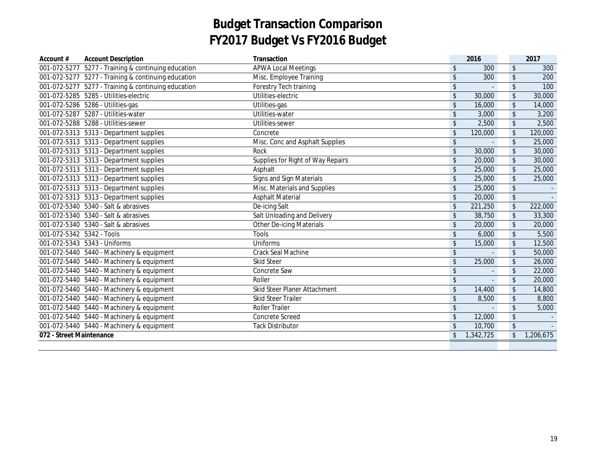| Account #                 | <b>Account Description</b>                          | Transaction                       | 2016            |                         | 2017      |
|---------------------------|-----------------------------------------------------|-----------------------------------|-----------------|-------------------------|-----------|
|                           | 001-072-5277 5277 - Training & continuing education | <b>APWA Local Meetings</b>        | \$<br>300       | \$                      | 300       |
|                           | 001-072-5277 5277 - Training & continuing education | Misc. Employee Training           | \$<br>300       | \$                      | 200       |
|                           | 001-072-5277 5277 - Training & continuing education | Forestry Tech training            | \$              | \$                      | 100       |
|                           | 001-072-5285  5285 - Utilities-electric             | Utilities-electric                | \$<br>30,000    | $\frac{1}{2}$           | 30,000    |
|                           | 001-072-5286  5286 - Utilities-gas                  | Utilities-gas                     | \$<br>16,000    | \$                      | 14,000    |
|                           | 001-072-5287  5287 - Utilities-water                | Utilities-water                   | \$<br>3,000     | \$                      | 3,200     |
|                           | 001-072-5288  5288 - Utilities-sewer                | Utilities-sewer                   | \$<br>2,500     | \$                      | 2,500     |
|                           | 001-072-5313  5313 - Department supplies            | Concrete                          | \$<br>120,000   | \$                      | 120,000   |
|                           | 001-072-5313  5313 - Department supplies            | Misc. Conc and Asphalt Supplies   | \$<br>$\bar{a}$ | \$                      | 25,000    |
|                           | 001-072-5313  5313 - Department supplies            | Rock                              | \$<br>30,000    | $\sqrt{2}$              | 30,000    |
|                           | 001-072-5313  5313 - Department supplies            | Supplies for Right of Way Repairs | \$<br>20,000    | \$                      | 30,000    |
|                           | 001-072-5313  5313 - Department supplies            | Asphalt                           | \$<br>25,000    | \$                      | 25,000    |
|                           | 001-072-5313  5313 - Department supplies            | Signs and Sign Materials          | \$<br>25,000    | \$                      | 25,000    |
|                           | 001-072-5313  5313 - Department supplies            | Misc. Materials and Supplies      | \$<br>25,000    | \$                      |           |
|                           | 001-072-5313  5313 - Department supplies            | <b>Asphalt Material</b>           | \$<br>20,000    | $\frac{1}{2}$           |           |
|                           | 001-072-5340 5340 - Salt & abrasives                | De-icing Salt                     | \$<br>221,250   | $\frac{1}{2}$           | 222,000   |
|                           | 001-072-5340 5340 - Salt & abrasives                | Salt Unloading and Delivery       | \$<br>38,750    | \$                      | 33,300    |
|                           | 001-072-5340 5340 - Salt & abrasives                | <b>Other De-icing Materials</b>   | \$<br>20,000    | \$                      | 20,000    |
| 001-072-5342 5342 - Tools |                                                     | <b>Tools</b>                      | \$<br>6,000     | \$                      | 5,500     |
|                           | 001-072-5343  5343 - Uniforms                       | Uniforms                          | \$<br>15,000    | \$                      | 12,500    |
|                           | 001-072-5440 5440 - Machinery & equipment           | <b>Crack Seal Machine</b>         | \$              | \$                      | 50,000    |
|                           | 001-072-5440 5440 - Machinery & equipment           | <b>Skid Steer</b>                 | \$<br>25,000    | $\frac{1}{2}$           | 26,000    |
|                           | 001-072-5440  5440 - Machinery & equipment          | Concrete Saw                      | \$              | \$                      | 22,000    |
|                           | 001-072-5440 5440 - Machinery & equipment           | Roller                            | \$              | \$                      | 20,000    |
|                           | 001-072-5440 5440 - Machinery & equipment           | Skid Steer Planer Attachment      | \$<br>14,400    | \$                      | 14,800    |
|                           | 001-072-5440 5440 - Machinery & equipment           | <b>Skid Steer Trailer</b>         | \$<br>8,500     | \$                      | 8,800     |
|                           | 001-072-5440 5440 - Machinery & equipment           | <b>Roller Trailer</b>             | \$              | \$                      | 5,000     |
|                           | 001-072-5440  5440 - Machinery & equipment          | <b>Concrete Screed</b>            | \$<br>12,000    | \$                      |           |
|                           | 001-072-5440  5440 - Machinery & equipment          | <b>Tack Distributor</b>           | \$<br>10,700    | $\sqrt[6]{\frac{1}{2}}$ |           |
| 072 - Street Maintenance  |                                                     |                                   | \$<br>1,342,725 | \$                      | 1,206,675 |
|                           |                                                     |                                   |                 |                         |           |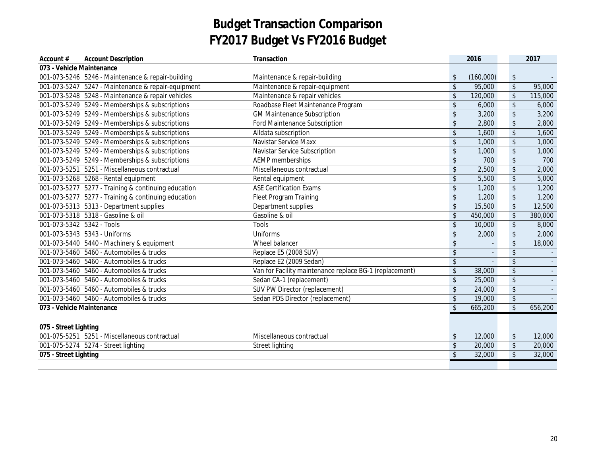| Account #                 | <b>Account Description</b>                          | Transaction                                             |               | 2016      |                            | 2017    |
|---------------------------|-----------------------------------------------------|---------------------------------------------------------|---------------|-----------|----------------------------|---------|
| 073 - Vehicle Maintenance |                                                     |                                                         |               |           |                            |         |
|                           | 001-073-5246 5246 - Maintenance & repair-building   | Maintenance & repair-building                           | \$            | (160,000) | $\updownarrow$             |         |
|                           | 001-073-5247 5247 - Maintenance & repair-equipment  | Maintenance & repair-equipment                          | \$            | 95,000    | \$                         | 95,000  |
|                           | 001-073-5248 5248 - Maintenance & repair vehicles   | Maintenance & repair vehicles                           | \$            | 120,000   | $\frac{1}{2}$              | 115,000 |
|                           | 001-073-5249 5249 - Memberships & subscriptions     | Roadbase Fleet Maintenance Program                      | \$            | 6,000     | $\updownarrow$             | 6,000   |
|                           | 001-073-5249 5249 - Memberships & subscriptions     | <b>GM Maintenance Subscription</b>                      | \$            | 3,200     | $\sqrt[6]{\frac{1}{2}}$    | 3,200   |
|                           | 001-073-5249 5249 - Memberships & subscriptions     | <b>Ford Maintenance Subscription</b>                    | \$            | 2,800     | $\sqrt[6]{\frac{1}{2}}$    | 2,800   |
|                           | 001-073-5249 5249 - Memberships & subscriptions     | Alldata subscription                                    | \$            | 1,600     | $\frac{1}{2}$              | 1,600   |
|                           | 001-073-5249 5249 - Memberships & subscriptions     | Navistar Service Maxx                                   | $\sqrt{2}$    | 1,000     | $\sqrt[6]{\frac{1}{2}}$    | 1,000   |
|                           | 001-073-5249 5249 - Memberships & subscriptions     | Navistar Service Subscription                           | \$            | 1,000     | $\frac{1}{2}$              | 1,000   |
|                           | 001-073-5249 5249 - Memberships & subscriptions     | <b>AEMP</b> memberships                                 | \$            | 700       | \$                         | 700     |
|                           | 001-073-5251 5251 - Miscellaneous contractual       | Miscellaneous contractual                               | \$            | 2,500     | \$                         | 2,000   |
|                           | 001-073-5268 5268 - Rental equipment                | Rental equipment                                        | \$            | 5,500     | \$                         | 5,000   |
|                           | 001-073-5277 5277 - Training & continuing education | <b>ASE Certification Exams</b>                          | \$            | 1,200     | $\sqrt[6]{\frac{1}{2}}$    | 1,200   |
|                           | 001-073-5277 5277 - Training & continuing education | <b>Fleet Program Training</b>                           | \$            | 1,200     | $\updownarrow$             | 1,200   |
|                           | 001-073-5313  5313 - Department supplies            | Department supplies                                     | \$            | 15,500    | $\boldsymbol{\mathsf{\$}}$ | 12,500  |
|                           | 001-073-5318  5318 - Gasoline & oil                 | Gasoline & oil                                          | \$            | 450,000   | $\sqrt[6]{\frac{1}{2}}$    | 380,000 |
| 001-073-5342 5342 - Tools |                                                     | <b>Tools</b>                                            | \$            | 10,000    | $\sqrt[6]{\frac{1}{2}}$    | 8,000   |
|                           | 001-073-5343  5343 - Uniforms                       | Uniforms                                                | \$            | 2,000     | $\sqrt[6]{\frac{1}{2}}$    | 2,000   |
|                           | 001-073-5440  5440 - Machinery & equipment          | Wheel balancer                                          | \$            |           | $\boldsymbol{\mathsf{\$}}$ | 18,000  |
|                           | 001-073-5460  5460 - Automobiles & trucks           | Replace E5 (2008 SUV)                                   | \$            |           | $\sqrt[6]{\frac{1}{2}}$    |         |
|                           | 001-073-5460  5460 - Automobiles & trucks           | Replace E2 (2009 Sedan)                                 | \$            |           | $\sqrt{2}$                 |         |
|                           | 001-073-5460  5460 - Automobiles & trucks           | Van for Facility maintenance replace BG-1 (replacement) | \$            | 38,000    | \$                         |         |
|                           | 001-073-5460  5460 - Automobiles & trucks           | Sedan CA-1 (replacement)                                | \$            | 25,000    | $\sqrt[6]{\frac{1}{2}}$    |         |
|                           | 001-073-5460  5460 - Automobiles & trucks           | SUV PW Director (replacement)                           | \$            | 24,000    | $\sqrt[6]{\frac{1}{2}}$    |         |
|                           | 001-073-5460  5460 - Automobiles & trucks           | Sedan PDS Director (replacement)                        | \$            | 19,000    | $\frac{1}{2}$              |         |
| 073 - Vehicle Maintenance |                                                     |                                                         | $\mathsf{\$}$ | 665,200   | $\mathsf{\$}$              | 656,200 |
|                           |                                                     |                                                         |               |           |                            |         |
| 075 - Street Lighting     |                                                     |                                                         |               |           |                            |         |
|                           | 001-075-5251 5251 - Miscellaneous contractual       | Miscellaneous contractual                               | \$            | 12,000    | $\frac{1}{2}$              | 12,000  |
|                           | 001-075-5274 5274 - Street lighting                 | <b>Street lighting</b>                                  | \$            | 20,000    | $\sqrt[6]{\frac{1}{2}}$    | 20,000  |
| 075 - Street Lighting     |                                                     |                                                         | $\sqrt{2}$    | 32,000    | $\sqrt[6]{\frac{1}{2}}$    | 32,000  |
|                           |                                                     |                                                         |               |           |                            |         |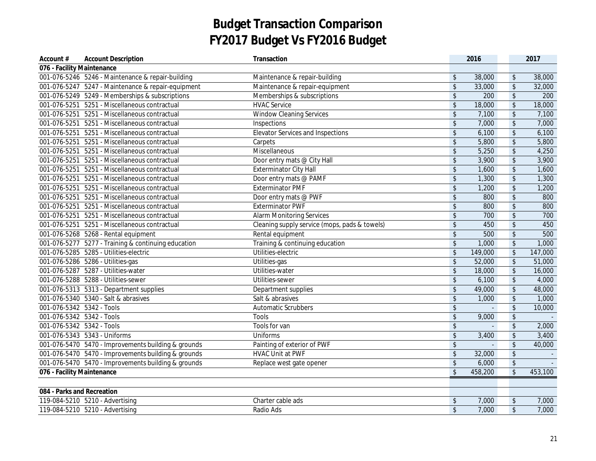| Account #                  | <b>Account Description</b>                          | Transaction                                   |                          | 2016    |                            | 2017    |
|----------------------------|-----------------------------------------------------|-----------------------------------------------|--------------------------|---------|----------------------------|---------|
| 076 - Facility Maintenance |                                                     |                                               |                          |         |                            |         |
|                            | 001-076-5246 5246 - Maintenance & repair-building   | Maintenance & repair-building                 | $\boldsymbol{\$}$        | 38,000  | \$                         | 38,000  |
|                            | 001-076-5247 5247 - Maintenance & repair-equipment  | Maintenance & repair-equipment                | \$                       | 33,000  | \$                         | 32,000  |
|                            | 001-076-5249 5249 - Memberships & subscriptions     | Memberships & subscriptions                   | \$                       | 200     | $\boldsymbol{\mathsf{\$}}$ | 200     |
| $\overline{001}$ -076-5251 | 5251 - Miscellaneous contractual                    | <b>HVAC Service</b>                           | \$                       | 18,000  | $\sqrt[6]{\frac{1}{2}}$    | 18,000  |
| 001-076-5251               | 5251 - Miscellaneous contractual                    | <b>Window Cleaning Services</b>               | \$                       | 7,100   | $\boldsymbol{\mathsf{\$}}$ | 7,100   |
|                            | 001-076-5251 5251 - Miscellaneous contractual       | Inspections                                   | \$                       | 7,000   | $\sqrt{2}$                 | 7,000   |
|                            | 001-076-5251 5251 - Miscellaneous contractual       | <b>Elevator Services and Inspections</b>      | \$                       | 6,100   | \$                         | 6,100   |
|                            | 001-076-5251 5251 - Miscellaneous contractual       | Carpets                                       | \$                       | 5,800   | \$                         | 5,800   |
|                            | 001-076-5251 5251 - Miscellaneous contractual       | Miscellaneous                                 | \$                       | 5,250   | \$                         | 4,250   |
|                            | 001-076-5251 5251 - Miscellaneous contractual       | Door entry mats @ City Hall                   | \$                       | 3,900   | $\sqrt{2}$                 | 3,900   |
|                            | 001-076-5251 5251 - Miscellaneous contractual       | <b>Exterminator City Hall</b>                 | \$                       | 1,600   | \$                         | 1,600   |
|                            | 001-076-5251 5251 - Miscellaneous contractual       | Door entry mats @ PAMF                        | \$                       | 1,300   | $\sqrt[6]{\frac{1}{2}}$    | 1,300   |
|                            | 001-076-5251 5251 - Miscellaneous contractual       | <b>Exterminator PMF</b>                       | \$                       | 1,200   | \$                         | 1,200   |
|                            | 001-076-5251 5251 - Miscellaneous contractual       | Door entry mats @ PWF                         | \$                       | 800     | \$                         | 800     |
|                            | 001-076-5251 5251 - Miscellaneous contractual       | <b>Exterminator PWF</b>                       | \$                       | 800     | $\sqrt[6]{\frac{1}{2}}$    | 800     |
|                            | 001-076-5251 5251 - Miscellaneous contractual       | <b>Alarm Monitoring Services</b>              | \$                       | 700     | $\sqrt{2}$                 | 700     |
|                            | 001-076-5251 5251 - Miscellaneous contractual       | Cleaning supply service (mops, pads & towels) | \$                       | 450     | $\sqrt[6]{\frac{1}{2}}$    | 450     |
|                            | 001-076-5268 5268 - Rental equipment                | Rental equipment                              | \$                       | 500     | $\sqrt[6]{\frac{1}{2}}$    | 500     |
|                            | 001-076-5277 5277 - Training & continuing education | Training & continuing education               | \$                       | 1,000   | $$\mathbb{S}$$             | 1,000   |
|                            | 001-076-5285  5285 - Utilities-electric             | Utilities-electric                            | \$                       | 149,000 | $\sqrt[6]{\frac{1}{2}}$    | 147,000 |
|                            | 001-076-5286  5286 - Utilities-gas                  | Utilities-gas                                 | \$                       | 52,000  | $\sqrt[6]{\frac{1}{2}}$    | 51,000  |
|                            | 001-076-5287  5287 - Utilities-water                | Utilities-water                               | \$                       | 18,000  | \$                         | 16,000  |
|                            | 001-076-5288  5288 - Utilities-sewer                | Utilities-sewer                               | \$                       | 6,100   | \$                         | 4,000   |
|                            | 001-076-5313  5313 - Department supplies            | Department supplies                           | \$                       | 49,000  | $\sqrt{2}$                 | 48,000  |
|                            | 001-076-5340 5340 - Salt & abrasives                | Salt & abrasives                              | \$                       | 1,000   | \$                         | 1,000   |
| 001-076-5342 5342 - Tools  |                                                     | <b>Automatic Scrubbers</b>                    | \$                       |         | $\boldsymbol{\mathsf{\$}}$ | 10,000  |
| 001-076-5342 5342 - Tools  |                                                     | <b>Tools</b>                                  | \$                       | 9,000   | $\boldsymbol{\mathsf{\$}}$ |         |
| 001-076-5342 5342 - Tools  |                                                     | Tools for van                                 | \$                       |         | \$                         | 2,000   |
|                            | 001-076-5343  5343 - Uniforms                       | Uniforms                                      | \$                       | 3,400   | $\boldsymbol{\mathsf{\$}}$ | 3,400   |
|                            | 001-076-5470 5470 - Improvements building & grounds | Painting of exterior of PWF                   | \$                       |         | $\boldsymbol{\mathsf{\$}}$ | 40,000  |
|                            | 001-076-5470 5470 - Improvements building & grounds | <b>HVAC Unit at PWF</b>                       | \$                       | 32,000  | \$                         |         |
|                            | 001-076-5470 5470 - Improvements building & grounds | Replace west gate opener                      | \$                       | 6,000   | \$                         |         |
| 076 - Facility Maintenance |                                                     |                                               | $\overline{\mathcal{L}}$ | 458,200 | $\sqrt{2}$                 | 453,100 |
|                            |                                                     |                                               |                          |         |                            |         |
| 084 - Parks and Recreation |                                                     |                                               |                          |         |                            |         |
|                            | 119-084-5210 5210 - Advertising                     | Charter cable ads                             | \$                       | 7,000   | \$                         | 7,000   |
|                            | 119-084-5210 5210 - Advertising                     | Radio Ads                                     | $\hat{S}$                | 7,000   | \$                         | 7,000   |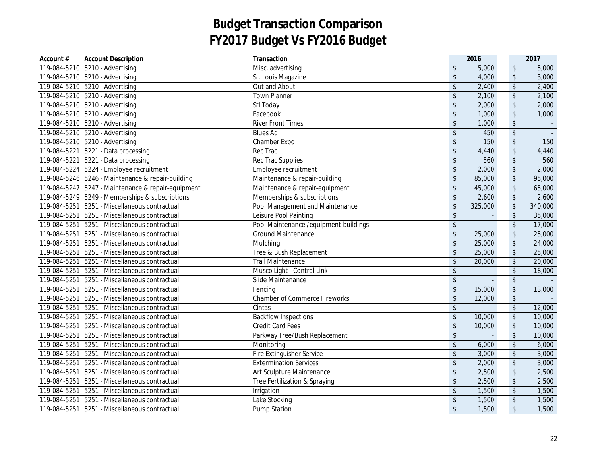| Account #    | <b>Account Description</b>                         | Transaction                            |                         | 2016           |                            | 2017    |
|--------------|----------------------------------------------------|----------------------------------------|-------------------------|----------------|----------------------------|---------|
|              | 119-084-5210 5210 - Advertising                    | Misc. advertising                      | $\frac{1}{2}$           | 5,000          | $\sqrt[6]{}$               | 5,000   |
|              | 119-084-5210 5210 - Advertising                    | St. Louis Magazine                     | \$                      | 4,000          | $\sqrt[6]{\frac{1}{2}}$    | 3,000   |
|              | 119-084-5210 5210 - Advertising                    | Out and About                          | $\sqrt[6]{\frac{1}{2}}$ | 2,400          | $\boldsymbol{\mathsf{\$}}$ | 2,400   |
|              | 119-084-5210  5210 - Advertising                   | <b>Town Planner</b>                    | $\sqrt[6]{\frac{1}{2}}$ | 2,100          | $\sqrt[6]{\frac{1}{2}}$    | 2,100   |
|              | 119-084-5210  5210 - Advertising                   | Stl Today                              | \$                      | 2,000          | \$                         | 2,000   |
|              | 119-084-5210 5210 - Advertising                    | Facebook                               | \$                      | 1,000          | $\boldsymbol{\mathsf{\$}}$ | 1,000   |
|              | 119-084-5210 5210 - Advertising                    | <b>River Front Times</b>               | \$                      | 1,000          | \$                         |         |
|              | 119-084-5210 5210 - Advertising                    | <b>Blues Ad</b>                        | \$                      | 450            | $\sqrt[6]{\frac{1}{2}}$    |         |
|              | 119-084-5210 5210 - Advertising                    | Chamber Expo                           | \$                      | 150            | $\sqrt[6]{\frac{1}{2}}$    | 150     |
|              | 119-084-5221 5221 - Data processing                | Rec Trac                               | \$                      | 4,440          | \$                         | 4,440   |
|              | 119-084-5221 5221 - Data processing                | Rec Trac Supplies                      | \$                      | 560            | \$                         | 560     |
|              | 119-084-5224 5224 - Employee recruitment           | Employee recruitment                   | $\sqrt[6]{\frac{1}{2}}$ | 2,000          | \$                         | 2,000   |
|              | 119-084-5246 5246 - Maintenance & repair-building  | Maintenance & repair-building          | $\sqrt[6]{\frac{1}{2}}$ | 85,000         | $\sqrt[6]{\frac{1}{2}}$    | 95,000  |
|              | 119-084-5247 5247 - Maintenance & repair-equipment | Maintenance & repair-equipment         | $\sqrt[6]{\frac{1}{2}}$ | 45,000         | \$                         | 65,000  |
|              | 119-084-5249 5249 - Memberships & subscriptions    | Memberships & subscriptions            | $\sqrt{2}$              | 2,600          | $\sqrt{2}$                 | 2,600   |
|              | 119-084-5251 5251 - Miscellaneous contractual      | Pool Management and Maintenance        | $\sqrt{2}$              | 325,000        | $\sqrt[6]{\frac{1}{2}}$    | 340,000 |
|              | 119-084-5251 5251 - Miscellaneous contractual      | Leisure Pool Painting                  | $\sqrt[6]{\frac{1}{2}}$ | $\omega$       | $\sqrt[6]{\frac{1}{2}}$    | 35,000  |
|              | 119-084-5251 5251 - Miscellaneous contractual      | Pool Maintenance / equipment-buildings | $\updownarrow$          | $\blacksquare$ | $\sqrt[6]{\frac{1}{2}}$    | 17,000  |
|              | 119-084-5251 5251 - Miscellaneous contractual      | <b>Ground Maintenance</b>              | \$                      | 25,000         | $\sqrt[6]{2}$              | 25,000  |
|              | 119-084-5251 5251 - Miscellaneous contractual      | Mulching                               | \$                      | 25,000         | \$                         | 24,000  |
|              | 119-084-5251 5251 - Miscellaneous contractual      | Tree & Bush Replacement                | \$                      | 25,000         | \$                         | 25,000  |
|              | 119-084-5251 5251 - Miscellaneous contractual      | <b>Trail Maintenance</b>               | \$                      | 20,000         | $\sqrt[6]{\frac{1}{2}}$    | 20,000  |
|              | 119-084-5251 5251 - Miscellaneous contractual      | Musco Light - Control Link             | \$                      |                | $\boldsymbol{\mathsf{\$}}$ | 18,000  |
|              | 119-084-5251 5251 - Miscellaneous contractual      | Slide Maintenance                      | \$                      |                | $\sqrt[6]{\frac{1}{2}}$    |         |
|              | 119-084-5251 5251 - Miscellaneous contractual      | Fencing                                | $\sqrt[6]{\frac{1}{2}}$ | 15,000         | $\sqrt[6]{\frac{1}{2}}$    | 13,000  |
|              | 119-084-5251 5251 - Miscellaneous contractual      | <b>Chamber of Commerce Fireworks</b>   | $\sqrt[6]{\frac{1}{2}}$ | 12,000         | \$                         |         |
| 119-084-5251 | 5251 - Miscellaneous contractual                   | Cintas                                 | \$                      | $\overline{a}$ | $\sqrt[6]{\frac{1}{2}}$    | 12,000  |
| 119-084-5251 | 5251 - Miscellaneous contractual                   | <b>Backflow Inspections</b>            | $\sqrt[6]{\frac{1}{2}}$ | 10,000         | $\sqrt[6]{\frac{1}{2}}$    | 10,000  |
|              | 119-084-5251 5251 - Miscellaneous contractual      | <b>Credit Card Fees</b>                | $\sqrt[6]{\frac{1}{2}}$ | 10,000         | \$                         | 10,000  |
|              | 119-084-5251 5251 - Miscellaneous contractual      | Parkway Tree/Bush Replacement          | \$                      |                | \$                         | 10,000  |
|              | 119-084-5251 5251 - Miscellaneous contractual      | Monitoring                             | $\sqrt[6]{\frac{1}{2}}$ | 6,000          | \$                         | 6,000   |
|              | 119-084-5251 5251 - Miscellaneous contractual      | Fire Extinguisher Service              | $\sqrt{2}$              | 3,000          | $\boldsymbol{\mathsf{\$}}$ | 3,000   |
|              | 119-084-5251 5251 - Miscellaneous contractual      | <b>Extermination Services</b>          | \$                      | 2,000          | \$                         | 3,000   |
|              | 119-084-5251 5251 - Miscellaneous contractual      | Art Sculpture Maintenance              | \$                      | 2,500          | $\sqrt[6]{\frac{1}{2}}$    | 2,500   |
|              | 119-084-5251 5251 - Miscellaneous contractual      | Tree Fertilization & Spraying          | $\sqrt[6]{\frac{1}{2}}$ | 2,500          | $\sqrt[6]{\frac{1}{2}}$    | 2,500   |
|              | 119-084-5251 5251 - Miscellaneous contractual      | Irrigation                             | \$                      | 1,500          | \$                         | 1,500   |
|              | 119-084-5251 5251 - Miscellaneous contractual      | Lake Stocking                          | $\sqrt{2}$              | 1,500          | $\boldsymbol{\mathsf{S}}$  | 1,500   |
|              | 119-084-5251 5251 - Miscellaneous contractual      | <b>Pump Station</b>                    | $\sqrt{2}$              | 1,500          | $\sqrt[6]{\frac{1}{2}}$    | 1,500   |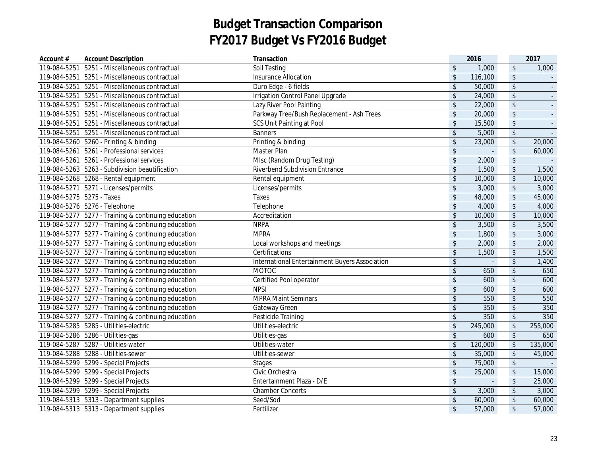| Account #    | <b>Account Description</b>                          | Transaction                                    |                            | 2016           |                            | 2017    |
|--------------|-----------------------------------------------------|------------------------------------------------|----------------------------|----------------|----------------------------|---------|
| 119-084-5251 | 5251 - Miscellaneous contractual                    | <b>Soil Testing</b>                            | $\mathfrak{L}$             | 1,000          | $\sqrt[6]{\frac{1}{2}}$    | 1,000   |
|              | 119-084-5251 5251 - Miscellaneous contractual       | <b>Insurance Allocation</b>                    | $\sqrt{2}$                 | 116,100        | $\sqrt{2}$                 |         |
|              | 119-084-5251 5251 - Miscellaneous contractual       | Duro Edge - 6 fields                           | $\sqrt{2}$                 | 50,000         | $\sqrt{2}$                 |         |
| 119-084-5251 | 5251 - Miscellaneous contractual                    | Irrigation Control Panel Upgrade               | $\sqrt[6]{2}$              | 24,000         | \$                         |         |
|              | 119-084-5251 5251 - Miscellaneous contractual       | Lazy River Pool Painting                       | $\sqrt[6]{\frac{1}{2}}$    | 22,000         | \$                         |         |
|              | 119-084-5251 5251 - Miscellaneous contractual       | Parkway Tree/Bush Replacement - Ash Trees      | $\sqrt[6]{2}$              | 20,000         | $\frac{1}{2}$              |         |
|              | 119-084-5251 5251 - Miscellaneous contractual       | SCS Unit Painting at Pool                      | $\sqrt[6]{\frac{1}{2}}$    | 15,500         | $\sqrt[6]{}$               |         |
|              | 119-084-5251 5251 - Miscellaneous contractual       | <b>Banners</b>                                 | $\sqrt[6]{\frac{1}{2}}$    | 5,000          | \$                         |         |
|              | 119-084-5260 5260 - Printing & binding              | Printing & binding                             | \$                         | 23,000         | $\frac{1}{2}$              | 20,000  |
|              | 119-084-5261 5261 - Professional services           | Master Plan                                    | $\sqrt[6]{\frac{1}{2}}$    | $\mathbf{r}$   | \$                         | 60,000  |
|              | 119-084-5261 5261 - Professional services           | MIsc (Random Drug Testing)                     | $\sqrt[6]{\frac{1}{2}}$    | 2,000          | $\sqrt[6]{\frac{1}{2}}$    |         |
|              | 119-084-5263 5263 - Subdivision beautification      | Riverbend Subdivision Entrance                 | $\sqrt[6]{\frac{1}{2}}$    | 1,500          | \$                         | 1,500   |
|              | 119-084-5268 5268 - Rental equipment                | Rental equipment                               | $\mathfrak{S}$             | 10,000         | $\sqrt[6]{}$               | 10,000  |
|              | 119-084-5271  5271 - Licenses/permits               | Licenses/permits                               | $\sqrt{2}$                 | 3,000          | $\sqrt{2}$                 | 3,000   |
|              | 119-084-5275 5275 - Taxes                           | Taxes                                          | $\sqrt[6]{\frac{1}{2}}$    | 48,000         | $\sqrt{2}$                 | 45,000  |
|              | 119-084-5276 5276 - Telephone                       | Telephone                                      | $\sqrt[6]{2}$              | 4,000          | $\sqrt{2}$                 | 4,000   |
|              | 119-084-5277 5277 - Training & continuing education | Accreditation                                  | $\sqrt[6]{\frac{1}{2}}$    | 10,000         | $\sqrt[6]{\frac{1}{2}}$    | 10,000  |
|              | 119-084-5277 5277 - Training & continuing education | <b>NRPA</b>                                    | \$                         | 3,500          | $\sqrt[6]{\frac{1}{2}}$    | 3,500   |
|              | 119-084-5277 5277 - Training & continuing education | <b>MPRA</b>                                    | \$                         | 1,800          | $\sqrt{2}$                 | 3,000   |
|              | 119-084-5277 5277 - Training & continuing education | Local workshops and meetings                   | \$                         | 2,000          | $\updownarrow$             | 2,000   |
|              | 119-084-5277 5277 - Training & continuing education | Certifications                                 | $\sqrt[6]{\frac{1}{2}}$    | 1,500          | $\sqrt{2}$                 | 1,500   |
|              | 119-084-5277 5277 - Training & continuing education | International Entertainment Buyers Association | $\boldsymbol{\hat{\zeta}}$ | $\blacksquare$ | $\sqrt{2}$                 | 1,400   |
|              | 119-084-5277 5277 - Training & continuing education | <b>MOTOC</b>                                   | $\frac{1}{2}$              | 650            | \$                         | 650     |
|              | 119-084-5277 5277 - Training & continuing education | Certified Pool operator                        | $\boldsymbol{\hat{\zeta}}$ | 600            | $\sqrt[6]{\frac{1}{2}}$    | 600     |
|              | 119-084-5277 5277 - Training & continuing education | <b>NPSI</b>                                    | $\boldsymbol{\hat{\zeta}}$ | 600            | \$                         | 600     |
|              | 119-084-5277 5277 - Training & continuing education | <b>MPRA Maint Seminars</b>                     | $\sqrt[6]{\frac{1}{2}}$    | 550            | $\sqrt{2}$                 | 550     |
|              | 119-084-5277 5277 - Training & continuing education | Gateway Green                                  | $\sqrt[6]{\frac{1}{2}}$    | 350            | $\sqrt{2}$                 | 350     |
|              | 119-084-5277 5277 - Training & continuing education | Pesticide Training                             | $\sqrt[6]{\frac{1}{2}}$    | 350            | $\sqrt{2}$                 | 350     |
|              | 119-084-5285  5285 - Utilities-electric             | Utilities-electric                             | $\sqrt[6]{\frac{1}{2}}$    | 245,000        | $\sqrt[6]{}$               | 255,000 |
|              | 119-084-5286  5286 - Utilities-gas                  | Utilities-gas                                  | $\sqrt[6]{\frac{1}{2}}$    | 600            | $\boldsymbol{\mathsf{\$}}$ | 650     |
|              | 119-084-5287    5287 - Utilities-water              | Utilities-water                                | \$                         | 120,000        | $\sqrt[6]{\frac{1}{2}}$    | 135,000 |
|              | 119-084-5288  5288 - Utilities-sewer                | Utilities-sewer                                | $\sqrt[6]{\frac{1}{2}}$    | 35,000         | $\sqrt{2}$                 | 45,000  |
|              | 119-084-5299    5299 - Special Projects             | <b>Stages</b>                                  | $\sqrt[6]{\frac{1}{2}}$    | 75,000         | $\sqrt[6]{}$               |         |
|              | 119-084-5299    5299 - Special Projects             | Civic Orchestra                                | $\sqrt{2}$                 | 25,000         | $\updownarrow$             | 15,000  |
|              | 119-084-5299 5299 - Special Projects                | Entertainment Plaza - D/E                      | \$                         | $\mathbf{r}$   | $\sqrt[6]{\frac{1}{2}}$    | 25,000  |
|              | 119-084-5299 5299 - Special Projects                | <b>Chamber Concerts</b>                        | \$                         | 3,000          | \$                         | 3,000   |
|              | 119-084-5313  5313 - Department supplies            | Seed/Sod                                       | $\sqrt[6]{2}$              | 60,000         | $\sqrt[6]{\frac{1}{2}}$    | 60,000  |
|              | 119-084-5313  5313 - Department supplies            | Fertilizer                                     | \$                         | 57,000         | $\sqrt[6]{\frac{1}{2}}$    | 57,000  |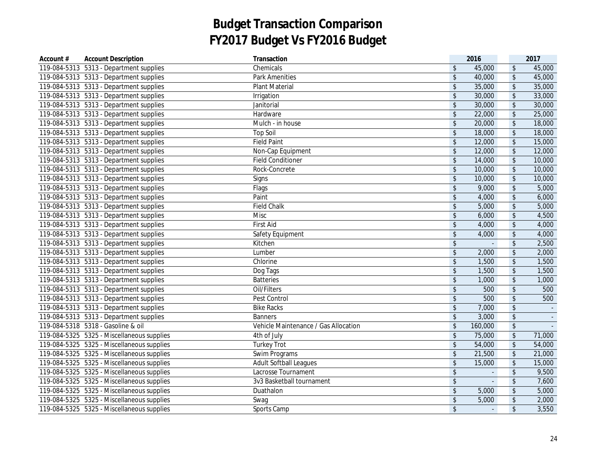| 119-084-5313  5313 - Department supplies<br>Chemicals<br>$\sqrt[6]{\frac{1}{2}}$                      |                                     |          |
|-------------------------------------------------------------------------------------------------------|-------------------------------------|----------|
|                                                                                                       | $\sqrt[6]{\frac{1}{2}}$<br>45,000   | 45,000   |
| 119-084-5313  5313 - Department supplies<br>$\sqrt[6]{\frac{1}{2}}$<br><b>Park Amenities</b>          | $\sqrt[6]{\frac{1}{2}}$<br>40,000   | 45,000   |
| 119-084-5313  5313 - Department supplies<br>$\sqrt[6]{\frac{1}{2}}$<br><b>Plant Material</b>          | $\sqrt[6]{\frac{1}{2}}$<br>35,000   | 35,000   |
| 119-084-5313  5313 - Department supplies<br>$\sqrt[6]{2}$<br>Irrigation                               | $\sqrt[6]{\frac{1}{2}}$<br>30,000   | 33,000   |
| 119-084-5313  5313 - Department supplies<br>Janitorial<br>$\sqrt[6]{\frac{1}{2}}$                     | $\sqrt[6]{\frac{1}{2}}$<br>30,000   | 30,000   |
| 119-084-5313  5313 - Department supplies<br>Hardware<br>\$                                            | $\sqrt[6]{\frac{1}{2}}$<br>22,000   | 25,000   |
| 119-084-5313  5313 - Department supplies<br>$\sqrt[6]{\frac{1}{2}}$<br>Mulch - in house               | $\sqrt[6]{\frac{1}{2}}$<br>20,000   | 18,000   |
| $\sqrt[6]{\frac{1}{2}}$<br>119-084-5313  5313 - Department supplies<br><b>Top Soil</b>                | $\sqrt[6]{\frac{1}{2}}$<br>18,000   | 18,000   |
| $\frac{1}{2}$<br>119-084-5313  5313 - Department supplies<br><b>Field Paint</b>                       | $\sqrt[6]{\frac{1}{2}}$<br>12,000   | 15,000   |
| $\sqrt{2}$<br>119-084-5313  5313 - Department supplies<br>Non-Cap Equipment                           | $\sqrt[6]{\frac{1}{2}}$<br>12,000   | 12,000   |
| 119-084-5313  5313 - Department supplies<br><b>Field Conditioner</b><br>\$                            | 14,000<br>$\sqrt[6]{\frac{1}{2}}$   | 10,000   |
| 119-084-5313  5313 - Department supplies<br>Rock-Concrete<br>$\sqrt[6]{\frac{1}{2}}$                  | $\sqrt[6]{\frac{1}{2}}$<br>10,000   | 10,000   |
| 119-084-5313  5313 - Department supplies<br>$\sqrt[6]{\frac{1}{2}}$<br>Signs                          | $\sqrt[6]{\frac{1}{2}}$<br>10,000   | 10,000   |
| 119-084-5313  5313 - Department supplies<br>Flags<br>$\sqrt[6]{\frac{1}{2}}$                          | $\boldsymbol{\mathsf{\$}}$<br>9,000 | 5,000    |
| 119-084-5313  5313 - Department supplies<br>Paint<br>$\sqrt[6]{\frac{1}{2}}$                          | $\sqrt{2}$<br>4,000                 | 6,000    |
| 119-084-5313  5313 - Department supplies<br><b>Field Chalk</b><br>$\boldsymbol{\hat{\zeta}}$          | $\sqrt{2}$<br>5,000                 | 5,000    |
| 119-084-5313  5313 - Department supplies<br>$\boldsymbol{\mathsf{\$}}$<br>Misc                        | $\updownarrow$<br>6,000             | 4,500    |
| 119-084-5313  5313 - Department supplies<br>First Aid<br>$\boldsymbol{\hat{\zeta}}$                   | $\sqrt[6]{\frac{1}{2}}$<br>4,000    | 4,000    |
| 119-084-5313  5313 - Department supplies<br>$\mathsf{\$}$<br>Safety Equipment                         | $\updownarrow$<br>4,000             | 4,000    |
| 119-084-5313 5313 - Department supplies<br>$\sqrt[6]{\frac{1}{2}}$<br>Kitchen                         | $\sqrt{2}$                          | 2,500    |
| $\sqrt{2}$<br>119-084-5313  5313 - Department supplies<br>Lumber                                      | $\sqrt{2}$<br>2,000                 | 2,000    |
| 119-084-5313  5313 - Department supplies<br>$\sqrt[6]{\frac{1}{2}}$<br>Chlorine                       | \$<br>1,500                         | 1,500    |
| $\sqrt[6]{\frac{1}{2}}$<br>119-084-5313    5313 - Department supplies<br>Dog Tags                     | 1,500<br>$\sqrt{2}$                 | 1,500    |
| $\sqrt{2}$<br>119-084-5313  5313 - Department supplies<br><b>Batteries</b>                            | $\sqrt[6]{\frac{1}{2}}$<br>1,000    | 1,000    |
| 119-084-5313  5313 - Department supplies<br>$\sqrt{2}$<br>Oil/Filters                                 | $\sqrt{2}$<br>500                   | 500      |
| 119-084-5313  5313 - Department supplies<br>$\sqrt[6]{\frac{1}{2}}$<br>Pest Control                   | 500<br>$\sqrt{2}$                   | 500      |
| $\sqrt[6]{}$<br>119-084-5313  5313 - Department supplies<br><b>Bike Racks</b>                         | $\sqrt{2}$<br>7,000                 | $\sim$   |
| 119-084-5313  5313 - Department supplies<br>$\sqrt[6]{\frac{1}{2}}$<br><b>Banners</b>                 | $\sqrt{2}$<br>3,000                 | $\omega$ |
| 119-084-5318 5318 - Gasoline & oil<br>$\sqrt[6]{\frac{1}{2}}$<br>Vehicle Maintenance / Gas Allocation | 160,000<br>$\sqrt[6]{\frac{1}{2}}$  |          |
| 119-084-5325 5325 - Miscellaneous supplies<br>4th of July<br>$\sqrt[6]{\frac{1}{2}}$                  | $\updownarrow$<br>75,000            | 71,000   |
| 119-084-5325 5325 - Miscellaneous supplies<br><b>Turkey Trot</b><br>$\sqrt[6]{\frac{1}{2}}$           | $\sqrt[6]{\frac{1}{2}}$<br>54,000   | 54,000   |
| 119-084-5325 5325 - Miscellaneous supplies<br>$\sqrt[6]{\frac{1}{2}}$<br>Swim Programs                | $\sqrt[6]{\frac{1}{2}}$<br>21,500   | 21,000   |
| $\sqrt{2}$<br>119-084-5325 5325 - Miscellaneous supplies<br><b>Adult Softball Leagues</b>             | $\sqrt[6]{\frac{1}{2}}$<br>15,000   | 15,000   |
| $\sqrt{2}$<br>119-084-5325 5325 - Miscellaneous supplies<br>Lacrosse Tournament                       | $\sqrt{2}$<br>$\mathbf{r}$          | 9,500    |
| 119-084-5325 5325 - Miscellaneous supplies<br>$\boldsymbol{\hat{\zeta}}$<br>3v3 Basketball tournament | $\sqrt{2}$<br>L.                    | 7,600    |
| 119-084-5325 5325 - Miscellaneous supplies<br>$\boldsymbol{\hat{\zeta}}$<br>Duathalon                 | $\sqrt{2}$<br>5,000                 | 5,000    |
| 119-084-5325 5325 - Miscellaneous supplies<br>$\boldsymbol{\hat{\zeta}}$<br>Swag                      | $\sqrt{2}$<br>5,000                 | 2,000    |
| 119-084-5325 5325 - Miscellaneous supplies<br>$\sqrt[6]{\frac{1}{2}}$<br>Sports Camp                  | $\sqrt{2}$<br>$\Box$                | 3,550    |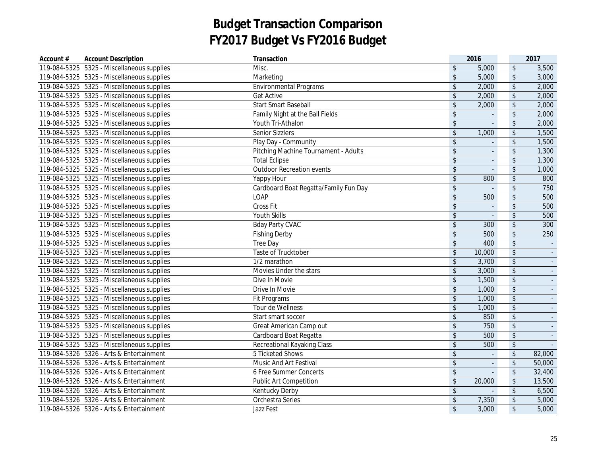| Account # | <b>Account Description</b>                 | Transaction                           |                            | 2016                     |                          | 2017   |
|-----------|--------------------------------------------|---------------------------------------|----------------------------|--------------------------|--------------------------|--------|
|           | 119-084-5325 5325 - Miscellaneous supplies | Misc.                                 | $\mathfrak{L}$             | 5,000                    | $\sqrt[6]{\frac{1}{2}}$  | 3,500  |
|           | 119-084-5325 5325 - Miscellaneous supplies | Marketing                             | $\mathsf{\$}$              | 5,000                    | $\sqrt[6]{\frac{1}{2}}$  | 3,000  |
|           | 119-084-5325 5325 - Miscellaneous supplies | <b>Environmental Programs</b>         | $\sqrt{2}$                 | 2,000                    | $\sqrt[6]{\frac{1}{2}}$  | 2,000  |
|           | 119-084-5325 5325 - Miscellaneous supplies | <b>Get Active</b>                     | $\sqrt[6]{\frac{1}{2}}$    | 2,000                    | $\sqrt{2}$               | 2,000  |
|           | 119-084-5325 5325 - Miscellaneous supplies | <b>Start Smart Baseball</b>           | $\sqrt{2}$                 | 2,000                    | $\sqrt[6]{\frac{1}{2}}$  | 2,000  |
|           | 119-084-5325 5325 - Miscellaneous supplies | Family Night at the Ball Fields       | $\boldsymbol{\hat{\zeta}}$ | $\Box$                   | $\sqrt[6]{\frac{1}{2}}$  | 2,000  |
|           | 119-084-5325 5325 - Miscellaneous supplies | Youth Tri-Athalon                     | \$                         |                          | $\sqrt[6]{\frac{1}{2}}$  | 2,000  |
|           | 119-084-5325 5325 - Miscellaneous supplies | <b>Senior Sizzlers</b>                | $\sqrt{2}$                 | 1,000                    | $\sqrt[6]{\frac{1}{2}}$  | 1,500  |
|           | 119-084-5325 5325 - Miscellaneous supplies | Play Day - Community                  | $\sqrt[6]{\frac{1}{2}}$    |                          | $\sqrt[6]{}$             | 1,500  |
|           | 119-084-5325 5325 - Miscellaneous supplies | Pitching Machine Tournament - Adults  | $\sqrt[6]{\frac{1}{2}}$    | $\overline{\phantom{a}}$ | $\sqrt{2}$               | 1,300  |
|           | 119-084-5325 5325 - Miscellaneous supplies | <b>Total Eclipse</b>                  | $\sqrt[6]{\frac{1}{2}}$    | $\mathbf{r}$             | $\sqrt{2}$               | 1,300  |
|           | 119-084-5325 5325 - Miscellaneous supplies | <b>Outdoor Recreation events</b>      | $\sqrt[6]{\frac{1}{2}}$    | $\mathbf{r}$             | $\sqrt{2}$               | 1,000  |
|           | 119-084-5325 5325 - Miscellaneous supplies | Yappy Hour                            | $\sqrt[6]{\frac{1}{2}}$    | 800                      | $\sqrt{2}$               | 800    |
|           | 119-084-5325 5325 - Miscellaneous supplies | Cardboard Boat Regatta/Family Fun Day | $\sqrt[6]{\frac{1}{2}}$    | $\overline{a}$           | $\sqrt{2}$               | 750    |
|           | 119-084-5325 5325 - Miscellaneous supplies | LOAP                                  | $\sqrt[6]{\frac{1}{2}}$    | 500                      | $\sqrt{2}$               | 500    |
|           | 119-084-5325 5325 - Miscellaneous supplies | Cross Fit                             | $\sqrt[6]{\frac{1}{2}}$    | $\omega$                 | $\sqrt{2}$               | 500    |
|           | 119-084-5325 5325 - Miscellaneous supplies | Youth Skills                          | $\sqrt[6]{\frac{1}{2}}$    | $\omega$                 | $\sqrt[6]{}$             | 500    |
|           | 119-084-5325 5325 - Miscellaneous supplies | <b>Bday Party CVAC</b>                | $\sqrt[6]{\frac{1}{2}}$    | 300                      | $\sqrt{2}$               | 300    |
|           | 119-084-5325 5325 - Miscellaneous supplies | <b>Fishing Derby</b>                  | \$                         | 500                      | $\sqrt{2}$               | 250    |
|           | 119-084-5325 5325 - Miscellaneous supplies | Tree Day                              | $\sqrt[6]{\frac{1}{2}}$    | 400                      | $\sqrt{2}$               |        |
|           | 119-084-5325 5325 - Miscellaneous supplies | Taste of Trucktober                   | $\sqrt{2}$                 | 10,000                   | $\sqrt{2}$               |        |
|           | 119-084-5325 5325 - Miscellaneous supplies | 1/2 marathon                          | $\sqrt{2}$                 | 3,700                    | $\sqrt{2}$               |        |
|           | 119-084-5325 5325 - Miscellaneous supplies | Movies Under the stars                | $\sqrt[6]{\frac{1}{2}}$    | 3,000                    | $\sqrt{2}$               |        |
|           | 119-084-5325 5325 - Miscellaneous supplies | Dive In Movie                         | $\boldsymbol{\hat{\zeta}}$ | 1,500                    | \$                       |        |
|           | 119-084-5325 5325 - Miscellaneous supplies | Drive In Movie                        | $\sqrt[6]{\frac{1}{2}}$    | 1,000                    | \$                       |        |
|           | 119-084-5325 5325 - Miscellaneous supplies | Fit Programs                          | $\sqrt[6]{\frac{1}{2}}$    | 1,000                    | $\sqrt{2}$               |        |
|           | 119-084-5325 5325 - Miscellaneous supplies | Tour de Wellness                      | $\sqrt[6]{\frac{1}{2}}$    | 1,000                    | \$                       |        |
|           | 119-084-5325 5325 - Miscellaneous supplies | Start smart soccer                    | $\sqrt[6]{\frac{1}{2}}$    | 850                      | $\sqrt{2}$               |        |
|           | 119-084-5325 5325 - Miscellaneous supplies | Great American Camp out               | $\boldsymbol{\mathsf{\$}}$ | 750                      | $\sqrt{2}$               |        |
|           | 119-084-5325 5325 - Miscellaneous supplies | Cardboard Boat Regatta                | $\boldsymbol{\hat{\zeta}}$ | 500                      | \$                       | $\sim$ |
|           | 119-084-5325 5325 - Miscellaneous supplies | Recreational Kayaking Class           | \$                         | 500                      | $\sqrt[6]{\frac{1}{2}}$  |        |
|           | 119-084-5326  5326 - Arts & Entertainment  | 5 Ticketed Shows                      | $\sqrt[6]{\frac{1}{2}}$    | $\overline{\phantom{a}}$ | $\sqrt[6]{\frac{1}{2}}$  | 82,000 |
|           | 119-084-5326  5326 - Arts & Entertainment  | Music And Art Festival                | $\sqrt{2}$                 | $\Box$                   | $\sqrt[6]{}$             | 50,000 |
|           | 119-084-5326 5326 - Arts & Entertainment   | 6 Free Summer Concerts                | $\sqrt{2}$                 | ÷.                       | $\overline{\mathcal{L}}$ | 32,400 |
|           | 119-084-5326 5326 - Arts & Entertainment   | <b>Public Art Competition</b>         | $\boldsymbol{\hat{\zeta}}$ | 20,000                   | $\updownarrow$           | 13,500 |
|           | 119-084-5326 5326 - Arts & Entertainment   | Kentucky Derby                        | \$                         |                          | $\sqrt[6]{\frac{1}{2}}$  | 6,500  |
|           | 119-084-5326 5326 - Arts & Entertainment   | Orchestra Series                      | $\sqrt[6]{\frac{1}{2}}$    | 7,350                    | $\sqrt{2}$               | 5,000  |
|           | 119-084-5326 5326 - Arts & Entertainment   | Jazz Fest                             | \$                         | 3,000                    | $\sqrt{2}$               | 5,000  |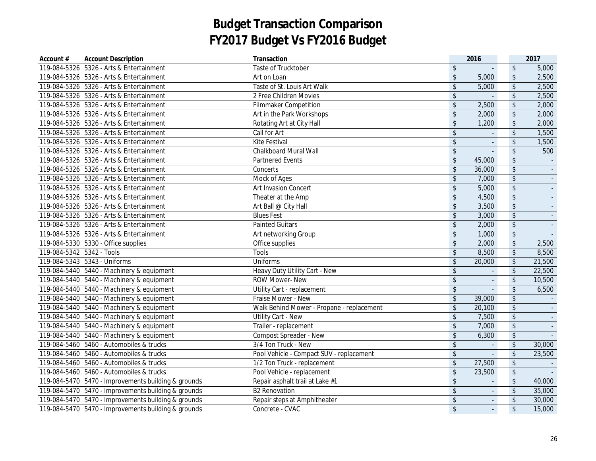| Account #                 | <b>Account Description</b>                          | Transaction                               |                            | 2016           |                            | 2017           |
|---------------------------|-----------------------------------------------------|-------------------------------------------|----------------------------|----------------|----------------------------|----------------|
|                           | 119-084-5326  5326 - Arts & Entertainment           | Taste of Trucktober                       | \$                         |                | $\sqrt[6]{\frac{1}{2}}$    | 5,000          |
|                           | 119-084-5326 5326 - Arts & Entertainment            | Art on Loan                               | $\sqrt[6]{\frac{1}{2}}$    | 5,000          | $\sqrt[6]{\frac{1}{2}}$    | 2,500          |
|                           | 119-084-5326 5326 - Arts & Entertainment            | Taste of St. Louis Art Walk               | $\sqrt{2}$                 | 5,000          | $\sqrt[6]{\frac{1}{2}}$    | 2,500          |
|                           | 119-084-5326  5326 - Arts & Entertainment           | 2 Free Children Movies                    | $\sqrt[6]{\frac{1}{2}}$    | L.             | \$                         | 2,500          |
|                           | 119-084-5326 5326 - Arts & Entertainment            | <b>Filmmaker Competition</b>              | $\sqrt{2}$                 | 2,500          | \$                         | 2,000          |
|                           | 119-084-5326  5326 - Arts & Entertainment           | Art in the Park Workshops                 | $\sqrt{2}$                 | 2,000          | $\sqrt$                    | 2,000          |
|                           | 119-084-5326  5326 - Arts & Entertainment           | Rotating Art at City Hall                 | $\mathbf{\hat{S}}$         | 1,200          | $\updownarrow$             | 2,000          |
|                           | 119-084-5326  5326 - Arts & Entertainment           | Call for Art                              | $\sqrt[6]{\frac{1}{2}}$    |                | $\boldsymbol{\mathsf{\$}}$ | 1,500          |
|                           | 119-084-5326  5326 - Arts & Entertainment           | Kite Festival                             | $\sqrt[6]{\frac{1}{2}}$    | $\mathbf{r}$   | $\sqrt[6]{\frac{1}{2}}$    | 1,500          |
|                           | 119-084-5326  5326 - Arts & Entertainment           | <b>Chalkboard Mural Wall</b>              | $\boldsymbol{\hat{\zeta}}$ | $\mathbf{r}$   | $\sqrt{2}$                 | 500            |
|                           | 119-084-5326  5326 - Arts & Entertainment           | <b>Partnered Events</b>                   | $\sqrt{2}$                 | 45,000         | $\sqrt{2}$                 |                |
|                           | 119-084-5326  5326 - Arts & Entertainment           | Concerts                                  | $\sqrt[6]{\frac{1}{2}}$    | 36,000         | $\sqrt[6]{\frac{1}{2}}$    |                |
|                           | 119-084-5326  5326 - Arts & Entertainment           | Mock of Ages                              | $\sqrt[6]{\frac{1}{2}}$    | 7,000          | $\sqrt{2}$                 |                |
|                           | 119-084-5326  5326 - Arts & Entertainment           | Art Invasion Concert                      | $\sqrt[6]{\frac{1}{2}}$    | 5,000          | $\sqrt{2}$                 |                |
|                           | 119-084-5326 5326 - Arts & Entertainment            | Theater at the Amp                        | \$                         | 4,500          | $\sqrt{2}$                 |                |
|                           | 119-084-5326 5326 - Arts & Entertainment            | Art Ball @ City Hall                      | $\sqrt[6]{\frac{1}{2}}$    | 3,500          | $\sqrt{2}$                 |                |
|                           | 119-084-5326 5326 - Arts & Entertainment            | <b>Blues Fest</b>                         | $\sqrt[6]{2}$              | 3,000          | $\sqrt[6]{}$               | $\sim$         |
|                           | 119-084-5326 5326 - Arts & Entertainment            | <b>Painted Guitars</b>                    | \$                         | 2,000          | $\sqrt[6]{}$               | $\blacksquare$ |
|                           | 119-084-5326 5326 - Arts & Entertainment            | Art networking Group                      | $\sqrt[6]{\frac{1}{2}}$    | 1,000          | $\sqrt[6]{}$               |                |
|                           | 119-084-5330  5330 - Office supplies                | Office supplies                           | $\sqrt[6]{\frac{1}{2}}$    | 2,000          | $\sqrt[6]{}$               | 2,500          |
| 119-084-5342 5342 - Tools |                                                     | Tools                                     | $\sqrt{2}$                 | 8,500          | $\sqrt[6]{\frac{1}{2}}$    | 8,500          |
|                           | 119-084-5343  5343 - Uniforms                       | <b>Uniforms</b>                           | $\sqrt{2}$                 | 20,000         | $\sqrt[6]{\frac{1}{2}}$    | 21,500         |
|                           | 119-084-5440 5440 - Machinery & equipment           | Heavy Duty Utility Cart - New             | $\sqrt[6]{\frac{1}{2}}$    |                | $\sqrt[6]{\frac{1}{2}}$    | 22,500         |
|                           | 119-084-5440 5440 - Machinery & equipment           | ROW Mower-New                             | $\sqrt[6]{\frac{1}{2}}$    | $\overline{a}$ | $\sqrt[6]{\frac{1}{2}}$    | 10,500         |
|                           | 119-084-5440 5440 - Machinery & equipment           | Utility Cart - replacement                | $\sqrt{2}$                 | $\overline{a}$ | $\sqrt{2}$                 | 6,500          |
|                           | 119-084-5440 5440 - Machinery & equipment           | Fraise Mower - New                        | $\sqrt[6]{\frac{1}{2}}$    | 39,000         | $\sqrt{2}$                 |                |
|                           | 119-084-5440 5440 - Machinery & equipment           | Walk Behind Mower - Propane - replacement | $\sqrt{2}$                 | 20,100         | \$                         |                |
|                           | 119-084-5440 5440 - Machinery & equipment           | <b>Utility Cart - New</b>                 | $\sqrt{2}$                 | 7,500          | \$                         | $\omega$       |
|                           | 119-084-5440 5440 - Machinery & equipment           | Trailer - replacement                     | $\sqrt[6]{\frac{1}{2}}$    | 7,000          | $\sqrt{2}$                 |                |
|                           | 119-084-5440 5440 - Machinery & equipment           | Compost Spreader - New                    | $\mathbf{\hat{z}}$         | 6,300          | $\sqrt{2}$                 |                |
|                           | 119-084-5460  5460 - Automobiles & trucks           | 3/4 Ton Truck - New                       | $\sqrt[6]{\frac{1}{2}}$    |                | $$\mathfrak{s}$$           | 30,000         |
|                           | 119-084-5460  5460 - Automobiles & trucks           | Pool Vehicle - Compact SUV - replacement  | $\sqrt[6]{\frac{1}{2}}$    | ÷.             | $\sqrt[6]{\frac{1}{2}}$    | 23,500         |
|                           | 119-084-5460  5460 - Automobiles & trucks           | 1/2 Ton Truck - replacement               | $\sqrt[6]{\frac{1}{2}}$    | 27,500         | $$\mathbb{S}$$             |                |
|                           | 119-084-5460  5460 - Automobiles & trucks           | Pool Vehicle - replacement                | $\boldsymbol{\hat{\zeta}}$ | 23,500         | \$                         |                |
|                           | 119-084-5470 5470 - Improvements building & grounds | Repair asphalt trail at Lake #1           | $\sqrt[6]{\frac{1}{2}}$    | $\blacksquare$ | $$\mathfrak{s}$$           | 40,000         |
|                           | 119-084-5470 5470 - Improvements building & grounds | <b>B2 Renovation</b>                      | $\sqrt{2}$                 | $\Box$         | $\sqrt[6]{\frac{1}{2}}$    | 35,000         |
|                           | 119-084-5470 5470 - Improvements building & grounds | Repair steps at Amphitheater              | $\sqrt[6]{\frac{1}{2}}$    | $\Box$         | $\sqrt[6]{\frac{1}{2}}$    | 30,000         |
|                           | 119-084-5470 5470 - Improvements building & grounds | Concrete - CVAC                           | $\sqrt[6]{\frac{1}{2}}$    | L.             | $\overline{\mathcal{S}}$   | 15,000         |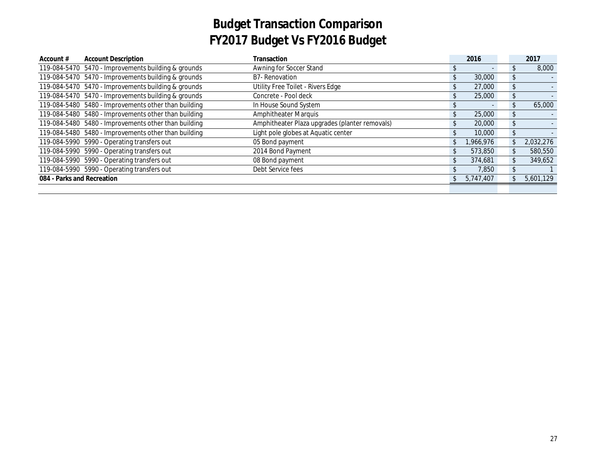| Account $#$                | <b>Account Description</b>                           | Transaction                                    |              | 2016                     |                | 2017      |
|----------------------------|------------------------------------------------------|------------------------------------------------|--------------|--------------------------|----------------|-----------|
|                            | 119-084-5470 5470 - Improvements building & grounds  | Awning for Soccer Stand                        |              | $\overline{\phantom{a}}$ | S.             | 8,000     |
|                            | 119-084-5470 5470 - Improvements building & grounds  | <b>B7-Renovation</b>                           |              | 30,000                   | \$             |           |
|                            | 119-084-5470 5470 - Improvements building & grounds  | Utility Free Toilet - Rivers Edge              | $\mathbf{r}$ | 27,000                   | \$             |           |
|                            | 119-084-5470 5470 - Improvements building & grounds  | Concrete - Pool deck                           |              | 25,000                   | \$             |           |
|                            | 119-084-5480 5480 - Improvements other than building | In House Sound System                          |              | $\overline{\phantom{a}}$ | \$.            | 65,000    |
|                            | 119-084-5480 5480 - Improvements other than building | <b>Amphitheater Marquis</b>                    |              | 25,000                   | \$             |           |
|                            | 119-084-5480 5480 - Improvements other than building | Amphitheater Plaza upgrades (planter removals) |              | 20,000                   | \$             |           |
|                            | 119-084-5480 5480 - Improvements other than building | Light pole globes at Aquatic center            |              | 10,000                   | \$             |           |
|                            | 119-084-5990 5990 - Operating transfers out          | 05 Bond payment                                |              | 1,966,976                | \$             | 2.032.276 |
|                            | 119-084-5990 5990 - Operating transfers out          | 2014 Bond Payment                              |              | 573,850                  | \$             | 580,550   |
|                            | 119-084-5990 5990 - Operating transfers out          | 08 Bond payment                                |              | 374,681                  | $\mathfrak{L}$ | 349,652   |
|                            | 119-084-5990 5990 - Operating transfers out          | Debt Service fees                              |              | 7,850                    |                |           |
| 084 - Parks and Recreation |                                                      |                                                |              | 5,747,407                |                | 5,601,129 |
|                            |                                                      |                                                |              |                          |                |           |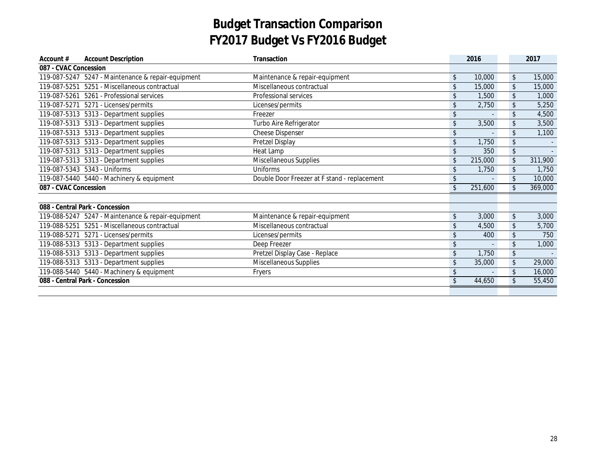| Account $#$           | <b>Account Description</b>                         | Transaction                                  |    | 2016    |               | 2017    |
|-----------------------|----------------------------------------------------|----------------------------------------------|----|---------|---------------|---------|
| 087 - CVAC Concession |                                                    |                                              |    |         |               |         |
|                       | 119-087-5247 5247 - Maintenance & repair-equipment | Maintenance & repair-equipment               | \$ | 10,000  | \$            | 15,000  |
|                       | 119-087-5251 5251 - Miscellaneous contractual      | Miscellaneous contractual                    | \$ | 15,000  | \$            | 15,000  |
|                       | 119-087-5261 5261 - Professional services          | <b>Professional services</b>                 | \$ | 1,500   | \$            | 1,000   |
|                       | 119-087-5271  5271 - Licenses/permits              | Licenses/permits                             | \$ | 2,750   | \$            | 5,250   |
|                       | 119-087-5313    5313 - Department supplies         | Freezer                                      | \$ |         | \$            | 4,500   |
|                       | 119-087-5313    5313 - Department supplies         | Turbo Aire Refrigerator                      | \$ | 3,500   | $\sqrt{2}$    | 3,500   |
|                       | 119-087-5313    5313 - Department supplies         | <b>Cheese Dispenser</b>                      | \$ |         | \$            | 1,100   |
|                       | 119-087-5313    5313 - Department supplies         | Pretzel Display                              | \$ | 1,750   | \$            |         |
|                       | 119-087-5313  5313 - Department supplies           | Heat Lamp                                    | \$ | 350     | \$            | $\sim$  |
|                       | 119-087-5313    5313 - Department supplies         | Miscellaneous Supplies                       | \$ | 215,000 | \$            | 311,900 |
|                       | 119-087-5343  5343 - Uniforms                      | Uniforms                                     | \$ | 1,750   | \$            | 1.750   |
|                       | 119-087-5440 5440 - Machinery & equipment          | Double Door Freezer at F stand - replacement | \$ |         | \$            | 10,000  |
| 087 - CVAC Concession |                                                    |                                              | \$ | 251,600 | $\mathsf{\$}$ | 369,000 |
|                       |                                                    |                                              |    |         |               |         |
|                       | 088 - Central Park - Concession                    |                                              |    |         |               |         |
|                       | 119-088-5247 5247 - Maintenance & repair-equipment | Maintenance & repair-equipment               | \$ | 3,000   | \$            | 3,000   |
|                       | 119-088-5251 5251 - Miscellaneous contractual      | Miscellaneous contractual                    | \$ | 4,500   | \$            | 5,700   |
|                       | 119-088-5271  5271 - Licenses/permits              | Licenses/permits                             | \$ | 400     | \$            | 750     |
|                       | 119-088-5313    5313 - Department supplies         | Deep Freezer                                 | \$ |         | \$            | 1,000   |
|                       | 119-088-5313    5313 - Department supplies         | Pretzel Display Case - Replace               | \$ | 1,750   | \$            |         |
|                       | 119-088-5313    5313 - Department supplies         | Miscellaneous Supplies                       | \$ | 35,000  | \$            | 29,000  |
|                       | 119-088-5440 5440 - Machinery & equipment          | Fryers                                       | \$ |         | \$            | 16,000  |
|                       | 088 - Central Park - Concession                    |                                              | \$ | 44,650  | \$            | 55,450  |
|                       |                                                    |                                              |    |         |               |         |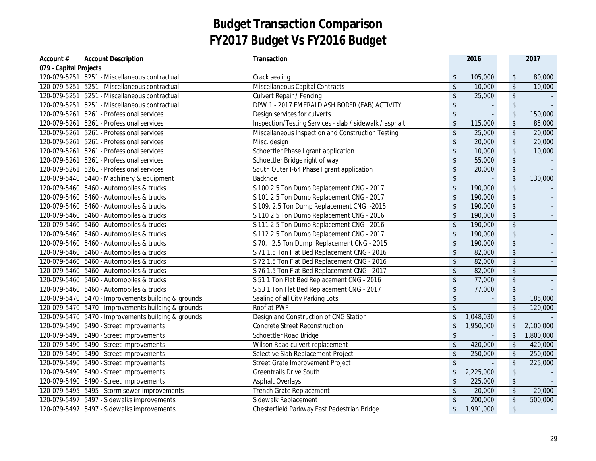| Account #              | <b>Account Description</b>                          | Transaction                                             |                         | 2016           |                            | 2017           |
|------------------------|-----------------------------------------------------|---------------------------------------------------------|-------------------------|----------------|----------------------------|----------------|
| 079 - Capital Projects |                                                     |                                                         |                         |                |                            |                |
|                        | 120-079-5251 5251 - Miscellaneous contractual       | Crack sealing                                           | $\sqrt[6]{\frac{1}{2}}$ | 105,000        | $\sqrt[6]{\frac{1}{2}}$    | 80,000         |
|                        | 120-079-5251 5251 - Miscellaneous contractual       | Miscellaneous Capital Contracts                         | $\sqrt[6]{\frac{1}{2}}$ | 10,000         | $$\mathfrak{s}$$           | 10,000         |
|                        | 120-079-5251 5251 - Miscellaneous contractual       | <b>Culvert Repair / Fencing</b>                         | $\sqrt[6]{\frac{1}{2}}$ | 25,000         | $$\mathfrak{s}$$           |                |
|                        | 120-079-5251 5251 - Miscellaneous contractual       | DPW 1 - 2017 EMERALD ASH BORER (EAB) ACTIVITY           | $\sqrt[6]{\frac{1}{2}}$ | $\mathbb{Z}^2$ | $\sqrt[6]{\frac{1}{2}}$    |                |
|                        | 120-079-5261 5261 - Professional services           | Design services for culverts                            | $\sqrt[6]{\frac{1}{2}}$ | L.             | $$\mathfrak{s}$$           | 150,000        |
|                        | 120-079-5261 5261 - Professional services           | Inspection/Testing Services - slab / sidewalk / asphalt | $\sqrt[6]{\frac{1}{2}}$ | 115,000        | $\sqrt[6]{\frac{1}{2}}$    | 85,000         |
|                        | 120-079-5261 5261 - Professional services           | Miscellaneous Inspection and Construction Testing       | $\sqrt[6]{\frac{1}{2}}$ | 25,000         | $\sqrt[6]{\frac{1}{2}}$    | 20,000         |
|                        | 120-079-5261 5261 - Professional services           | Misc. design                                            | \$                      | 20,000         | \$                         | 20,000         |
|                        | 120-079-5261 5261 - Professional services           | Schoettler Phase I grant application                    | $\sqrt[6]{\frac{1}{2}}$ | 10,000         | $\sqrt[6]{}$               | 10,000         |
|                        | 120-079-5261 5261 - Professional services           | Schoettler Bridge right of way                          | $\sqrt[6]{\frac{1}{2}}$ | 55,000         | $\sqrt[6]{}$               |                |
|                        | 120-079-5261 5261 - Professional services           | South Outer I-64 Phase I grant application              | $\sqrt[6]{\frac{1}{2}}$ | 20,000         | $\sqrt[6]{}$               |                |
|                        | 120-079-5440 5440 - Machinery & equipment           | Backhoe                                                 | \$                      | L.             | $\sqrt[6]{\frac{1}{2}}$    | 130,000        |
|                        | 120-079-5460  5460 - Automobiles & trucks           | S 100 2.5 Ton Dump Replacement CNG - 2017               | $\sqrt[6]{\frac{1}{2}}$ | 190,000        | $\sqrt[6]{\frac{1}{2}}$    |                |
|                        | 120-079-5460  5460 - Automobiles & trucks           | S 101 2.5 Ton Dump Replacement CNG - 2017               | $\sqrt[6]{\frac{1}{2}}$ | 190,000        | $\sqrt[6]{\frac{1}{2}}$    |                |
|                        | 120-079-5460  5460 - Automobiles & trucks           | S 109, 2.5 Ton Dump Replacement CNG -2015               | \$                      | 190,000        | $$\mathfrak{s}$$           |                |
|                        | 120-079-5460  5460 - Automobiles & trucks           | S 110 2.5 Ton Dump Replacement CNG - 2016               | $\sqrt[6]{\frac{1}{2}}$ | 190,000        | $$\mathfrak{s}$$           |                |
|                        | 120-079-5460  5460 - Automobiles & trucks           | S 111 2.5 Ton Dump Replacement CNG - 2016               | \$                      | 190,000        | $\sqrt[6]{\frac{1}{2}}$    | $\blacksquare$ |
|                        | 120-079-5460  5460 - Automobiles & trucks           | S 112 2.5 Ton Dump Replacement CNG - 2017               | \$                      | 190,000        | $\updownarrow$             | $\blacksquare$ |
|                        | 120-079-5460  5460 - Automobiles & trucks           | S 70, 2.5 Ton Dump Replacement CNG - 2015               | \$                      | 190,000        | $\sqrt[6]{\frac{1}{2}}$    |                |
|                        | 120-079-5460  5460 - Automobiles & trucks           | S 71 1.5 Ton Flat Bed Replacement CNG - 2016            | \$                      | 82,000         | $\sqrt[6]{\frac{1}{2}}$    |                |
|                        | 120-079-5460  5460 - Automobiles & trucks           | S 72 1.5 Ton Flat Bed Replacement CNG - 2016            | \$                      | 82,000         | $\sqrt[6]{\frac{1}{2}}$    |                |
|                        | 120-079-5460  5460 - Automobiles & trucks           | S 76 1.5 Ton Flat Bed Replacement CNG - 2017            | $\sqrt[6]{\frac{1}{2}}$ | 82,000         | $\sqrt[6]{\frac{1}{2}}$    |                |
|                        | 120-079-5460  5460 - Automobiles & trucks           | S 51 1 Ton Flat Bed Replacement CNG - 2016              | $\sqrt[6]{\frac{1}{2}}$ | 77,000         | $\sqrt[6]{\frac{1}{2}}$    |                |
|                        | 120-079-5460 5460 - Automobiles & trucks            | S 53 1 Ton Flat Bed Replacement CNG - 2017              | $\sqrt{2}$              | 77,000         | $\boldsymbol{\mathsf{\$}}$ |                |
|                        | 120-079-5470 5470 - Improvements building & grounds | Sealing of all City Parking Lots                        | $$\mathfrak{s}$$        |                | $\updownarrow$             | 185,000        |
|                        | 120-079-5470 5470 - Improvements building & grounds | Roof at PWF                                             | $\mathsf{\$}$           | L.             | $\boldsymbol{\mathsf{\$}}$ | 120,000        |
|                        | 120-079-5470 5470 - Improvements building & grounds | Design and Construction of CNG Station                  | \$                      | 1,048,030      | $\sqrt[6]{\frac{1}{2}}$    |                |
|                        | 120-079-5490    5490 - Street improvements          | <b>Concrete Street Reconstruction</b>                   | $\sqrt[6]{2}$           | 1,950,000      | $\sqrt[6]{\frac{1}{2}}$    | 2,100,000      |
|                        | 120-079-5490    5490 - Street improvements          | Schoettler Road Bridge                                  | $\sqrt[6]{\frac{1}{2}}$ | ä,             | $\sqrt[6]{\frac{1}{2}}$    | 1,800,000      |
|                        | 120-079-5490    5490 - Street improvements          | Wilson Road culvert replacement                         | $\sqrt[6]{\frac{1}{2}}$ | 420,000        | $\sqrt[6]{\frac{1}{2}}$    | 420,000        |
|                        | 120-079-5490    5490 - Street improvements          | Selective Slab Replacement Project                      | $\sqrt[6]{\frac{1}{2}}$ | 250,000        | $\sqrt[6]{\frac{1}{2}}$    | 250,000        |
|                        | 120-079-5490    5490 - Street improvements          | Street Grate Improvement Project                        | $\sqrt[6]{\frac{1}{2}}$ | $\Box$         | $\sqrt[6]{\frac{1}{2}}$    | 225,000        |
|                        | 120-079-5490    5490 - Street improvements          | <b>Greentrails Drive South</b>                          | \$                      | 2,225,000      | $\boldsymbol{\mathsf{\$}}$ |                |
|                        | 120-079-5490    5490 - Street improvements          | <b>Asphalt Overlays</b>                                 | $\sqrt[6]{\frac{1}{2}}$ | 225,000        | $\sqrt[6]{\frac{1}{2}}$    |                |
|                        | 120-079-5495 5495 - Storm sewer improvements        | Trench Grate Replacement                                | \$                      | 20,000         | $\sqrt[6]{\frac{1}{2}}$    | 20,000         |
|                        | 120-079-5497 5497 - Sidewalks improvements          | Sidewalk Replacement                                    | \$                      | 200,000        | $$\mathfrak{s}$$           | 500,000        |
|                        | 120-079-5497 5497 - Sidewalks improvements          | Chesterfield Parkway East Pedestrian Bridge             | $\frac{1}{2}$           | 1,991,000      | $\sqrt[6]{\frac{1}{2}}$    |                |